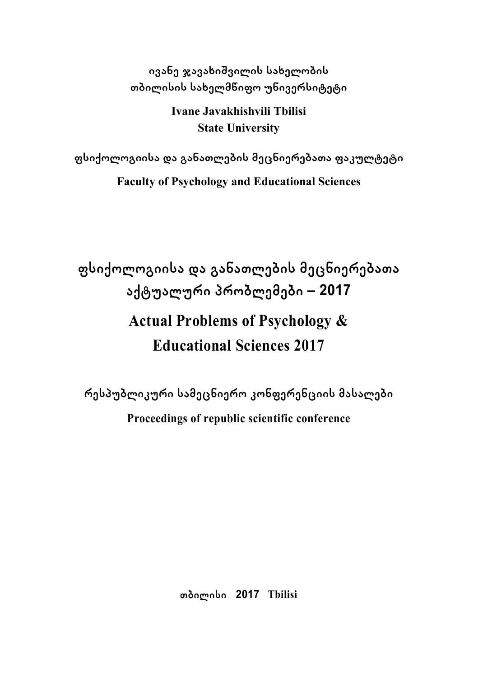**ივანე ჯავახიשვილის სახელობის თბილისის სახელმწიფო უნივერსიტეტი**

> **Ivane Javakhishvili Tbilisi State University**

**ფსიქოლოგიისა და განათლების მეცნიერებათა ფაკულტეტი Faculty of Psychology and Educational Sciences** 

**ფსიქოლოგიისა და განათლების მეცნიერებათა აქტუალური პრობლემები – 2017 Actual Problems of Psychology & Educational Sciences 2017** 

**რესპუბლიკური სამეცნიერო კონფერენციის მასალები Proceedings of republic scientific conference** 

**თბილისი 2017 Tbilisi**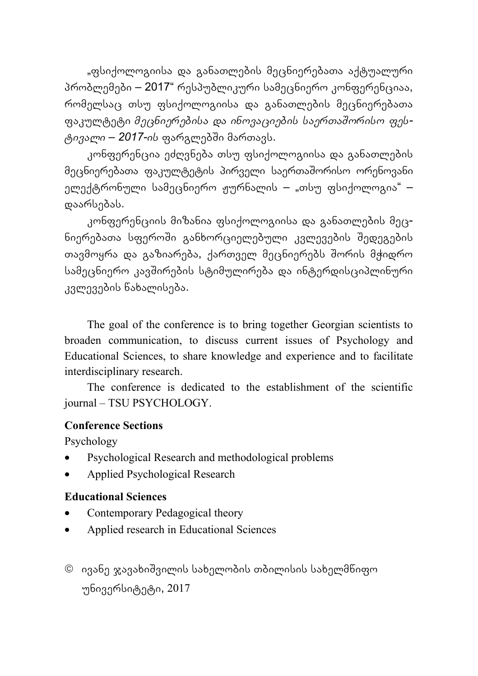"ფსიქოლოგიისა და განათლების მეცნიერებათა აქტუალური პრობლემები – 2017" რესპუბლიკური სამეცნიერო კონფერენციაა, რომელსაც თსუ ფსიქოლოგიისა და განათლების მეცნიერებათა ფაკულტეტი *მეცნიერებისა და ინოვაციების საერთაשორისო ფესტივალი – 2017-ის* ფარგლებשი მართავს.

კონფერენცია ეძღვნება თსუ ფსიქოლოგიისა და განათლების მეცნიერებათა ფაკულტეტის პირველი საერთაשორისო ორენოვანი ელექტრონული სამეცნიერო ჟურნალის – "თსუ ფსიქოლოგია" – დაარსებას.

კონფერენციის მიზანია ფსიქოლოგიისა და განათლების მეცნიერებათა სფეროשი განხორციელებული კვლევების שედეგების თავმოყრა და გაზიარება, ქართველ მეცნიერებს შორის მჭიდრო სამეცნიერო კავשირების სტიმულირება და ინტერდისციპლინური კვლევების წახალისება.

The goal of the conference is to bring together Georgian scientists to broaden communication, to discuss current issues of Psychology and Educational Sciences, to share knowledge and experience and to facilitate interdisciplinary research.

The conference is dedicated to the establishment of the scientific journal – TSU PSYCHOLOGY.

#### **Conference Sections**

Psychology

- Psychological Research and methodological problems
- Applied Psychological Research

#### **Educational Sciences**

- Contemporary Pedagogical theory
- Applied research in Educational Sciences
- ივანე ჯავახიשვილის სახელობის თბილისის სახელმწიფო უნივერსიტეტი, 2017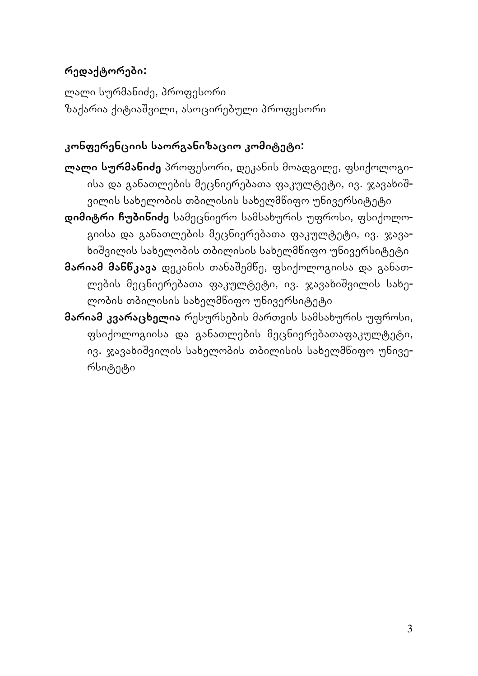## **რედაქტორები:**

ლალი სურმანიძე, პროფესორი ზაქარია ქიტიაשვილი, ასოცირებული პროფესორი

### **კონფერენციის საორგანიზაციო კომიტეტი:**

- **ლალი სურმანიძე** პროფესორი, დეკანის მოადგილე, ფსიქოლოგიისა და განათლების მეცნიერებათა ფაკულტეტი, ივ. ჯავახიשვილის სახელობის თბილისის სახელმწიფო უნივერსიტეტი
- **დიმიტრი ჩუბინიძე** სამეცნიერო სამსახურის უფროსი, ფსიქოლოგიისა და განათლების მეცნიერებათა ფაკულტეტი, ივ. ჯავახიשვილის სახელობის თბილისის სახელმწიფო უნივერსიტეტი
- **მარიამ მანწკავა** დეკანის თანაשემწე, ფსიქოლოგიისა და განათლების მეცნიერებათა ფაკულტეტი, ივ. ჯავახიשვილის სახელობის თბილისის სახელმწიფო უნივერსიტეტი
- **მარიამ კვარაცხელია** რესურსების მართვის სამსახურის უფროსი, ფსიქოლოგიისა და განათლების მეცნიერებათაფაკულტეტი, ივ. ჯავახიשვილის სახელობის თბილისის სახელმწიფო უნივერსიტეტი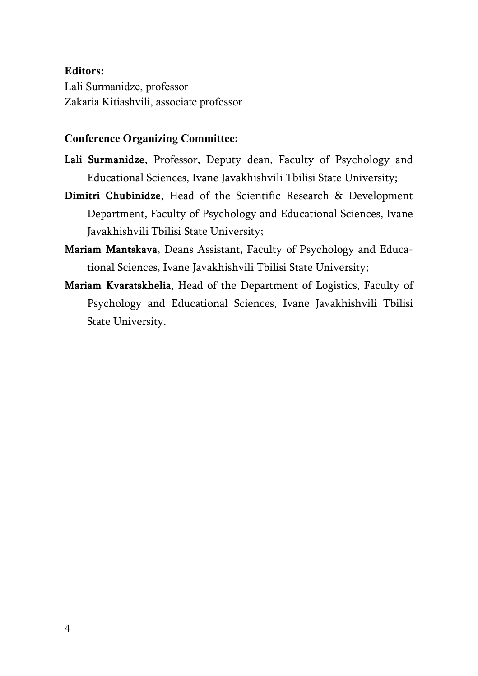#### **Editors:**

Lali Surmanidze, professor Zakaria Kitiashvili, associate professor

#### **Conference Organizing Committee:**

- **Lali Surmanidze**, Professor, Deputy dean, Faculty of Psychology and Educational Sciences, Ivane Javakhishvili Tbilisi State University;
- **Dimitri Chubinidze**, Head of the Scientific Research & Development Department, Faculty of Psychology and Educational Sciences, Ivane Javakhishvili Tbilisi State University;
- **Mariam Mantskava**, Deans Assistant, Faculty of Psychology and Educational Sciences, Ivane Javakhishvili Tbilisi State University;
- **Mariam Kvaratskhelia**, Head of the Department of Logistics, Faculty of Psychology and Educational Sciences, Ivane Javakhishvili Tbilisi State University.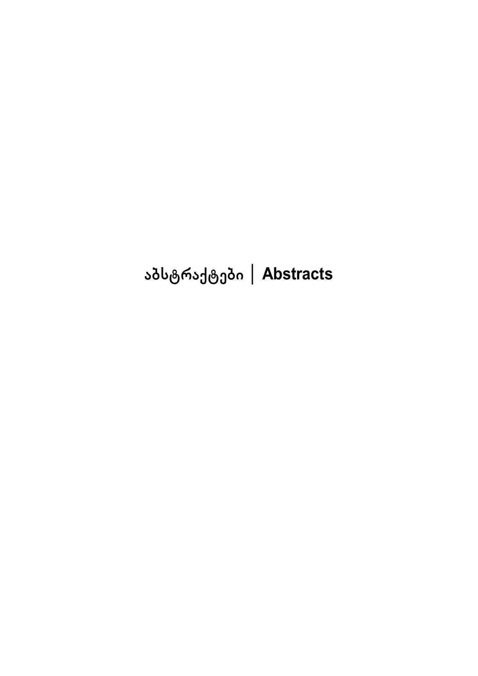# **აბსტრაქტები │ Abstracts**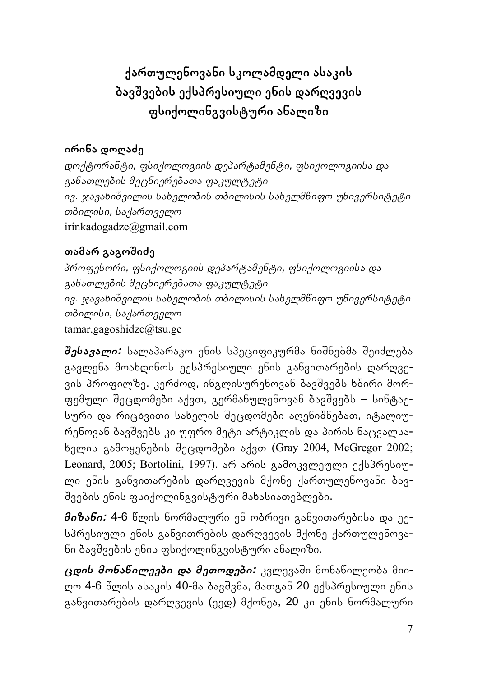**ქართულენოვანი სკოლამდელი ასაკის ბავשვების ექსპრესიული ენის დარღვევის ფსიქოლინგვისტური ანალიზი**

## **ირინა დოღაძე**

*დოქტორანტი, ფსიქოლოგიის დეპარტამენტი, ფსიქოლოგიისა და განათლების მეცნიერებათა ფაკულტეტი ივ. ჯავახიשვილის სახელობის თბილისის სახელმწიფო უნივერსიტეტი თბილისი, საქართველო* irinkadogadze@gmail.com

### **თამარ გაგოשიძე**

*პროფესორი, ფსიქოლოგიის დეპარტამენტი, ფსიქოლოგიისა და განათლების მეცნიერებათა ფაკულტეტი ივ. ჯავახიשვილის სახელობის თბილისის სახელმწიფო უნივერსიტეტი თბილისი, საქართველო* tamar.gagoshidze@tsu.ge

*שესავალი:* სალაპარაკო ენის სპეციფიკურმა ნიשნებმა שეიძლება გავლენა მოახდინოს ექსპრესიული ენის განვითარების დარღვევის პროფილზე. კერძოდ, ინგლისურენოვან ბავშვებს ხშირი მორფემული שეცდომები აქვთ, გერმანულენოვან ბავשვებს – სინტაქსური და რიცხვითი სახელის შეცდომები აღენიშნებათ, იტალიურენოვან ბავשვებს კი უფრო მეტი არტიკლის და პირის ნაცვალსახელის გამოყენების שეცდომები აქვთ (Gray 2004, McGregor 2002; Leonard, 2005; Bortolini, 1997). არ არის გამოკვლეული ექსპრესიული ენის განვითარების დარღვევის მქონე ქართულენოვანი ბავ-שვების ენის ფსიქოლინგვისტური მახასიათებლები.

*მიზანი:* 4-6 წლის ნორმალური ენ ობრივი განვითარებისა და ექსპრესიული ენის განვითრების დარღვევის მქონე ქართულენოვანი ბავשვების ენის ფსიქოლინგვისტური ანალიზი.

*ცდის მონაწილეები და მეთოდები:* კვლევაשი მონაწილეობა მიიღო 4-6 წლის ასაკის 40-მა ბავשვმა, მათგან 20 ექსპრესიული ენის განვითარების დარღვევის (ეედ) მქონეა, 20 კი ენის ნორმალური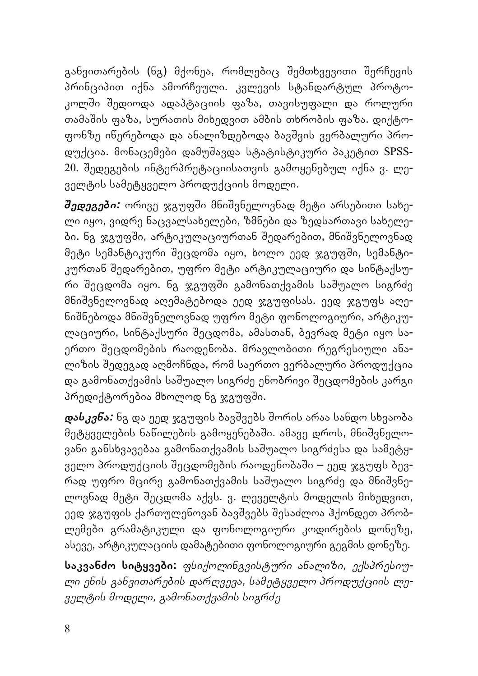განვითარების (ნგ) მქონეა, რომლებიც შემთხვევითი შერჩევის პრინციპით იქნა ამორჩეული. კვლევის სტანდარტულ პროტოკოლში შედიოდა ადაპტაციის ფაზა, თავისუფალი და როლური თამაშის ფაზა, სურათის მიხედვით ამბის თხრობის ფაზა. დიქტოფონზე იწერებოდა და ანალიზდებოდა ბავשვის ვერბალური პროდუქცია. მონაცემები დამუשავდა სტატისტიკური პაკეტით SPSS-20. שედეგების ინტერპრეტაციისათვის გამოყენებულ იქნა ვ. ლეველტის სამეტყველო პროდუქციის მოდელი.

*შედეგები:* ორივე ჯგუფში მნიშვნელოვნად მეტი არსებითი სახელი იყო, ვიდრე ნაცვალსახელები, ზმნები და ზედსართავი სახელები. ნგ ჯგუფში, არტიკულაციურთან შედარებით, მნიშვნელოვნად მეტი სემანტიკური שეცდომა იყო, ხოლო ეედ ჯგუფשი, სემანტიკურთან שედარებით, უფრო მეტი არტიკულაციური და სინტაქსური შეცდომა იყო. ნგ ჯგუფში გამონათქვამის საშუალო სიგრძე მნიשვნელოვნად აღემატებოდა ეედ ჯგუფისას. ეედ ჯგუფს აღენიשნებოდა მნიשვნელოვნად უფრო მეტი ფონოლოგიური, არტიკულაციური, სინტაქსური שეცდომა, ამასთან, ბევრად მეტი იყო საერთო שეცდომების რაოდენობა. მრავლობითი რეგრესიული ანალიზის שედეგად აღმოჩნდა, რომ საერთო ვერბალური პროდუქცია და გამონათქვამის საשუალო სიგრძე ენობრივი שეცდომების კარგი პრედიქტორებია მხოლოდ ნგ ჯგუფში.

*დასკვნა:* ნგ და ეედ ჯგუფის ბავשვებს שორის არაა სანდო სხვაობა მეტყველების ნაწილების გამოყენებაשი. ამავე დროს, მნიשვნელოვანი განსხვავებაა გამონათქვამის საשუალო სიგრძესა და სამეტყველო პროდუქციის שეცდომების რაოდენობაשი – ეედ ჯგუფს ბევრად უფრო მცირე გამონათქვამის საשუალო სიგრძე და მნიשვნელოვნად მეტი שეცდომა აქვს. ვ. ლეველტის მოდელის მიხედვით, ეედ ჯგუფის ქართულენოვან ბავშვებს შესაძლოა ჰქონდეთ პრობლემები გრამატიკული და ფონოლოგიური კოდირების დონეზე, ასევე, არტიკულაციის დამატებითი ფონოლოგიური გეგმის დონეზე.

**საკვანძო სიტყვები:** *ფსიქოლინგვისტური ანალიზი, ექსპრესიული ენის განვითარების დარღვევა, სამეტყველო პროდუქციის ლეველტის მოდელი, გამონათქვამის სიგრძე*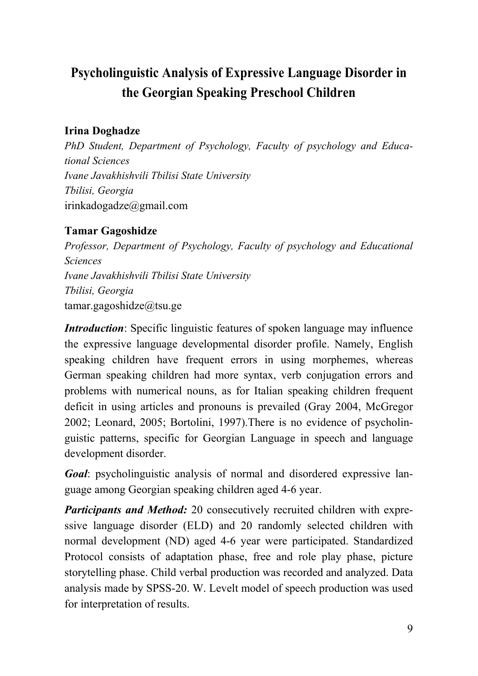## **Psycholinguistic Analysis of Expressive Language Disorder in the Georgian Speaking Preschool Children**

### **Irina Doghadze**

*PhD Student, Department of Psychology, Faculty of psychology and Educational Sciences Ivane Javakhishvili Tbilisi State University Tbilisi, Georgia*  irinkadogadze@gmail.com

### **Tamar Gagoshidze**

*Professor, Department of Psychology, Faculty of psychology and Educational Sciences Ivane Javakhishvili Tbilisi State University Tbilisi, Georgia*  tamar.gagoshidze@tsu.ge

*Introduction*: Specific linguistic features of spoken language may influence the expressive language developmental disorder profile. Namely, English speaking children have frequent errors in using morphemes, whereas German speaking children had more syntax, verb conjugation errors and problems with numerical nouns, as for Italian speaking children frequent deficit in using articles and pronouns is prevailed (Gray 2004, McGregor 2002; Leonard, 2005; Bortolini, 1997).There is no evidence of psycholinguistic patterns, specific for Georgian Language in speech and language development disorder.

*Goal*: psycholinguistic analysis of normal and disordered expressive language among Georgian speaking children aged 4-6 year.

*Participants and Method:* 20 consecutively recruited children with expressive language disorder (ELD) and 20 randomly selected children with normal development (ND) aged 4-6 year were participated. Standardized Protocol consists of adaptation phase, free and role play phase, picture storytelling phase. Child verbal production was recorded and analyzed. Data analysis made by SPSS-20. W. Levelt model of speech production was used for interpretation of results.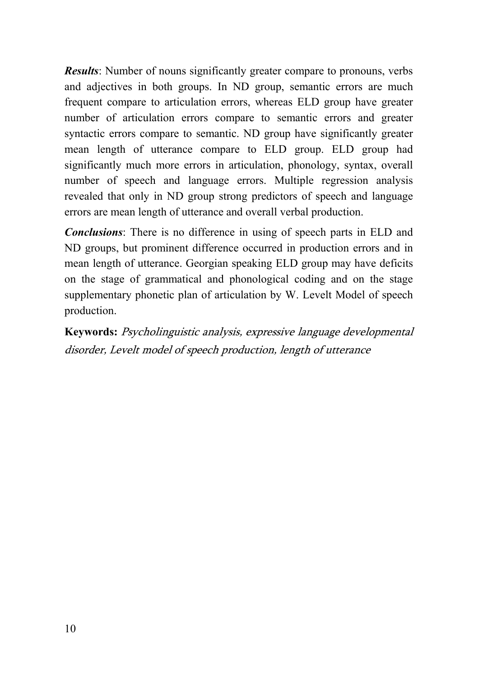*Results*: Number of nouns significantly greater compare to pronouns, verbs and adjectives in both groups. In ND group, semantic errors are much frequent compare to articulation errors, whereas ELD group have greater number of articulation errors compare to semantic errors and greater syntactic errors compare to semantic. ND group have significantly greater mean length of utterance compare to ELD group. ELD group had significantly much more errors in articulation, phonology, syntax, overall number of speech and language errors. Multiple regression analysis revealed that only in ND group strong predictors of speech and language errors are mean length of utterance and overall verbal production.

*Conclusions*: There is no difference in using of speech parts in ELD and ND groups, but prominent difference occurred in production errors and in mean length of utterance. Georgian speaking ELD group may have deficits on the stage of grammatical and phonological coding and on the stage supplementary phonetic plan of articulation by W. Levelt Model of speech production.

**Keywords:** Psycholinguistic analysis, expressive language developmental disorder, Levelt model of speech production, length of utterance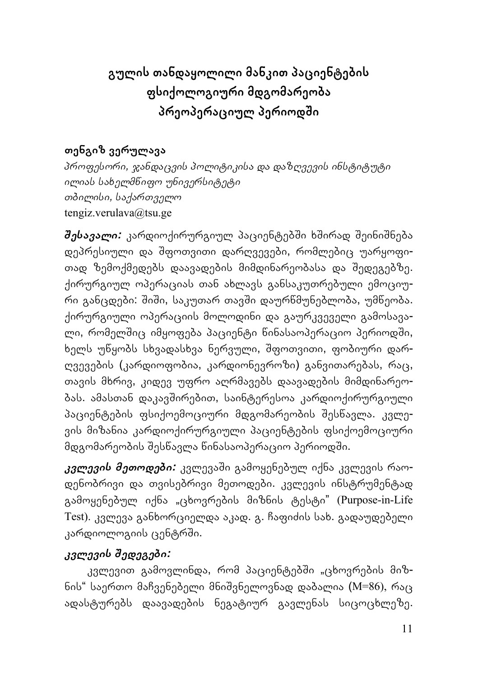## **გულის თანდაყოლილი მანკით პაციენტების ფსიქოლოგიური მდგომარეობა პრეოპერაციულ პერიოდשი**

### **თენგიზ ვერულავა**

*პროფესორი, ჯანდაცვის პოლიტიკისა და დაზღვევის ინსტიტუტი ილიას სახელმწიფო უნივერსიტეტი თბილისი, საქართველო* tengiz.verulava@tsu.ge

*שესავალი:* კარდიოქირურგიულ პაციენტებשი ხשირად שეინიשნება დეპრესიული და שფოთვითი დარღვევები, რომლებიც უარყოფითად ზემოქმედებს დაავადების მიმდინარეობასა და שედეგებზე. ქირურგიულ ოპერაციას თან ახლავს განსაკუთრებული ემოციური განცდები: შიში, საკუთარ თავში დაურწმუნებლობა, უმწეობა. ქირურგიული ოპერაციის მოლოდინი და გაურკვეველი გამოსავალი, რომელშიც იმყოფება პაციენტი წინასაოპერაციო პერიოდში, ხელს უწყობს სხვადასხვა ნერვული, שფოთვითი, ფობიური დარღვევების (კარდიოფობია, კარდიონევროზი) განვითარებას, რაც, თავის მხრივ, კიდევ უფრო აღრმავებს დაავადების მიმდინარეობას. ამასთან დაკავשირებით, საინტერესოა კარდიოქირურგიული პაციენტების ფსიქოემოციური მდგომარეობის שესწავლა. კვლევის მიზანია კარდიოქირურგიული პაციენტების ფსიქოემოციური მდგომარეობის შესწავლა წინასაოპერაციო პერიოდში.

*კვლევის მეთოდები:* კვლევაשი გამოყენებულ იქნა კვლევის რაოდენობრივი და თვისებრივი მეთოდები. კვლევის ინსტრუმენტად გამოყენებულ იქნა "ცხოვრების მიზნის ტესტი" (Purpose-in-Life Test). კვლევა განხორციელდა აკად. გ. ჩაფიძის სახ. გადაუდებელი კარდიოლოგიის ცენტრში.

## *კვლევის שედეგები:*

კვლევით გამოვლინდა, რომ პაციენტებში "ცხოვრების მიზნის" საერთო მაჩვენებელი მნიשვნელოვნად დაბალია (M=86), რაც ადასტურებს დაავადების ნეგატიურ გავლენას სიცოცხლეზე.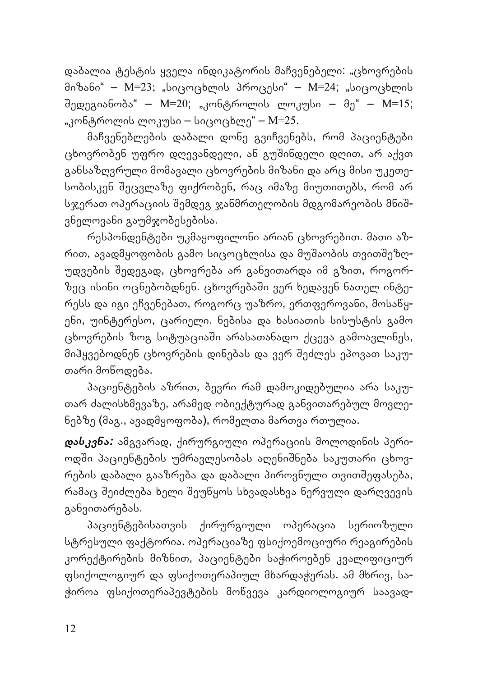დაბალია ტესტის ყველა ინდიკატორის მაჩვენებელი: "ცხოვრების მიზანი" – M=23; "სიცოცხლის პროცესი" – M=24; "სიცოცხლის שედეგიანობა" – M=20; "კონტროლის ლოკუსი – მე" – M=15; "კონტროლის ლოკუსი – სიცოცხლე" – M=25.

მაჩვენებლების დაბალი დონე გვიჩვენებს, რომ პაციენტები ცხოვრობენ უფრო დღევანდელი, ან გუשინდელი დღით, არ აქვთ განსაზღვრული მომავალი ცხოვრების მიზანი და არც მისი უკეთესობისკენ שეცვლაზე ფიქრობენ, რაც იმაზე მიუთითებს, რომ არ სჯერათ ოპერაციის შემდეგ ჯანმრთელობის მდგომარეობის მნიშვნელოვანი გაუმჯობესებისა.

რესპონდენტები უკმაყოფილონი არიან ცხოვრებით. მათი აზრით, ავადმყოფობის გამო სიცოცხლისა და მუშაობის თვითშეზღუდვების שედეგად, ცხოვრება არ განვითარდა იმ გზით, როგორზეც ისინი ოცნებობდნენ. ცხოვრებაשი ვერ ხედავენ ნათელ ინტერესს და იგი ეჩვენებათ, როგორც უაზრო, ერთფეროვანი, მოსაწყენი, უინტერესო, ცარიელი. ნებისა და ხასიათის სისუსტის გამო ცხოვრების ზოგ სიტუაციაში არასათანადო ქცევა გამოავლინეს, მიჰყვებოდნენ ცხოვრების დინებას და ვერ שეძლეს ეპოვათ საკუთარი მოწოდება.

პაციენტების აზრით, ბევრი რამ დამოკიდებულია არა საკუთარ ძალისხმევაზე, არამედ ობიექტურად განვითარებულ მოვლენებზე (მაგ., ავადმყოფობა), რომელთა მართვა რთულია.

*დასკვნა:* ამგვარად, ქირურგიული ოპერაციის მოლოდინის პერიოდში პაციენტების უმრავლესობას აღენიშნება საკუთარი ცხოვრების დაბალი გააზრება და დაბალი პიროვნული თვითშეფასება, რამაც שეიძლება ხელი שეუწყოს სხვადასხვა ნერვული დარღვევის განვითარებას.

პაციენტებისათვის ქირურგიული ოპერაცია სერიოზული სტრესული ფაქტორია. ოპერაციაზე ფსიქოემოციური რეაგირების კორექტირების მიზნით, პაციენტები საჭიროებენ კვალიფიციურ ფსიქოლოგიურ და ფსიქოთერაპიულ მხარდაჭერას. ამ მხრივ, საჭიროა ფსიქოთერაპევტების მოწვევა კარდიოლოგიურ საავად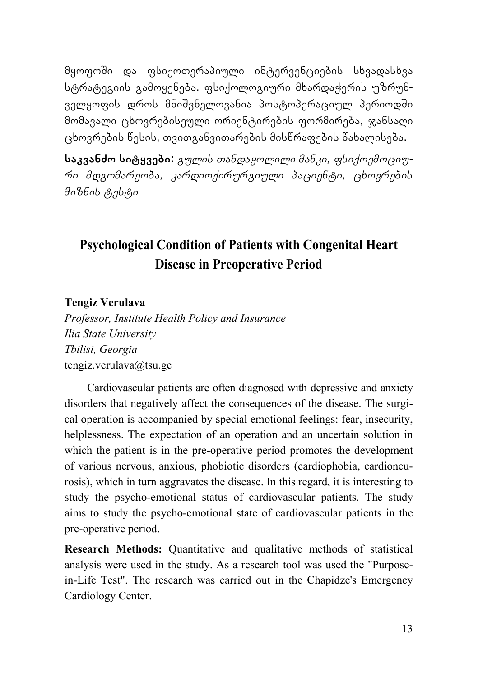მყოფოשი და ფსიქოთერაპიული ინტერვენციების სხვადასხვა სტრატეგიის გამოყენება. ფსიქოლოგიური მხარდაჭერის უზრუნველყოფის დროს მნიშვნელოვანია პოსტოპერაციულ პერიოდში მომავალი ცხოვრებისეული ორიენტირების ფორმირება, ჯანსაღი ცხოვრების წესის, თვითგანვითარების მისწრაფების წახალისება.

**საკვანძო სიტყვები:** *გულის თანდაყოლილი მანკი, ფსიქოემოციური მდგომარეობა, კარდიოქირურგიული პაციენტი, ცხოვრების მიზნის ტესტი*

## **Psychological Condition of Patients with Congenital Heart Disease in Preoperative Period**

#### **Tengiz Verulava**

*Professor, Institute Health Policy and Insurance Ilia State University Tbilisi, Georgia* tengiz.verulava@tsu.ge

Cardiovascular patients are often diagnosed with depressive and anxiety disorders that negatively affect the consequences of the disease. The surgical operation is accompanied by special emotional feelings: fear, insecurity, helplessness. The expectation of an operation and an uncertain solution in which the patient is in the pre-operative period promotes the development of various nervous, anxious, phobiotic disorders (cardiophobia, cardioneurosis), which in turn aggravates the disease. In this regard, it is interesting to study the psycho-emotional status of cardiovascular patients. The study aims to study the psycho-emotional state of cardiovascular patients in the pre-operative period.

**Research Methods:** Quantitative and qualitative methods of statistical analysis were used in the study. As a research tool was used the "Purposein-Life Test". The research was carried out in the Chapidze's Emergency Cardiology Center.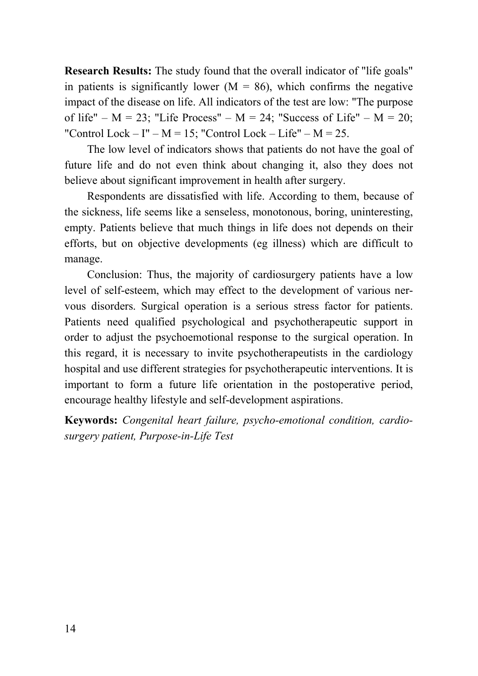**Research Results:** The study found that the overall indicator of "life goals" in patients is significantly lower  $(M = 86)$ , which confirms the negative impact of the disease on life. All indicators of the test are low: "The purpose of life" –  $M = 23$ ; "Life Process" –  $M = 24$ ; "Success of Life" –  $M = 20$ ; "Control Lock – I" –  $M = 15$ ; "Control Lock – Life" –  $M = 25$ .

The low level of indicators shows that patients do not have the goal of future life and do not even think about changing it, also they does not believe about significant improvement in health after surgery.

Respondents are dissatisfied with life. According to them, because of the sickness, life seems like a senseless, monotonous, boring, uninteresting, empty. Patients believe that much things in life does not depends on their efforts, but on objective developments (eg illness) which are difficult to manage.

Conclusion: Thus, the majority of cardiosurgery patients have a low level of self-esteem, which may effect to the development of various nervous disorders. Surgical operation is a serious stress factor for patients. Patients need qualified psychological and psychotherapeutic support in order to adjust the psychoemotional response to the surgical operation. In this regard, it is necessary to invite psychotherapeutists in the cardiology hospital and use different strategies for psychotherapeutic interventions. It is important to form a future life orientation in the postoperative period, encourage healthy lifestyle and self-development aspirations.

**Keywords:** *Congenital heart failure, psycho-emotional condition, cardiosurgery patient, Purpose-in-Life Test*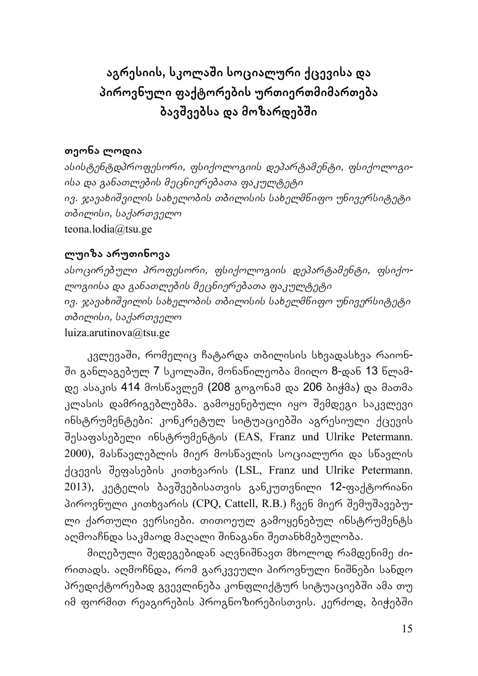**აგრესიის, სკოლაשი სოციალური ქცევისა და პიროვნული ფაქტორების ურთიერთმიმართება ბავשვებსა და მოზარდებשი**

### **თეონა ლოდია**

*ასისტენტდპროფესორი, ფსიქოლოგიის დეპარტამენტი, ფსიქოლოგიისა და განათლების მეცნიერებათა ფაკულტეტი ივ. ჯავახიשვილის სახელობის თბილისის სახელმწიფო უნივერსიტეტი თბილისი, საქართველო* teona.lodia@tsu.ge

### **ლუიზა არუთინოვა**

*ასოცირებული პროფესორი, ფსიქოლოგიის დეპარტამენტი, ფსიქოლოგიისა და განათლების მეცნიერებათა ფაკულტეტი ივ. ჯავახიשვილის სახელობის თბილისის სახელმწიფო უნივერსიტეტი თბილისი, საქართველო* luiza.arutinova@tsu.ge

კვლევაשი, რომელიც ჩატარდა თბილისის სხვადასხვა რაიონში განლაგებულ 7 სკოლაში, მონაწილეობა მიიღო 8-დან 13 წლამდე ასაკის 414 მოსწავლემ (208 გოგონამ და 206 ბიჭმა) და მათმა კლასის დამრიგებლებმა. გამოყენებული იყო שემდეგი საკვლევი ინსტრუმენტები: კონკრეტულ სიტუაციებში აგრესიული ქცევის שესაფასებელი ინსტრუმენტის (EAS, Franz und Ulrike Petermann. 2000), მასწავლებლის მიერ მოსწავლის სოციალური და სწავლის ქცევის שეფასების კითხვარის (LSL, Franz und Ulrike Petermann. 2013), კეტელის ბავשვებისათვის განკუთვნილი 12-ფაქტორიანი პიროვნული კითხვარის (CPQ, Cattell, R.B.) ჩვენ მიერ შემუშავებული ქართული ვერსიები. თითოეულ გამოყენებულ ინსტრუმენტს აღმოაჩნდა საკმაოდ მაღალი შინაგანი შეთანხმებულობა.

მიღებული שედეგებიდან აღვნიשნავთ მხოლოდ რამდენიმე ძირითადს. აღმოჩნდა, რომ გარკვეული პიროვნული ნიשნები სანდო პრედიქტორებად გვევლინება კონფლიქტურ სიტუაციებში ამა თუ იმ ფორმით რეაგირების პროგნოზირებისთვის. კერძოდ, ბიჭებში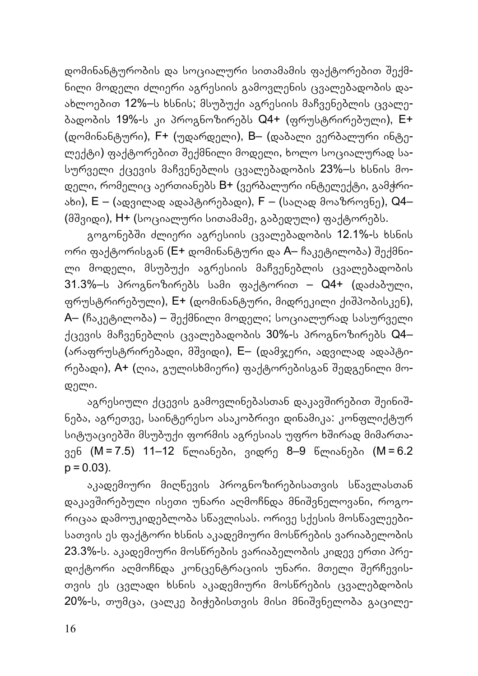დომინანტურობის და სოციალური სითამამის ფაქტორებით שექმნილი მოდელი ძლიერი აგრესიის გამოვლენის ცვალებადობის დაახლოებით 12%–ს ხსნის; მსუბუქი აგრესიის მაჩვენებლის ცვალებადობის 19%-ს კი პროგნოზირებს Q4+ (ფრუსტრირებული), E+ (დომინანტური), F+ (უდარდელი), B– (დაბალი ვერბალური ინტელექტი) ფაქტორებით שექმნილი მოდელი, ხოლო სოციალურად სასურველი ქცევის მაჩვენებლის ცვალებადობის 23%–ს ხსნის მოდელი, რომელიც აერთიანებს B+ (ვერბალური ინტელექტი, გამჭრიახი), E – (ადვილად ადაპტირებადი), F – (საღად მოაზროვნე), Q4– (მשვიდი), H+ (სოციალური სითამამე, გაბედული) ფაქტორებს.

გოგონებში ძლიერი აგრესიის ცვალებადობის 12.1%-ს ხსნის ორი ფაქტორისგან (E+ დომინანტური და A– ჩაკეტილობა) შექმნილი მოდელი, მსუბუქი აგრესიის მაჩვენებლის ცვალებადობის 31.3%–ს პროგნოზირებს სამი ფაქტორით – Q4+ (დაძაბული, ფრუსტრირებული), E+ (დომინანტური, მიდრეკილი ქიשპობისკენ), A– (ჩაკეტილობა) – შექმნილი მოდელი; სოციალურად სასურველი ქცევის მაჩვენებლის ცვალებადობის 30%-ს პროგნოზირებს Q4– (არაფრუსტრირებადი, მשვიდი), E– (დამჯერი, ადვილად ადაპტირებადი), A+ (ღია, გულისხმიერი) ფაქტორებისგან שედგენილი მოდელი.

აგრესიული ქცევის გამოვლინებასთან დაკავშირებით შეინიშნება, აგრეთვე, საინტერესო ასაკობრივი დინამიკა: კონფლიქტურ სიტუაციებში მსუბუქი ფორმის აგრესიას უფრო ხშირად მიმართავენ (M = 7.5) 11–12 წლიანები, ვიდრე 8–9 წლიანები (M = 6.2  $p = 0.03$ ).

აკადემიური მიღწევის პროგნოზირებისათვის სწავლასთან დაკავשირებული ისეთი უნარი აღმოჩნდა მნიשვნელოვანი, როგორიცაა დამოუკიდებლობა სწავლისას. ორივე სქესის მოსწავლეებისათვის ეს ფაქტორი ხსნის აკადემიური მოსწრების ვარიაბელობის 23.3%-ს. აკადემიური მოსწრების ვარიაბელობის კიდევ ერთი პრედიქტორი აღმოჩნდა კონცენტრაციის უნარი. მთელი שერჩევისთვის ეს ცვლადი ხსნის აკადემიური მოსწრების ცვალებდობის 20%-ს, თუმცა, ცალკე ბიჭებისთვის მისი მნიשვნელობა გაცილე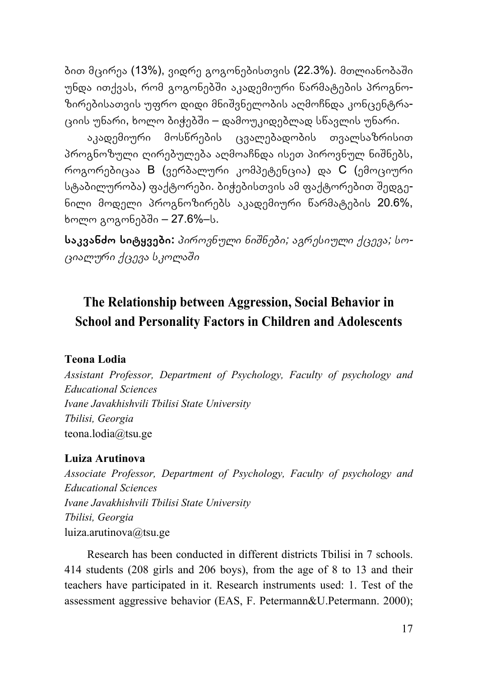ბით მცირეა (13%), ვიდრე გოგონებისთვის (22.3%). მთლიანობაში უნდა ითქვას, რომ გოგონებשი აკადემიური წარმატების პროგნოზირებისათვის უფრო დიდი მნიשვნელობის აღმოჩნდა კონცენტრაციის უნარი, ხოლო ბიჭებשი – დამოუკიდებლად სწავლის უნარი.

აკადემიური მოსწრების ცვალებადობის თვალსაზრისით პროგნოზული ღირებულება აღმოაჩნდა ისეთ პიროვნულ ნიשნებს, როგორებიცაა B (ვერბალური კომპეტენცია) და C (ემოციური სტაბილურობა) ფაქტორები. ბიჭებისთვის ამ ფაქტორებით שედგენილი მოდელი პროგნოზირებს აკადემიური წარმატების 20.6%, ხოლო გოგონებשი – 27.6%–ს.

**საკვანძო სიტყვები:** *პიროვნული ნიשნები; აგრესიული ქცევა; სოციალური ქცევა სკოლაשი*

## **The Relationship between Aggression, Social Behavior in School and Personality Factors in Children and Adolescents**

#### **Teona Lodia**

*Assistant Professor, Department of Psychology, Faculty of psychology and Educational Sciences Ivane Javakhishvili Tbilisi State University Tbilisi, Georgia* teona.lodia@tsu.ge

#### **Luiza Arutinova**

*Associate Professor, Department of Psychology, Faculty of psychology and Educational Sciences Ivane Javakhishvili Tbilisi State University Tbilisi, Georgia* luiza.arutinova@tsu.ge

Research has been conducted in different districts Tbilisi in 7 schools. 414 students (208 girls and 206 boys), from the age of 8 to 13 and their teachers have participated in it. Research instruments used: 1. Test of the assessment aggressive behavior (EAS, F. Petermann&U.Petermann. 2000);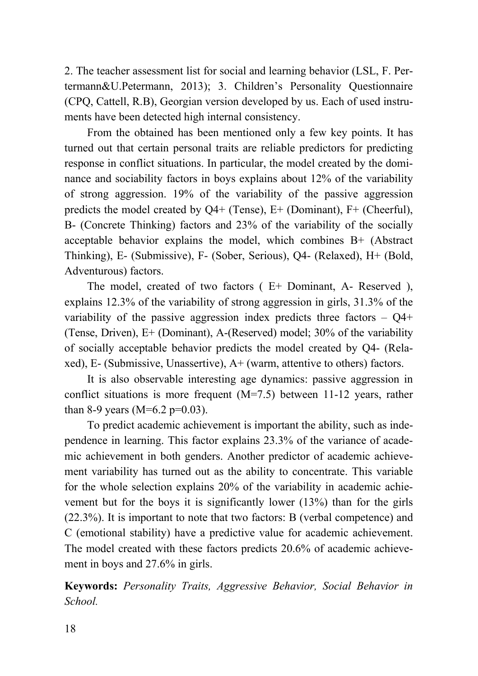2. The teacher assessment list for social and learning behavior (LSL, F. Pertermann&U.Petermann, 2013); 3. Children's Personality Questionnaire (CPQ, Cattell, R.B), Georgian version developed by us. Each of used instruments have been detected high internal consistency.

From the obtained has been mentioned only a few key points. It has turned out that certain personal traits are reliable predictors for predicting response in conflict situations. In particular, the model created by the dominance and sociability factors in boys explains about 12% of the variability of strong aggression. 19% of the variability of the passive aggression predicts the model created by Q4+ (Tense), E+ (Dominant), F+ (Cheerful), B- (Concrete Thinking) factors and 23% of the variability of the socially acceptable behavior explains the model, which combines B+ (Abstract Thinking), E- (Submissive), F- (Sober, Serious), Q4- (Relaxed), H+ (Bold, Adventurous) factors.

The model, created of two factors ( E+ Dominant, A- Reserved ), explains 12.3% of the variability of strong aggression in girls, 31.3% of the variability of the passive aggression index predicts three factors  $-$  Q4+ (Tense, Driven), E+ (Dominant), A-(Reserved) model; 30% of the variability of socially acceptable behavior predicts the model created by Q4- (Relaxed), E- (Submissive, Unassertive), A+ (warm, attentive to others) factors.

It is also observable interesting age dynamics: passive aggression in conflict situations is more frequent (M=7.5) between 11-12 years, rather than 8-9 years (M=6.2 p=0.03).

To predict academic achievement is important the ability, such as independence in learning. This factor explains 23.3% of the variance of academic achievement in both genders. Another predictor of academic achievement variability has turned out as the ability to concentrate. This variable for the whole selection explains 20% of the variability in academic achievement but for the boys it is significantly lower (13%) than for the girls (22.3%). It is important to note that two factors: B (verbal competence) and C (emotional stability) have a predictive value for academic achievement. The model created with these factors predicts 20.6% of academic achievement in boys and 27.6% in girls.

**Keywords:** *Personality Traits, Aggressive Behavior, Social Behavior in School.*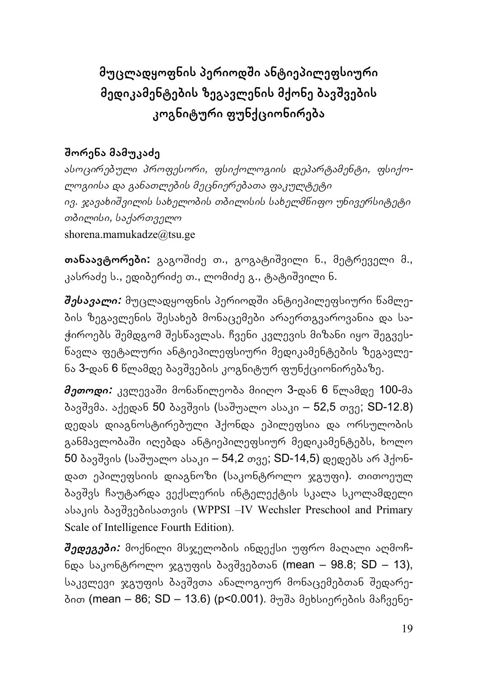## **მუცლადყოფნის პერიოდשი ანტიეპილეფსიური მედიკამენტების ზეგავლენის მქონე ბავשვების კოგნიტური ფუნქციონირება**

## **שორენა მამუკაძე**

*ასოცირებული პროფესორი, ფსიქოლოგიის დეპარტამენტი, ფსიქოლოგიისა და განათლების მეცნიერებათა ფაკულტეტი ივ. ჯავახიשვილის სახელობის თბილისის სახელმწიფო უნივერსიტეტი თბილისი, საქართველო* shorena.mamukadze@tsu.ge

**თანაავტორები:** გაგოשიძე თ., გოგატიשვილი ნ., მეტრეველი მ., კასრაძე ს., ედიბერიძე თ., ლომიძე გ., ტატიשვილი ნ.

*שესავალი:* მუცლადყოფნის პერიოდשი ანტიეპილეფსიური წამლების ზეგავლენის שესახებ მონაცემები არაერთგვაროვანია და საჭიროებს שემდგომ שესწავლას. ჩვენი კვლევის მიზანი იყო שეგვესწავლა ფეტალური ანტიეპილეფსიური მედიკამენტების ზეგავლენა 3-დან 6 წლამდე ბავשვების კოგნიტურ ფუნქციონირებაზე.

*მეთოდი:* კვლევაשი მონაწილეობა მიიღო 3-დან 6 წლამდე 100-მა ბავშვმა. აქედან 50 ბავშვის (საშუალო ასაკი – 52,5 თვე; SD-12.8) დედას დიაგნოსტირებული ჰქონდა ეპილეფსია და ორსულობის განმავლობაში იღებდა ანტიეპილეფსიურ მედიკამენტებს, ხოლო 50 ბავშვის (საშუალო ასაკი – 54,2 თვე; SD-14,5) დედებს არ ჰქონდათ ეპილეფსიის დიაგნოზი (საკონტროლო ჯგუფი). თითოეულ ბავשვს ჩაუტარდა ვექსლერის ინტელექტის სკალა სკოლამდელი ასაკის ბავשვებისათვის (WPPSI –IV Wechsler Preschool and Primary Scale of Intelligence Fourth Edition).

*שედეგები:* მოქნილი მსჯელობის ინდექსი უფრო მაღალი აღმოჩნდა საკონტროლო ჯგუფის ბავשვებთან (mean – 98.8; SD – 13), საკვლევი ჯგუფის ბავშვთა ანალოგიურ მონაცემებთან შედარებით (mean – 86; SD – 13.6) (p<0.001). მუשა მეხსიერების მაჩვენე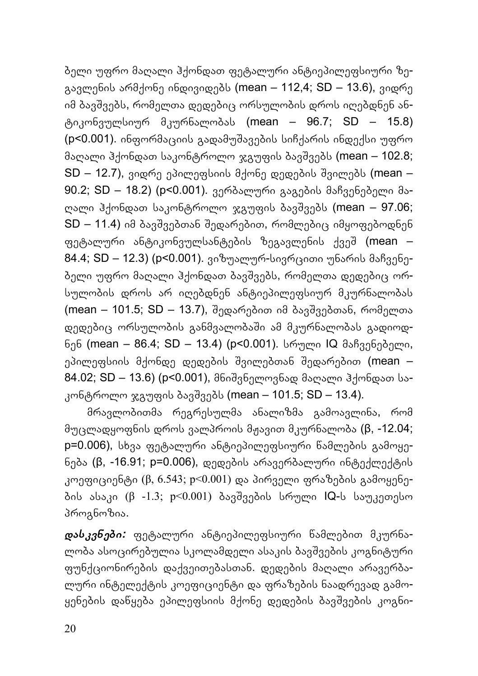ბელი უფრო მაღალი ჰქონდათ ფეტალური ანტიეპილეფსიური ზეგავლენის არმქონე ინდივიდებს (mean – 112,4; SD – 13.6), ვიდრე იმ ბავשვებს, რომელთა დედებიც ორსულობის დროს იღებდნენ ანტიკონვულსიურ მკურნალობას (mean – 96.7; SD – 15.8) (p<0.001). ინფორმაციის გადამუשავების სიჩქარის ინდექსი უფრო მაღალი ჰქონდათ საკონტროლო ჯგუფის ბავשვებს (mean – 102.8;  $SD - 12.7$ ), ვიდრე ეპილეფსიის მქონე დედების შვილებს (mean – 90.2; SD – 18.2) (p<0.001). ვერბალური გაგების მაჩვენებელი მაღალი ჰქონდათ საკონტროლო ჯგუფის ბავשვებს (mean – 97.06;  $SD - 11.4$ ) იმ ბავშვებთან შედარებით, რომლებიც იმყოფებოდნენ ფეტალური ანტიკონვულსანტების ზეგავლენის ქვეშ (mean – 84.4; SD – 12.3) (p<0.001). ვიზუალურ-სივრცითი უნარის მაჩვენებელი უფრო მაღალი ჰქონდათ ბავשვებს, რომელთა დედებიც ორსულობის დროს არ იღებდნენ ანტიეპილეფსიურ მკურნალობას (mean – 101.5; SD – 13.7), שედარებით იმ ბავשვებთან, რომელთა დედებიც ორსულობის განმვალობაשი ამ მკურნალობას გადიოდნენ (mean – 86.4; SD – 13.4) (p<0.001). სრული IQ მაჩვენებელი, ეპილეფსიის მქონდე დედების შვილებთან შედარებით (mean – 84.02; SD – 13.6) (p<0.001), მნიשვნელოვნად მაღალი ჰქონდათ საკონტროლო ჯგუფის ბავშვებს (mean – 101.5; SD – 13.4).

მრავლობითმა რეგრესულმა ანალიზმა გამოავლინა, რომ მუცლადყოფნის დროს ვალპროის მჟავით მკურნალობა (β, -12.04; p=0.006), სხვა ფეტალური ანტიეპილეფსიური წამლების გამოყენება (β, -16.91; p=0.006), დედების არავერბალური ინტექლექტის კოეფიციენტი (β, 6.543; p<0.001) და პირველი ფრაზების გამოყენების ასაკი (β -1.3; p<0.001) ბავשვების სრული IQ-ს საუკეთესო პროგნოზია.

*დასკვნები:* ფეტალური ანტიეპილეფსიური წამლებით მკურნალობა ასოცირებულია სკოლამდელი ასაკის ბავשვების კოგნიტური ფუნქციონირების დაქვეითებასთან. დედების მაღალი არავერბალური ინტელექტის კოეფიციენტი და ფრაზების ნაადრევად გამოყენების დაწყება ეპილეფსიის მქონე დედების ბავשვების კოგნი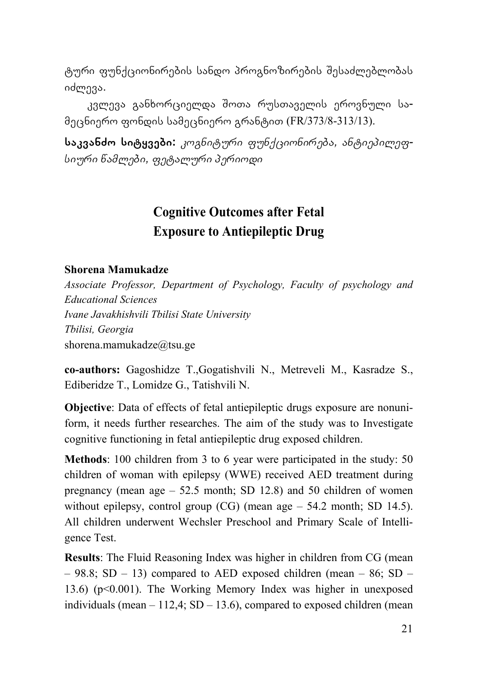ტური ფუნქციონირების სანდო პროგნოზირების שესაძლებლობას იძლევა.

კვლევა განხორციელდა שოთა რუსთაველის ეროვნული სამეცნიერო ფონდის სამეცნიერო გრანტით (FR/373/8-313/13).

**საკვანძო სიტყვები:** *კოგნიტური ფუნქციონირება, ანტიეპილეფსიური წამლები, ფეტალური პერიოდი*

## **Cognitive Outcomes after Fetal Exposure to Antiepileptic Drug**

#### **Shorena Mamukadze**

*Associate Professor, Department of Psychology, Faculty of psychology and Educational Sciences Ivane Javakhishvili Tbilisi State University Tbilisi, Georgia* shorena.mamukadze@tsu.ge

**co-authors:** Gagoshidze T.,Gogatishvili N., Metreveli M., Kasradze S., Ediberidze T., Lomidze G., Tatishvili N.

**Objective**: Data of effects of fetal antiepileptic drugs exposure are nonuniform, it needs further researches. The aim of the study was to Investigate cognitive functioning in fetal antiepileptic drug exposed children.

**Methods**: 100 children from 3 to 6 year were participated in the study: 50 children of woman with epilepsy (WWE) received AED treatment during pregnancy (mean age – 52.5 month; SD 12.8) and 50 children of women without epilepsy, control group  $(CG)$  (mean age  $-54.2$  month; SD 14.5). All children underwent Wechsler Preschool and Primary Scale of Intelligence Test.

**Results**: The Fluid Reasoning Index was higher in children from CG (mean  $-98.8$ ; SD  $-13$ ) compared to AED exposed children (mean  $-86$ ; SD  $-$ 13.6) (p<0.001). The Working Memory Index was higher in unexposed individuals (mean  $-112.4$ ; SD  $-13.6$ ), compared to exposed children (mean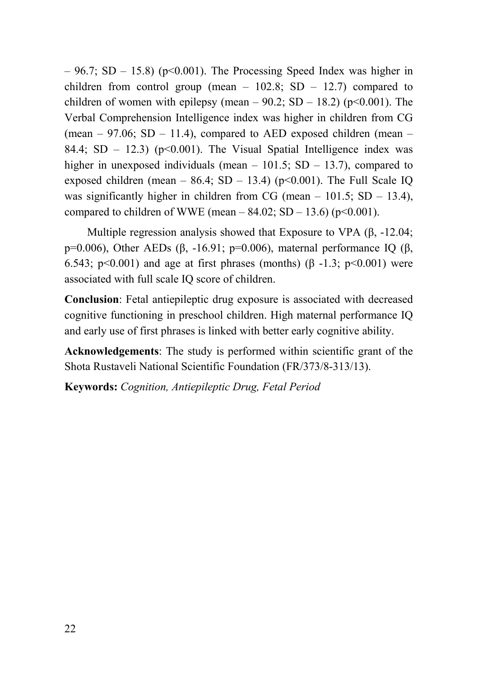$-96.7$ ; SD  $-15.8$ ) (p<0.001). The Processing Speed Index was higher in children from control group (mean  $-102.8$ ; SD  $-12.7$ ) compared to children of women with epilepsy (mean –  $90.2$ ; SD – 18.2) (p<0.001). The Verbal Comprehension Intelligence index was higher in children from CG (mean  $-97.06$ ; SD  $-11.4$ ), compared to AED exposed children (mean  $-$ 84.4;  $SD - 12.3$  ( $p \le 0.001$ ). The Visual Spatial Intelligence index was higher in unexposed individuals (mean  $-101.5$ ; SD  $-13.7$ ), compared to exposed children (mean –  $86.4$ : SD – 13.4) (p<0.001). The Full Scale IO was significantly higher in children from CG (mean  $-$  101.5; SD  $-$  13.4), compared to children of WWE (mean –  $84.02$ ; SD – 13.6) (p<0.001).

Multiple regression analysis showed that Exposure to VPA (β, -12.04; p=0.006), Other AEDs (β, -16.91; p=0.006), maternal performance IO (β, 6.543; p<0.001) and age at first phrases (months) ( $\beta$  -1.3; p<0.001) were associated with full scale IQ score of children.

**Conclusion**: Fetal antiepileptic drug exposure is associated with decreased cognitive functioning in preschool children. High maternal performance IQ and early use of first phrases is linked with better early cognitive ability.

**Acknowledgements**: The study is performed within scientific grant of the Shota Rustaveli National Scientific Foundation (FR/373/8-313/13).

**Keywords:** *Cognition, Antiepileptic Drug, Fetal Period*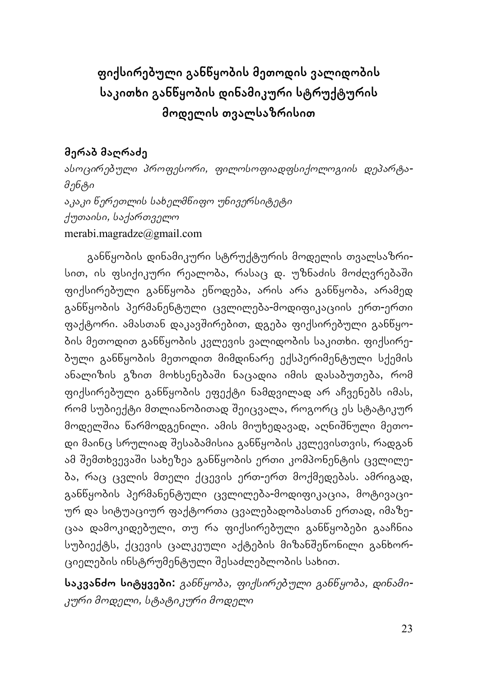## **ფიქსირებული განწყობის მეთოდის ვალიდობის საკითხი განწყობის დინამიკური სტრუქტურის მოდელის თვალსაზრისით**

### **მერაბ მაღრაძე**

*ასოცირებული პროფესორი, ფილოსოფიადფსიქოლოგიის დეპარტამენტი აკაკი წერეთლის სახელმწიფო უნივერსიტეტი ქუთაისი, საქართველო* merabi.magradze@gmail.com

განწყობის დინამიკური სტრუქტურის მოდელის თვალსაზრისით, ის ფსიქიკური რეალობა, რასაც დ. უზნაძის მოძღვრებაში ფიქსირებული განწყობა ეწოდება, არის არა განწყობა, არამედ განწყობის პერმანენტული ცვლილება-მოდიფიკაციის ერთ-ერთი ფაქტორი. ამასთან დაკავשირებით, დგება ფიქსირებული განწყობის მეთოდით განწყობის კვლევის ვალიდობის საკითხი. ფიქსირებული განწყობის მეთოდით მიმდინარე ექსპერიმენტული სქემის ანალიზის გზით მოხსენებაשი ნაცადია იმის დასაბუთება, რომ ფიქსირებული განწყობის ეფექტი ნამდვილად არ აჩვენებს იმას, რომ სუბიექტი მთლიანობითად שეიცვალა, როგორც ეს სტატიკურ მოდელშია წარმოდგენილი. ამის მიუხედავად, აღნიშნული მეთოდი მაინც სრულიად שესაბამისია განწყობის კვლევისთვის, რადგან ამ שემთხვევაשი სახეზეა განწყობის ერთი კომპონენტის ცვლილება, რაც ცვლის მთელი ქცევის ერთ-ერთ მოქმედებას. ამრიგად, განწყობის პერმანენტული ცვლილება-მოდიფიკაცია, მოტივაციურ და სიტუაციურ ფაქტორთა ცვალებადობასთან ერთად, იმაზეცაა დამოკიდებული, თუ რა ფიქსირებული განწყობები გააჩნია სუბიექტს, ქცევის ცალკეული აქტების მიზანשეწონილი განხორციელების ინსტრუმენტული שესაძლებლობის სახით.

**საკვანძო სიტყვები:** *განწყობა, ფიქსირებული განწყობა, დინამიკური მოდელი, სტატიკური მოდელი*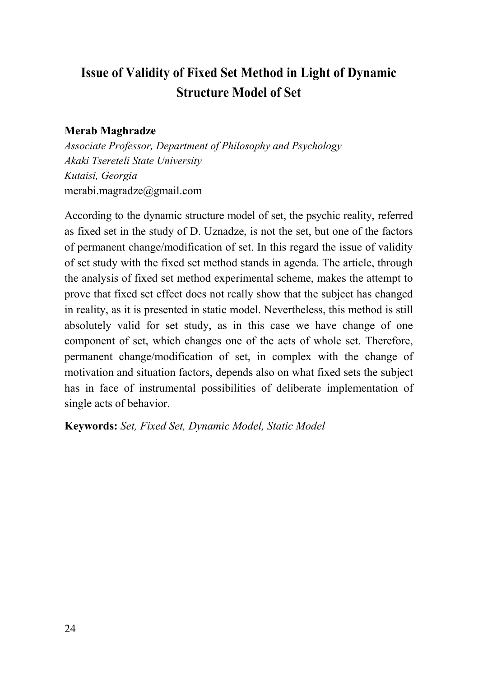## **Issue of Validity of Fixed Set Method in Light of Dynamic Structure Model of Set**

#### **Merab Maghradze**

*Associate Professor, Department of Philosophy and Psychology Akaki Tsereteli State University Kutaisi, Georgia*  merabi.magradze@gmail.com

According to the dynamic structure model of set, the psychic reality, referred as fixed set in the study of D. Uznadze, is not the set, but one of the factors of permanent change/modification of set. In this regard the issue of validity of set study with the fixed set method stands in agenda. The article, through the analysis of fixed set method experimental scheme, makes the attempt to prove that fixed set effect does not really show that the subject has changed in reality, as it is presented in static model. Nevertheless, this method is still absolutely valid for set study, as in this case we have change of one component of set, which changes one of the acts of whole set. Therefore, permanent change/modification of set, in complex with the change of motivation and situation factors, depends also on what fixed sets the subject has in face of instrumental possibilities of deliberate implementation of single acts of behavior.

**Keywords:** *Set, Fixed Set, Dynamic Model, Static Model*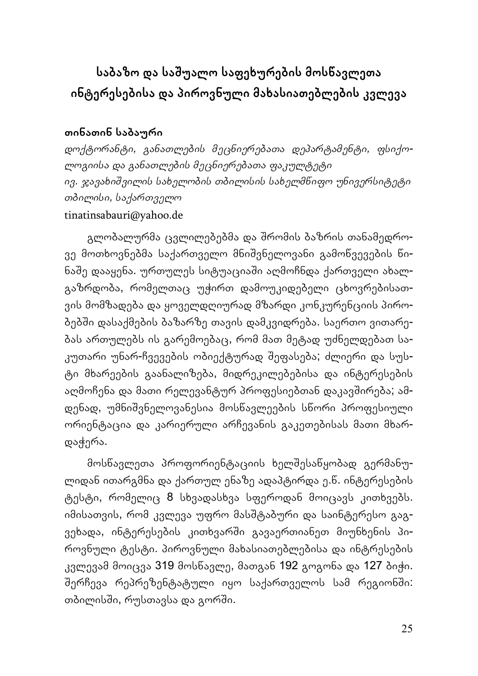## **საბაზო და საשუალო საფეხურების მოსწავლეთა ინტერესებისა და პიროვნული მახასიათებლების კვლევა**

### **თინათინ საბაური**

*დოქტორანტი, განათლების მეცნიერებათა დეპარტამენტი, ფსიქოლოგიისა და განათლების მეცნიერებათა ფაკულტეტი ივ. ჯავახიשვილის სახელობის თბილისის სახელმწიფო უნივერსიტეტი თბილისი, საქართველო* tinatinsabauri@yahoo.de

გლობალურმა ცვლილებებმა და שრომის ბაზრის თანამედროვე მოთხოვნებმა საქართველო მნიשვნელოვანი გამოწვევების წინაשე დააყენა. ურთულეს სიტუაციაשი აღმოჩნდა ქართველი ახალგაზრდობა, რომელთაც უჭირთ დამოუკიდებელი ცხოვრებისათვის მომზადება და ყოველდღიურად მზარდი კონკურენციის პირობებשი დასაქმების ბაზარზე თავის დამკვიდრება. საერთო ვითარებას ართულებს ის გარემოებაც, რომ მათ მეტად უძნელდებათ საკუთარი უნარ-ჩვევების ობიექტურად שეფასება; ძლიერი და სუსტი მხარეების გაანალიზება, მიდრეკილებებისა და ინტერესების აღმოჩენა და მათი რელევანტურ პროფესიებთან დაკავשირება; ამდენად, უმნიשვნელოვანესია მოსწავლეების სწორი პროფესიული ორიენტაცია და კარიერული არჩევანის გაკეთებისას მათი მხარდაჭერა.

მოსწავლეთა პროფორიენტაციის ხელשესაწყობად გერმანულიდან ითარგმნა და ქართულ ენაზე ადაპტირდა ე.წ. ინტერესების ტესტი, რომელიც 8 სხვადასხვა სფეროდან მოიცავს კითხვებს. იმისათვის, რომ კვლევა უფრო მასשტაბური და საინტერესო გაგვეხადა, ინტერესების კითხვარში გავაერთიანეთ მიუნხენის პიროვნული ტესტი. პიროვნული მახასიათებლებისა და ინტრესების კვლევამ მოიცვა 319 მოსწავლე, მათგან 192 გოგონა და 127 ბიჭი. შერჩევა რეპრეზენტატული იყო საქართველოს სამ რეგიონში: თბილისში, რუსთავსა და გორში.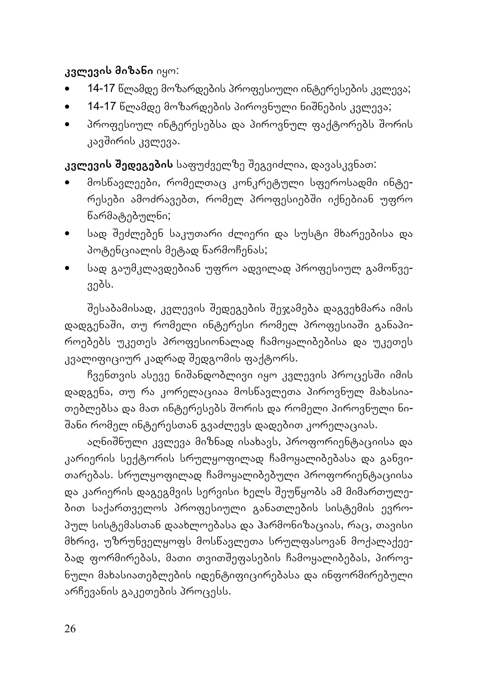### **კვლევის მიზანი** იყო:

- 14-17 წლამდე მოზარდების პროფესიული ინტერესების კვლევა;
- 14-17 წლამდე მოზარდების პიროვნული ნიשნების კვლევა;
- $\bullet$  3როფესიულ ინტერესებსა და პიროვნულ ფაქტორებს შორის კავשირის კვლევა.

**კვლევის שედეგების** საფუძველზე שეგვიძლია, დავასკვნათ:

- მოსწავლეები, რომელთაც კონკრეტული სფეროსადმი ინტერესები ამოძრავებთ, რომელ პროფესიებში იქნებიან უფრო წარმატებულნი;
- სად שეძლებენ საკუთარი ძლიერი და სუსტი მხარეებისა და პოტენციალის მეტად წარმოჩენას;
- სად გაუმკლავდებიან უფრო ადვილად პროფესიულ გამოწვევებს.

שესაბამისად, კვლევის שედეგების שეჯამება დაგვეხმარა იმის დადგენაשი, თუ რომელი ინტერესი რომელ პროფესიაשი განაპიროებებს უკეთეს პროფესიონალად ჩამოყალიბებისა და უკეთეს კვალიფიციურ კადრად שედგომის ფაქტორს.

ჩვენთვის ასევე ნიშანდობლივი იყო კვლევის პროცესში იმის დადგენა, თუ რა კორელაციაა მოსწავლეთა პიროვნულ მახასიათებლებსა და მათ ინტერესებს שორის და რომელი პიროვნული ნი-שანი რომელ ინტერესთან გვაძლევს დადებით კორელაციას.

აღნიשნული კვლევა მიზნად ისახავს, პროფორიენტაციისა და კარიერის სექტორის სრულყოფილად ჩამოყალიბებასა და განვითარებას. სრულყოფილად ჩამოყალიბებული პროფორიენტაციისა და კარიერის დაგეგმვის სერვისი ხელს שეუწყობს ამ მიმართულებით საქართველოს პროფესიული განათლების სისტემის ევროპულ სისტემასთან დაახლოებასა და ჰარმონიზაციას, რაც, თავისი მხრივ, უზრუნველყოფს მოსწავლეთა სრულფასოვან მოქალაქეებად ფორმირებას, მათი თვითשეფასების ჩამოყალიბებას, პიროვნული მახასიათებლების იდენტიფიცირებასა და ინფორმირებული არჩევანის გაკეთების პროცესს.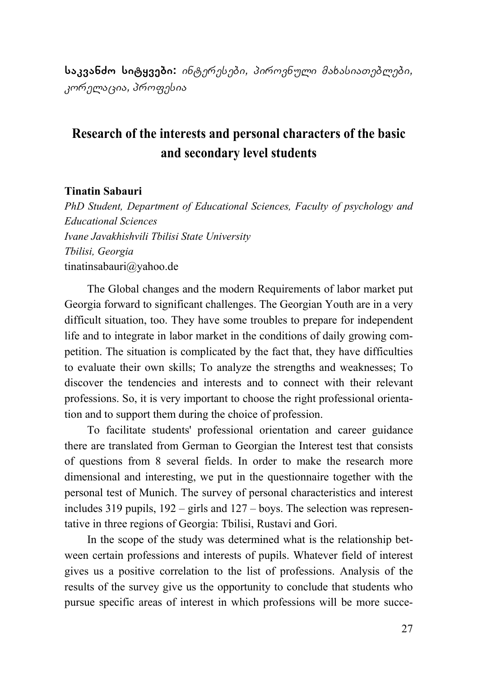**საკვანძო სიტყვები:** *ინტერესები, პიროვნული მახასიათებლები, კორელაცია, პროფესია*

## **Research of the interests and personal characters of the basic and secondary level students**

#### **Tinatin Sabauri**

*PhD Student, Department of Educational Sciences, Faculty of psychology and Educational Sciences Ivane Javakhishvili Tbilisi State University Tbilisi, Georgia*  tinatinsabauri@yahoo.de

The Global changes and the modern Requirements of labor market put Georgia forward to significant challenges. The Georgian Youth are in a very difficult situation, too. They have some troubles to prepare for independent life and to integrate in labor market in the conditions of daily growing competition. The situation is complicated by the fact that, they have difficulties to evaluate their own skills; To analyze the strengths and weaknesses; To discover the tendencies and interests and to connect with their relevant professions. So, it is very important to choose the right professional orientation and to support them during the choice of profession.

To facilitate students' professional orientation and career guidance there are translated from German to Georgian the Interest test that consists of questions from 8 several fields. In order to make the research more dimensional and interesting, we put in the questionnaire together with the personal test of Munich. The survey of personal characteristics and interest includes 319 pupils, 192 – girls and 127 – boys. The selection was representative in three regions of Georgia: Tbilisi, Rustavi and Gori.

In the scope of the study was determined what is the relationship between certain professions and interests of pupils. Whatever field of interest gives us a positive correlation to the list of professions. Analysis of the results of the survey give us the opportunity to conclude that students who pursue specific areas of interest in which professions will be more succe-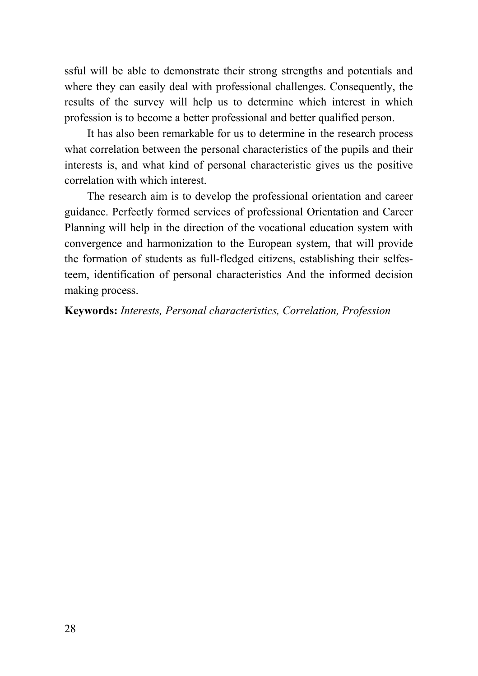ssful will be able to demonstrate their strong strengths and potentials and where they can easily deal with professional challenges. Consequently, the results of the survey will help us to determine which interest in which profession is to become a better professional and better qualified person.

It has also been remarkable for us to determine in the research process what correlation between the personal characteristics of the pupils and their interests is, and what kind of personal characteristic gives us the positive correlation with which interest.

The research aim is to develop the professional orientation and career guidance. Perfectly formed services of professional Orientation and Career Planning will help in the direction of the vocational education system with convergence and harmonization to the European system, that will provide the formation of students as full-fledged citizens, establishing their selfesteem, identification of personal characteristics And the informed decision making process.

#### **Keywords:** *Interests, Personal characteristics, Correlation, Profession*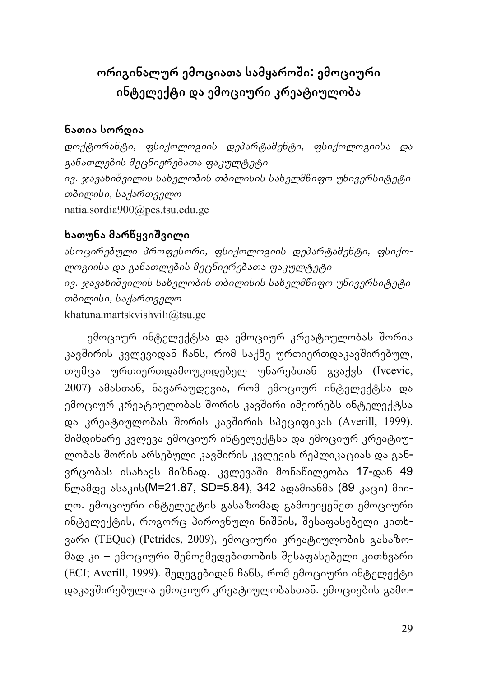## **ორიგინალურ ემოციათა სამყაროשი: ემოციური ინტელექტი და ემოციური კრეატიულობა**

### **ნათია სორდია**

*დოქტორანტი, ფსიქოლოგიის დეპარტამენტი, ფსიქოლოგიისა და განათლების მეცნიერებათა ფაკულტეტი ივ. ჯავახიשვილის სახელობის თბილისის სახელმწიფო უნივერსიტეტი თბილისი, საქართველო* natia.sordia900@pes.tsu.edu.ge

### **ხათუნა მარწყვიשვილი**

*ასოცირებული პროფესორი, ფსიქოლოგიის დეპარტამენტი, ფსიქოლოგიისა და განათლების მეცნიერებათა ფაკულტეტი ივ. ჯავახიשვილის სახელობის თბილისის სახელმწიფო უნივერსიტეტი თბილისი, საქართველო* khatuna.martskvishvili@tsu.ge

ემოციურ ინტელექტსა და ემოციურ კრეატიულობას შორის კავשირის კვლევიდან ჩანს, რომ საქმე ურთიერთდაკავשირებულ, თუმცა ურთიერთდამოუკიდებელ უნარებთან გვაქვს (Ivcevic, 2007) ამასთან, ნავარაუდევია, რომ ემოციურ ინტელექტსა და ემოციურ კრეატიულობას שორის კავשირი იმეორებს ინტელექტსა და კრეატიულობას שორის კავשირის სპეციფიკას (Averill, 1999). მიმდინარე კვლევა ემოციურ ინტელექტსა და ემოციურ კრეატიულობას שორის არსებული კავשირის კვლევის რეპლიკაციას და განვრცობას ისახავს მიზნად. კვლევაשი მონაწილეობა 17-დან 49 წლამდე ასაკის(M=21.87, SD=5.84), 342 ადამიანმა (89 კაცი) მიიღო. ემოციური ინტელექტის გასაზომად გამოვიყენეთ ემოციური ინტელექტის, როგორც პიროვნული ნიშნის, შესაფასებელი კითხვარი (TEQue) (Petrides, 2009), ემოციური კრეატიულობის გასაზომად კი – ემოციური שემოქმედებითობის שესაფასებელი კითხვარი (ECI; Averill, 1999). שედეგებიდან ჩანს, რომ ემოციური ინტელექტი დაკავשირებულია ემოციურ კრეატიულობასთან. ემოციების გამო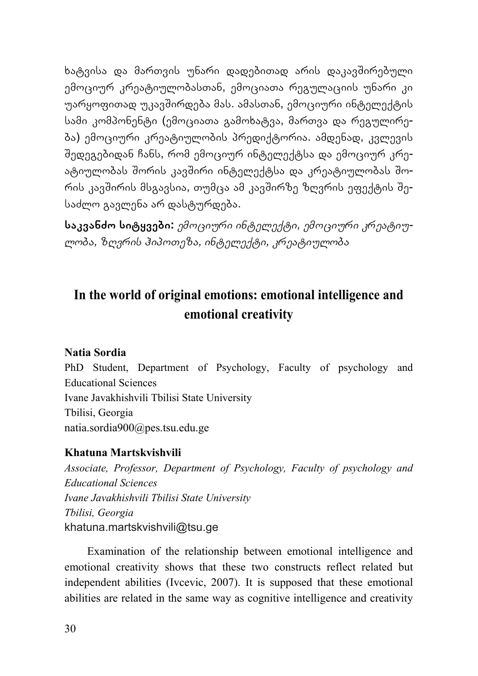ხატვისა და მართვის უნარი დადებითად არის დაკავשირებული ემოციურ კრეატიულობასთან, ემოციათა რეგულაციის უნარი კი უარყოფითად უკავשირდება მას. ამასთან, ემოციური ინტელექტის სამი კომპონენტი (ემოციათა გამოხატვა, მართვა და რეგულირება) ემოციური კრეატიულობის პრედიქტორია. ამდენად, კვლევის שედეგებიდან ჩანს, რომ ემოციურ ინტელექტსა და ემოციურ კრეატიულობას შორის კავშირი ინტელექტსა და კრეატიულობას შორის კავשირის მსგავსია, თუმცა ამ კავשირზე ზღვრის ეფექტის שესაძლო გავლენა არ დასტურდება.

**საკვანძო სიტყვები:** *ემოციური ინტელექტი, ემოციური კრეატიულობა, ზღვრის ჰიპოთეზა, ინტელექტი, კრეატიულობა*

## **In the world of original emotions: emotional intelligence and emotional creativity**

#### **Natia Sordia**

PhD Student, Department of Psychology, Faculty of psychology and Educational Sciences Ivane Javakhishvili Tbilisi State University Tbilisi, Georgia natia.sordia900@pes.tsu.edu.ge

#### **Khatuna Martskvishvili**

*Associate, Professor, Department of Psychology, Faculty of psychology and Educational Sciences Ivane Javakhishvili Tbilisi State University Tbilisi, Georgia*  khatuna.martskvishvili@tsu.ge

Examination of the relationship between emotional intelligence and emotional creativity shows that these two constructs reflect related but independent abilities (Ivcevic, 2007). It is supposed that these emotional abilities are related in the same way as cognitive intelligence and creativity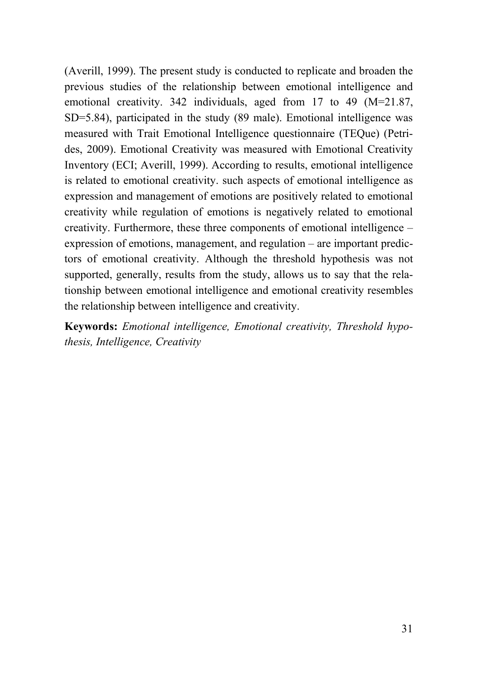(Averill, 1999). The present study is conducted to replicate and broaden the previous studies of the relationship between emotional intelligence and emotional creativity. 342 individuals, aged from 17 to 49 (M=21.87, SD=5.84), participated in the study (89 male). Emotional intelligence was measured with Trait Emotional Intelligence questionnaire (TEQue) (Petrides, 2009). Emotional Creativity was measured with Emotional Creativity Inventory (ECI; Averill, 1999). According to results, emotional intelligence is related to emotional creativity. such aspects of emotional intelligence as expression and management of emotions are positively related to emotional creativity while regulation of emotions is negatively related to emotional creativity. Furthermore, these three components of emotional intelligence – expression of emotions, management, and regulation – are important predictors of emotional creativity. Although the threshold hypothesis was not supported, generally, results from the study, allows us to say that the relationship between emotional intelligence and emotional creativity resembles the relationship between intelligence and creativity.

**Keywords:** *Emotional intelligence, Emotional creativity, Threshold hypothesis, Intelligence, Creativity*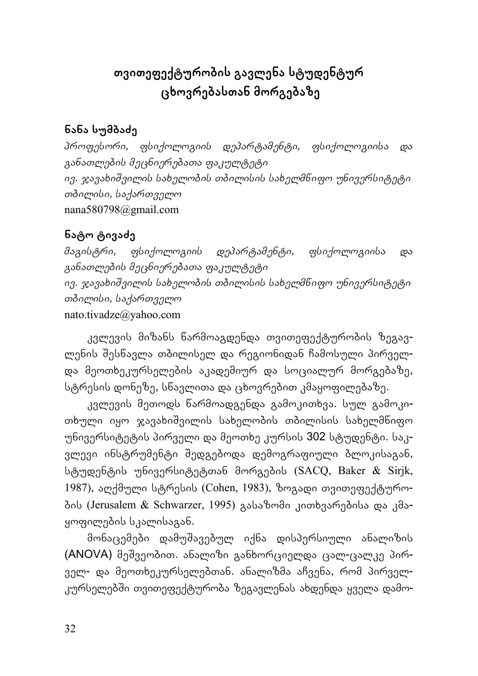## **თვითეფექტურობის გავლენა სტუდენტურ ცხოვრებასთან მორგებაზე**

### **ნანა სუმბაძე**

*პროფესორი, ფსიქოლოგიის დეპარტამენტი, ფსიქოლოგიისა და განათლების მეცნიერებათა ფაკულტეტი ივ. ჯავახიשვილის სახელობის თბილისის სახელმწიფო უნივერსიტეტი თბილისი, საქართველო* nana580798@gmail.com

### **ნატო ტივაძე**

*მაგისტრი, ფსიქოლოგიის დეპარტამენტი, ფსიქოლოგიისა და განათლების მეცნიერებათა ფაკულტეტი ივ. ჯავახიשვილის სახელობის თბილისის სახელმწიფო უნივერსიტეტი თბილისი, საქართველო* nato.tivadze@yahoo.com

კვლევის მიზანს წარმოაგდენდა თვითეფექტურობის ზეგავლენის שესწავლა თბილისელ და რეგიონიდან ჩამოსული პირველდა მეოთხეკურსელების აკადემიურ და სოციალურ მორგებაზე, სტრესის დონეზე, სწავლითა და ცხოვრებით კმაყოფილებაზე.

კვლევის მეთოდს წარმოადგენდა გამოკითხვა. სულ გამოკითხული იყო ჯავახიშვილის სახელობის თბილისის სახელმწიფო უნივერსიტეტის პირველი და მეოთხე კურსის 302 სტუდენტი. საკვლევი ინსტრუმენტი שედგებოდა დემოგრაფიული ბლოკისაგან, სტუდენტის უნივერსიტეტთან მორგების (SACQ, Baker & Sirjk, 1987), აღქმული სტრესის (Cohen, 1983), ზოგადი თვითეფექტურობის (Jerusalem & Schwarzer, 1995) გასაზომი კითხვარებისა და კმაყოფილების სკალისაგან.

მონაცემები დამუשავებულ იქნა დისპერსიული ანალიზის (ANOVA) მეשვეობით. ანალიზი განხორციელდა ცალ-ცალკე პირველ- და მეოთხეკურსელებთან. ანალიზმა აჩვენა, რომ პირველკურსელებში თვითეფექტურობა ზეგავლენას ახდენდა ყველა დამო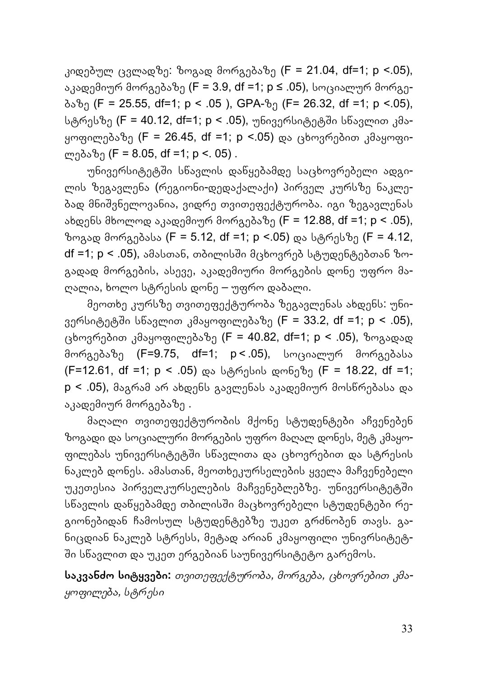კიდებულ ცვლადზე: ზოგად მორგებაზე (F = 21.04, df=1; p <.05), აკადემიურ მორგებაზე (F = 3.9, df =1; p ≤ .05), სოციალურ მორგე- $\delta s\delta q$  (F = 25.55, df=1; p < .05), GPA- $\delta q$  (F= 26.32, df =1; p <.05), სტრესზე (F = 40.12, df=1; p < .05), უნივერსიტეტში სწავლით კმაყოფილებაზე (F = 26.45, df =1; p <.05) და ცხოვრებით კმაყოფილებაზე (F = 8.05, df =1; p <. 05) .

უნივერსიტეტשი სწავლის დაწყებამდე საცხოვრებელი ადგილის ზეგავლენა (რეგიონი-დედაქალაქი) პირველ კურსზე ნაკლებად მნიשვნელოვანია, ვიდრე თვითეფექტურობა. იგი ზეგავლენას ახდენს მხოლოდ აკადემიურ მორგებაზე (F = 12.88, df =1; p < .05), ზოგად მორგებასა (F = 5.12, df =1; p <.05) და სტრესზე (F = 4.12, df =1;  $p < .05$ ), ამასთან, თბილისში მცხოვრებ სტუდენტებთან ზოგადად მორგების, ასევე, აკადემიური მორგების დონე უფრო მაღალია, ხოლო სტრესის დონე – უფრო დაბალი.

მეოთხე კურსზე თვითეფექტურობა ზეგავლენას ახდენს: უნივერსიტეტში სწავლით კმაყოფილებაზე (F = 33.2, df =1; p < .05), ცხოვრებით კმაყოფილებაზე (F = 40.82, df=1; p < .05), ზოგადად მორგებაზე (F=9.75, df=1; p < .05), სოციალურ მორგებასა (F=12.61, df =1; p < .05) და სტრესის დონეზე (F = 18.22, df =1; p < .05), მაგრამ არ ახდენს გავლენას აკადემიურ მოსწრებასა და აკადემიურ მორგებაზე .

მაღალი თვითეფექტურობის მქონე სტუდენტები აჩვენებენ ზოგადი და სოციალური მორგების უფრო მაღალ დონეს, მეტ კმაყოფილებას უნივერსიტეტში სწავლითა და ცხოვრებით და სტრესის ნაკლებ დონეს. ამასთან, მეოთხეკურსელების ყველა მაჩვენებელი უკეთესია პირველკურსელების მაჩვენებლებზე. უნივერსიტეტში სნავლის დანყებამდე თბილისში მაცხოვრებელი სტუდენტები რეგიონებიდან ჩამოსულ სტუდენტებზე უკეთ გრძნობენ თავს. განიცდიან ნაკლებ სტრესს, მეტად არიან კმაყოფილი უნივრსიტეტ-שი სწავლით და უკეთ ერგებიან საუნივერსიტეტო გარემოს.

**საკვანძო სიტყვები:** *თვითეფექტურობა, მორგება, ცხოვრებით კმაყოფილება, სტრესი*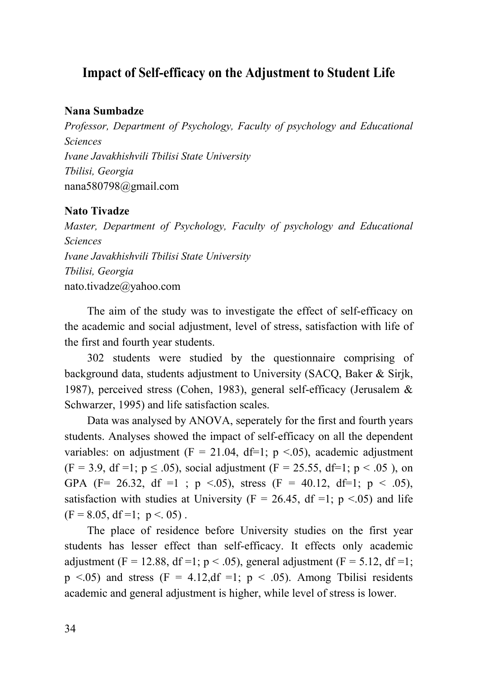## **Impact of Self-efficacy on the Adjustment to Student Life**

#### **Nana Sumbadze**

*Professor, Department of Psychology, Faculty of psychology and Educational Sciences Ivane Javakhishvili Tbilisi State University Tbilisi, Georgia*  nana580798@gmail.com

#### **Nato Tivadze**

*Master, Department of Psychology, Faculty of psychology and Educational Sciences Ivane Javakhishvili Tbilisi State University Tbilisi, Georgia*  nato.tivadze@yahoo.com

The aim of the study was to investigate the effect of self-efficacy on the academic and social adjustment, level of stress, satisfaction with life of the first and fourth year students.

302 students were studied by the questionnaire comprising of background data, students adjustment to University (SACQ, Baker & Sirjk, 1987), perceived stress (Cohen, 1983), general self-efficacy (Jerusalem & Schwarzer, 1995) and life satisfaction scales.

Data was analysed by ANOVA, seperately for the first and fourth years students. Analyses showed the impact of self-efficacy on all the dependent variables: on adjustment ( $F = 21.04$ , df=1; p <.05), academic adjustment  $(F = 3.9, df = 1; p \le .05)$ , social adjustment  $(F = 25.55, df = 1; p < .05)$ , on GPA (F= 26.32, df =1 ; p <.05), stress (F = 40.12, df=1; p < .05), satisfaction with studies at University ( $F = 26.45$ , df =1; p <.05) and life  $(F = 8.05, df = 1; p < .05)$ .

The place of residence before University studies on the first year students has lesser effect than self-efficacy. It effects only academic adjustment (F = 12.88, df = 1; p < .05), general adjustment (F = 5.12, df = 1;  $p \le 0.05$ ) and stress (F = 4.12,df =1;  $p \le 0.05$ ). Among Tbilisi residents academic and general adjustment is higher, while level of stress is lower.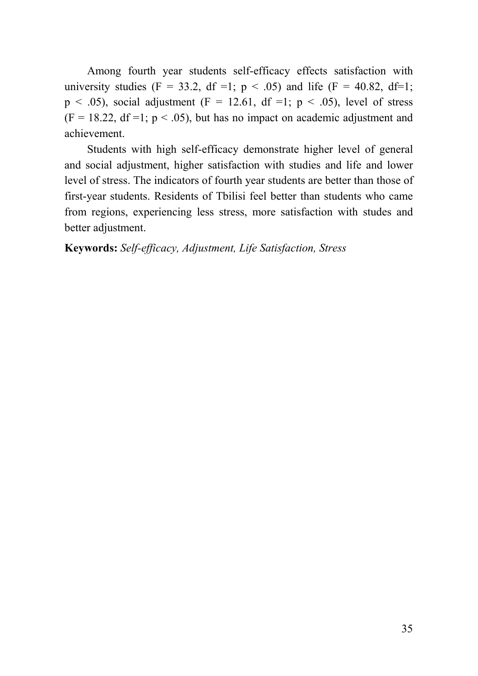Among fourth year students self-efficacy effects satisfaction with university studies (F = 33.2, df =1;  $p < .05$ ) and life (F = 40.82, df=1;  $p \leq .05$ ), social adjustment (F = 12.61, df =1;  $p \leq .05$ ), level of stress  $(F = 18.22, df = 1; p < .05)$ , but has no impact on academic adjustment and achievement.

Students with high self-efficacy demonstrate higher level of general and social adjustment, higher satisfaction with studies and life and lower level of stress. The indicators of fourth year students are better than those of first-year students. Residents of Tbilisi feel better than students who came from regions, experiencing less stress, more satisfaction with studes and better adjustment.

### **Keywords:** *Self-efficacy, Adjustment, Life Satisfaction, Stress*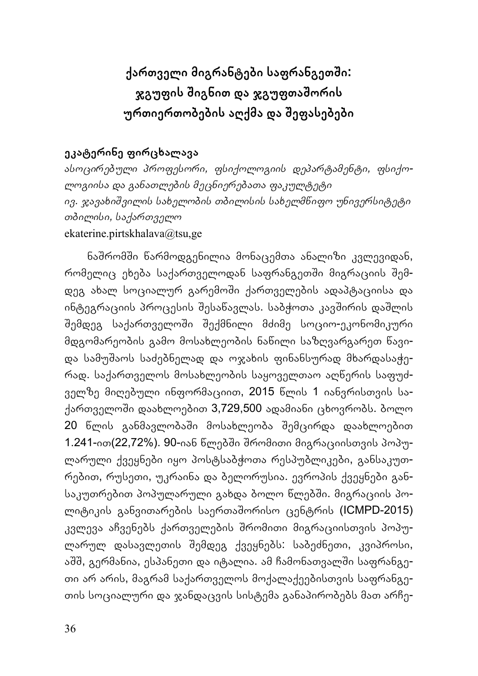## **ქართველი მიგრანტები საფრანგეთשი: ჯგუფის שიგნით და ჯგუფთაשორის ურთიერთობების აღქმა და שეფასებები**

### **ეკატერინე ფირცხალავა**

*ასოცირებული პროფესორი, ფსიქოლოგიის დეპარტამენტი, ფსიქოლოგიისა და განათლების მეცნიერებათა ფაკულტეტი ივ. ჯავახიשვილის სახელობის თბილისის სახელმწიფო უნივერსიტეტი თბილისი, საქართველო* ekaterine.pirtskhalava@tsu,ge

ნაשრომשი წარმოდგენილია მონაცემთა ანალიზი კვლევიდან, რომელიც ეხება საქართველოდან საფრანგეთში მიგრაციის შემდეგ ახალ სოციალურ გარემოשი ქართველების ადაპტაციისა და ინტეგრაციის პროცესის შესანავლას. საბჭოთა კავშირის დაშლის שემდეგ საქართველოשი שექმნილი მძიმე სოციო-ეკონომიკური მდგომარეობის გამო მოსახლეობის ნაწილი საზღვარგარეთ წავიდა სამუשაოს საძებნელად და ოჯახის ფინანსურად მხარდასაჭერად. საქართველოს მოსახლეობის საყოველთაო აღწერის საფუძველზე მიღებული ინფორმაციით, 2015 წლის 1 იანვრისთვის საქართველოში დაახლოებით 3,729,500 ადამიანი ცხოვრობს. ბოლო 20 წლის განმავლობაში მოსახლეობა შემცირდა დაახლოებით 1.241-ით(22,72%). 90-იან წლებשი שრომითი მიგრაციისთვის პოპულარული ქვეყნები იყო პოსტსაბჭოთა რესპუბლიკები, განსაკუთრებით, რუსეთი, უკრაინა და ბელორუსია. ევროპის ქვეყნები განსაკუთრებით პოპულარული გახდა ბოლო წლებשი. მიგრაციის პოლიტიკის განვითარების საერთაשორისო ცენტრის (ICMPD-2015) კვლევა აჩვენებს ქართველების שრომითი მიგრაციისთვის პოპულარულ დასავლეთის שემდეგ ქვეყნებს: საბეძნეთი, კვიპროსი, აშშ, გერმანია, ესპანეთი და იტალია. ამ ჩამონათვალში საფრანგეთი არ არის, მაგრამ საქართველოს მოქალაქეებისთვის საფრანგეთის სოციალური და ჯანდაცვის სისტემა განაპირობებს მათ არჩე-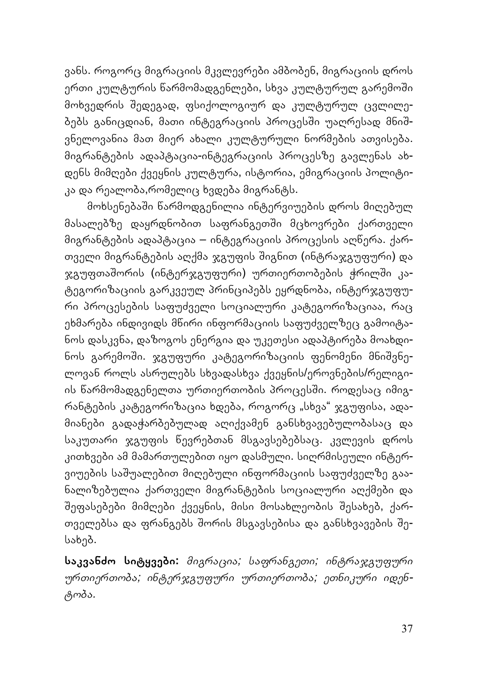ვანს. როგორც მიგრაციის მკვლევრები ამბობენ, მიგრაციის დროს ერთი კულტურის წარმომადგენლები, სხვა კულტურულ გარემოში მოხვედრის שედეგად, ფსიქოლოგიურ და კულტურულ ცვლილებებს განიცდიან, მათი ინტეგრაციის პროცესשი უაღრესად მნიשვნელოვანია მათ მიერ ახალი კულტურული ნორმების ათვისება. მიგრანტების ადაპტაცია-ინტეგრაციის პროცესზე გავლენას ახდენს მიმღები ქვეყნის კულტურა, ისტორია, ემიგრაციის პოლიტიკა და რეალობა,რომელიც ხვდება მიგრანტს.

მოხსენებაשი წარმოდგენილია ინტერვიუების დროს მიღებულ მასალებზე დაყრდნობით საფრანგეთში მცხოვრები ქართველი მიგრანტების ადაპტაცია – ინტეგრაციის პროცესის აღწერა. ქართველი მიგრანტების აღქმა ჯგუფის შიგნით (ინტრაჯგუფური) და ჯგუფთაშორის (ინტერჯგუფური) ურთიერთობების ჭრილში კატეგორიზაციის გარკვეულ პრინციპებს ეყრდნობა, ინტერჯგუფური პროცესების საფუძველი სოციალური კატეგორიზაციაა, რაც ეხმარება ინდივიდს მწირი ინფორმაციის საფუძველზეც გამოიტანოს დასკვნა, დაზოგოს ენერგია და უკეთესი ადაპტირება მოახდინოს გარემოשი. ჯგუფური კატეგორიზაციის ფენომენი მნიשვნელოვან როლს ასრულებს სხვადასხვა ქვეყნის/ეროვნების/რელიგიის ნარმომადგენელთა ურთიერთობის პროცესში. როდესაც იმიგრანტების კატეგორიზაცია ხდება, როგორც "სხვა" ჯგუფისა, ადამიანები გადაჭარბებულად აღიქვამენ განსხვავებულობასაც და საკუთარი ჯგუფის წევრებთან მსგავსებებსაც. კვლევის დროს კითხვები ამ მამართულებით იყო დასმული. სიღრმისეული ინტერვიუების საשუალებით მიღებული ინფორმაციის საფუძველზე გაანალიზებულია ქართველი მიგრანტების სოციალური აღქმები და שეფასებები მიმღები ქვეყნის, მისი მოსახლეობის שესახებ, ქართველებსა და ფრანგებს შორის მსგავსებისა და განსხვავების შესახებ.

**საკვანძო სიტყვები:** *მიგრაცია; საფრანგეთი; ინტრაჯგუფური ურთიერთობა; ინტერჯგუფური ურთიერთობა; ეთნიკური იდენტობა.*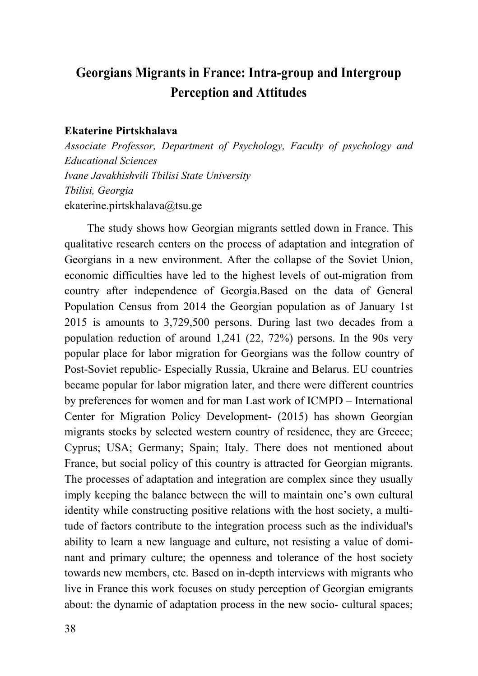## **Georgians Migrants in France: Intra-group and Intergroup Perception and Attitudes**

#### **Ekaterine Pirtskhalava**

*Associate Professor, Department of Psychology, Faculty of psychology and Educational Sciences Ivane Javakhishvili Tbilisi State University Tbilisi, Georgia*  ekaterine.pirtskhalava@tsu.ge

The study shows how Georgian migrants settled down in France. This qualitative research centers on the process of adaptation and integration of Georgians in a new environment. After the collapse of the Soviet Union, economic difficulties have led to the highest levels of out-migration from country after independence of Georgia.Based on the data of General Population Census from 2014 the Georgian population as of January 1st 2015 is amounts to 3,729,500 persons. During last two decades from a population reduction of around 1,241 (22, 72%) persons. In the 90s very popular place for labor migration for Georgians was the follow country of Post-Soviet republic- Especially Russia, Ukraine and Belarus. EU countries became popular for labor migration later, and there were different countries by preferences for women and for man Last work of ICMPD – International Center for Migration Policy Development- (2015) has shown Georgian migrants stocks by selected western country of residence, they are Greece; Cyprus; USA; Germany; Spain; Italy. There does not mentioned about France, but social policy of this country is attracted for Georgian migrants. The processes of adaptation and integration are complex since they usually imply keeping the balance between the will to maintain one's own cultural identity while constructing positive relations with the host society, a multitude of factors contribute to the integration process such as the individual's ability to learn a new language and culture, not resisting a value of dominant and primary culture; the openness and tolerance of the host society towards new members, etc. Based on in-depth interviews with migrants who live in France this work focuses on study perception of Georgian emigrants about: the dynamic of adaptation process in the new socio- cultural spaces;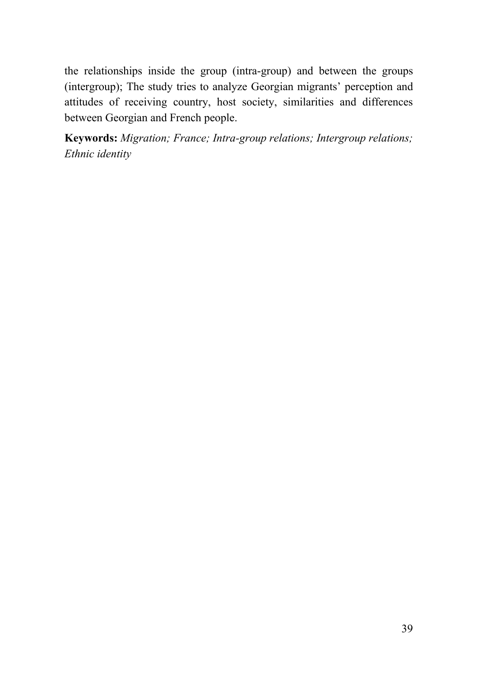the relationships inside the group (intra-group) and between the groups (intergroup); The study tries to analyze Georgian migrants' perception and attitudes of receiving country, host society, similarities and differences between Georgian and French people.

**Keywords:** *Migration; France; Intra-group relations; Intergroup relations; Ethnic identity*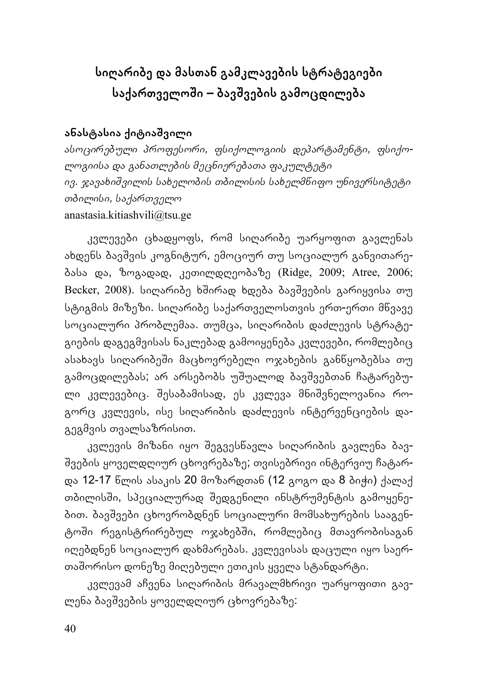# **სიღარიბე და მასთან გამკლავების სტრატეგიები საქართველოשი – ბავשვების გამოცდილება**

### **ანასტასია ქიტიაשვილი**

*ასოცირებული პროფესორი, ფსიქოლოგიის დეპარტამენტი, ფსიქოლოგიისა და განათლების მეცნიერებათა ფაკულტეტი ივ. ჯავახიשვილის სახელობის თბილისის სახელმწიფო უნივერსიტეტი თბილისი, საქართველო* anastasia.kitiashvili@tsu.ge

კვლევები ცხადყოფს, რომ სიღარიბე უარყოფით გავლენას ახდენს ბავשვის კოგნიტურ, ემოციურ თუ სოციალურ განვითარებასა და, ზოგადად, კეთილდღეობაზე (Ridge, 2009; Atree, 2006; Becker, 2008). სიღარიბე ხშირად ხდება ბავშვების გარიყვისა თუ სტიგმის მიზეზი. სიღარიბე საქართველოსთვის ერთ-ერთი მწვავე სოციალური პრობლემაა. თუმცა, სიღარიბის დაძლევის სტრატეგიების დაგეგმვისას ნაკლებად გამოიყენება კვლევები, რომლებიც ასახავს სიღარიბეשი მაცხოვრებელი ოჯახების განწყობებსა თუ გამოცდილებას; არ არსებობს უשუალოდ ბავשვებთან ჩატარებული კვლევებიც. שესაბამისად, ეს კვლევა მნიשვნელოვანია როგორც კვლევის, ისე სიღარიბის დაძლევის ინტერვენციების დაგეგმვის თვალსაზრისით.

კვლევის მიზანი იყო שეგვესწავლა სიღარიბის გავლენა ბავ-שვების ყოველდღიურ ცხოვრებაზე; თვისებრივი ინტერვიუ ჩატარდა 12-17 წლის ასაკის 20 მოზარდთან (12 გოგო და 8 ბიჭი) ქალაქ თბილისში, სპეციალურად შედგენილი ინსტრუმენტის გამოყენებით. ბავשვები ცხოვრობდნენ სოციალური მომსახურების სააგენტოשი რეგისტრირებულ ოჯახებשი, რომლებიც მთავრობისაგან იღებდნენ სოციალურ დახმარებას. კვლევისას დაცული იყო საერთაשორისო დონეზე მიღებული ეთიკის ყველა სტანდარტი.

კვლევამ აჩვენა სიღარიბის მრავალმხრივი უარყოფითი გავლენა ბავשვების ყოველდღიურ ცხოვრებაზე: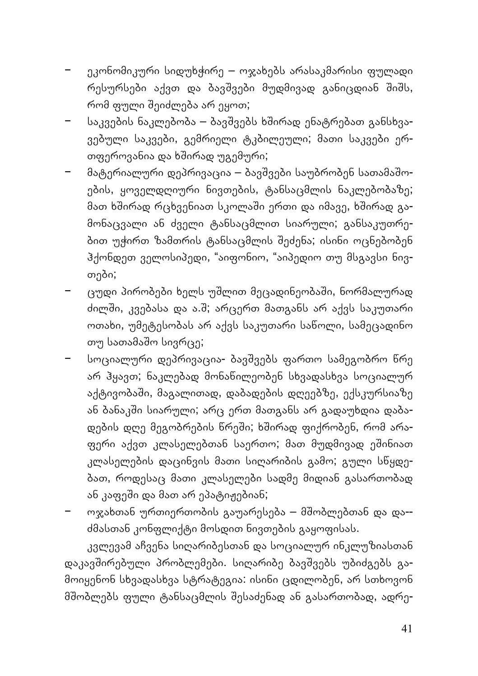- − ეკონომიკური სიდუხჭირე ოჯახებს არასაკმარისი ფულადი რესურსები აქვთ და ბავშვები მუდმივად განიცდიან შიშს, რომ ფული שეიძლება არ ეყოთ;
- − საკვების ნაკლებობა ბავשვებს ხשირად ენატრებათ განსხვავებული საკვები, გემრიელი ტკბილეული; მათი საკვები ერთფეროვანია და ხშირად უგემური;
- − მატერიალური დეპრივაცია ბავשვები საუბრობენ სათამაשოების, ყოველდღიური ნივთების, ტანსაცმლის ნაკლებობაზე; მათ ხშირად რცხვენიათ სკოლაში ერთი და იმავე, ხშირად გამონაცვალი ან ძველი ტანსაცმლით სიარული; განსაკუთრებით უჭირთ ზამთრის ტანსაცმლის שეძენა; ისინი ოცნებობენ ჰქონდეთ ველოსიპედი, "აიფონიო, "აიპედიო თუ მსგავსი ნივთები;
- − ცუდი პირობები ხელს უשლით მეცადინეობაשი, ნორმალურად ძილში, კვებასა და ა.შ; არცერთ მათგანს არ აქვს საკუთარი ოთახი, უმეტესობას არ აქვს საკუთარი საწოლი, სამეცადინო თუ სათამაშო სივრცე;
- − სოციალური დეპრივაცია- ბავשვებს ფართო სამეგობრო წრე არ ჰყავთ; ნაკლებად მონაწილეობენ სხვადასხვა სოციალურ აქტივობაשი, მაგალითად, დაბადების დღეებზე, ექსკურსიაზე ან ბანაკשი სიარული; არც ერთ მათგანს არ გადაუხდია დაბადების დღე მეგობრების წრეשი; ხשირად ფიქრობენ, რომ არაფერი აქვთ კლასელებთან საერთო; მათ მუდმივად ეשინიათ კლასელების დაცინვის მათი სიღარიბის გამო; გული სწყდებათ, როდესაც მათი კლასელები სადმე მიდიან გასართობად ან კაფეשი და მათ არ ეპატიჟებიან;
- − ოჯახთან ურთიერთობის გაუარესება მשობლებთან და და- ძმასთან კონფლიქტი მოსდით ნივთების გაყოფისას.

კვლევამ აჩვენა სიღარიბესთან და სოციალურ ინკლუზიასთან დაკავשირებული პრობლემები. სიღარიბე ბავשვებს უბიძგებს გამოიყენონ სხვადასხვა სტრატეგია: ისინი ცდილობენ, არ სთხოვონ მשობლებს ფული ტანსაცმლის שესაძენად ან გასართობად, ადრე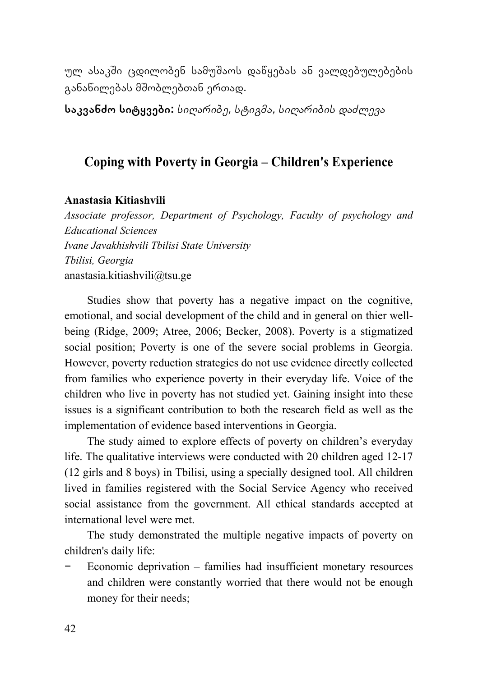ულ ასაკשი ცდილობენ სამუשაოს დაწყებას ან ვალდებულებების განაწილებას მშობლებთან ერთად.

**საკვანძო სიტყვები:** *სიღარიბე, სტიგმა, სიღარიბის დაძლევა*

## **Coping with Poverty in Georgia – Children's Experience**

#### **Anastasia Kitiashvili**

*Associate professor, Department of Psychology, Faculty of psychology and Educational Sciences Ivane Javakhishvili Tbilisi State University Tbilisi, Georgia*  anastasia.kitiashvili@tsu.ge

Studies show that poverty has a negative impact on the cognitive, emotional, and social development of the child and in general on thier wellbeing (Ridge, 2009; Atree, 2006; Becker, 2008). Poverty is a stigmatized social position; Poverty is one of the severe social problems in Georgia. However, poverty reduction strategies do not use evidence directly collected from families who experience poverty in their everyday life. Voice of the children who live in poverty has not studied yet. Gaining insight into these issues is a significant contribution to both the research field as well as the implementation of evidence based interventions in Georgia.

The study aimed to explore effects of poverty on children's everyday life. The qualitative interviews were conducted with 20 children aged 12-17 (12 girls and 8 boys) in Tbilisi, using a specially designed tool. All children lived in families registered with the Social Service Agency who received social assistance from the government. All ethical standards accepted at international level were met.

The study demonstrated the multiple negative impacts of poverty on children's daily life:

− Economic deprivation – families had insufficient monetary resources and children were constantly worried that there would not be enough money for their needs;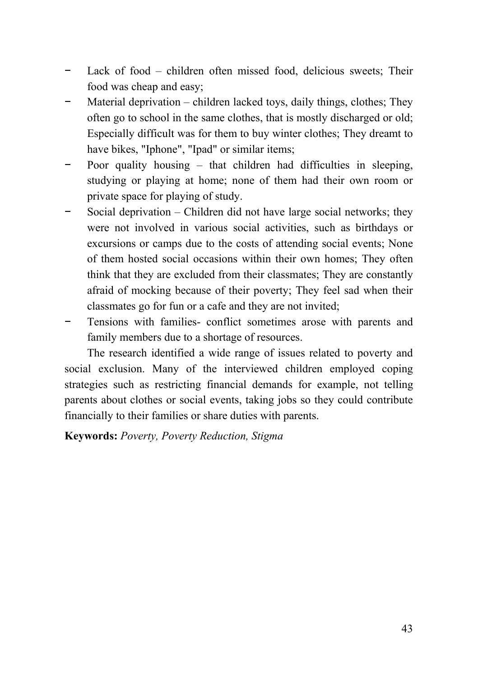- Lack of food children often missed food, delicious sweets; Their food was cheap and easy;
- Material deprivation children lacked toys, daily things, clothes; They often go to school in the same clothes, that is mostly discharged or old; Especially difficult was for them to buy winter clothes; They dreamt to have bikes, "Iphone", "Ipad" or similar items;
- Poor quality housing that children had difficulties in sleeping, studying or playing at home; none of them had their own room or private space for playing of study.
- Social deprivation Children did not have large social networks; they were not involved in various social activities, such as birthdays or excursions or camps due to the costs of attending social events; None of them hosted social occasions within their own homes; They often think that they are excluded from their classmates; They are constantly afraid of mocking because of their poverty; They feel sad when their classmates go for fun or a cafe and they are not invited;
- Tensions with families- conflict sometimes arose with parents and family members due to a shortage of resources.

The research identified a wide range of issues related to poverty and social exclusion. Many of the interviewed children employed coping strategies such as restricting financial demands for example, not telling parents about clothes or social events, taking jobs so they could contribute financially to their families or share duties with parents.

**Keywords:** *Poverty, Poverty Reduction, Stigma*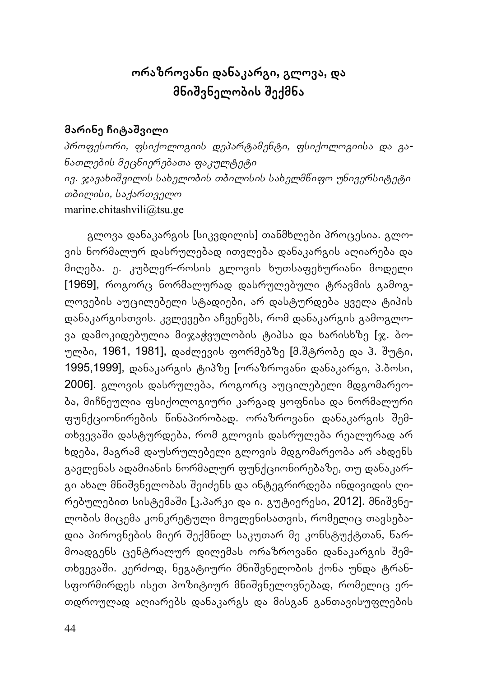## **ორაზროვანი დანაკარგი, გლოვა, და მნიשვნელობის שექმნა**

### **მარინე ჩიტაשვილი**

*პროფესორი, ფსიქოლოგიის დეპარტამენტი, ფსიქოლოგიისა და განათლების მეცნიერებათა ფაკულტეტი ივ. ჯავახიשვილის სახელობის თბილისის სახელმწიფო უნივერსიტეტი თბილისი, საქართველო* marine.chitashvili@tsu.ge

გლოვა დანაკარგის [სიკვდილის] თანმხლები პროცესია. გლოვის ნორმალურ დასრულებად ითვლება დანაკარგის აღიარება და მიღება. ე. კუბლერ-როსის გლოვის ხუთსაფეხურიანი მოდელი [1969], როგორც ნორმალურად დასრულებული ტრავმის გამოგლოვების აუცილებელი სტადიები, არ დასტურდება ყველა ტიპის დანაკარგისთვის. კვლევები აჩვენებს, რომ დანაკარგის გამოგლოვა დამოკიდებულია მიჯაჭვულობის ტიპსა და ხარისხზე [ჯ. ბოულბი, 1961, 1981], დაძლევის ფორმებზე [მ.შტრობე და ჰ. შუტი, 1995,1999], დანაკარგის ტიპზე [ორაზროვანი დანაკარგი, პ.ბოსი, 2006]. გლოვის დასრულება, როგორც აუცილებელი მდგომარეობა, მიჩნეულია ფსიქოლოგიური კარგად ყოფნისა და ნორმალური ფუნქციონირების წინაპირობად. ორაზროვანი დანაკარგის שემთხვევაשი დასტურდება, რომ გლოვის დასრულება რეალურად არ ხდება, მაგრამ დაუსრულებელი გლოვის მდგომარეობა არ ახდენს გავლენას ადამიანის ნორმალურ ფუნქციონირებაზე, თუ დანაკარგი ახალ მნიშვნელობას შეიძენს და ინტეგრირდება ინდივიდის ღირებულებით სისტემაשი [კ.პარკი და ი. გუტიერესი, 2012]. მნიשვნელობის მიცემა კონკრეტული მოვლენისათვის, რომელიც თავსებადია პიროვნების მიერ שექმნილ საკუთარ მე კონსტუქტთან, წარმოადგენს ცენტრალურ დილემას ორაზროვანი დანაკარგის שემთხვევაשი. კერძოდ, ნეგატიური მნიשვნელობის ქონა უნდა ტრანსფორმირდეს ისეთ პოზიტიურ მნიשვნელოვნებად, რომელიც ერთდროულად აღიარებს დანაკარგს და მისგან განთავისუფლების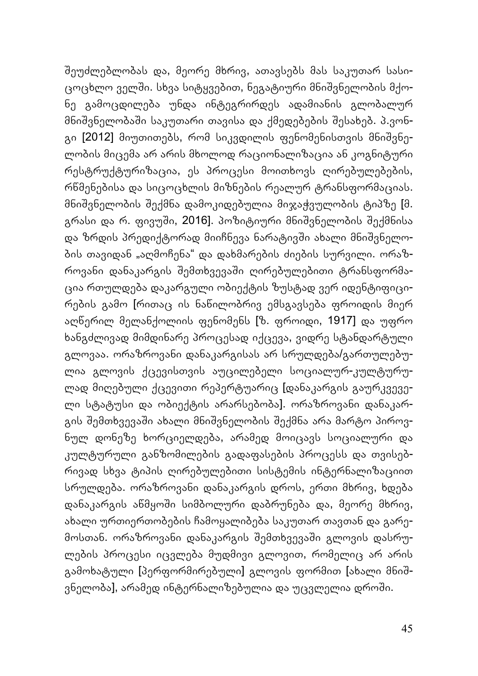שეუძლებლობას და, მეორე მხრივ, ათავსებს მას საკუთარ სასიცოცხლო ველში. სხვა სიტყვებით, ნეგატიური მნიშვნელობის მქონე გამოცდილება უნდა ინტეგრირდეს ადამიანის გლობალურ მნიშვნელობაში საკუთარი თავისა და ქმედებების შესახებ. პ.ვონგი [2012] მიუთითებს, რომ სიკვდილის ფენომენისთვის მნიშვნელობის მიცემა არ არის მხოლოდ რაციონალიზაცია ან კოგნიტური რესტრუქტურიზაცია, ეს პროცესი მოითხოვს ღირებულებების, რწმენებისა და სიცოცხლის მიზნების რეალურ ტრანსფორმაციას. მნიשვნელობის שექმნა დამოკიდებულია მიჯაჭვულობის ტიპზე [მ. გრასი და რ. ფივუში, 2016]. პოზიტიური მნიშვნელობის შექმნისა და ზრდის პრედიქტორად მიიჩნევა ნარატივשი ახალი მნიשვნელობის თავიდან "აღმოჩენა" და დახმარების ძიების სურვილი. ორაზროვანი დანაკარგის שემთხვევაשი ღირებულებითი ტრანსფორმაცია რთულდება დაკარგული ობიექტის ზუსტად ვერ იდენტიფიცირების გამო [რითაც ის ნაწილობრივ ემსგავსება ფროიდის მიერ აღწერილ მელანქოლიის ფენომენს [ზ. ფროიდი, 1917] და უფრო ხანგძლივად მიმდინარე პროცესად იქცევა, ვიდრე სტანდარტული გლოვაა. ორაზროვანი დანაკარგისას არ სრულდება/გართულებულია გლოვის ქცევისთვის აუცილებელი სოციალურ-კულტურულად მიღებული ქცევითი რეპერტუარიც [დანაკარგის გაურკვეველი სტატუსი და ობიექტის არარსებობა]. ორაზროვანი დანაკარგის შემთხვევაში ახალი მნიშვნელობის შექმნა არა მარტო პიროვნულ დონეზე ხორციელდება, არამედ მოიცავს სოციალური და კულტურული განზომილების გადაფასების პროცესს და თვისებრივად სხვა ტიპის ღირებულებითი სისტემის ინტერნალიზაციით სრულდება. ორაზროვანი დანაკარგის დროს, ერთი მხრივ, ხდება დანაკარგის აწმყოשი სიმბოლური დაბრუნება და, მეორე მხრივ, ახალი ურთიერთობების ჩამოყალიბება საკუთარ თავთან და გარემოსთან. ორაზროვანი დანაკარგის שემთხვევაשი გლოვის დასრულების პროცესი იცვლება მუდმივი გლოვით, რომელიც არ არის გამოხატული [პერფორმირებული] გლოვის ფორმით [ახალი მნიშვნელობა], არამედ ინტერნალიზებულია და უცვლელია დროשი.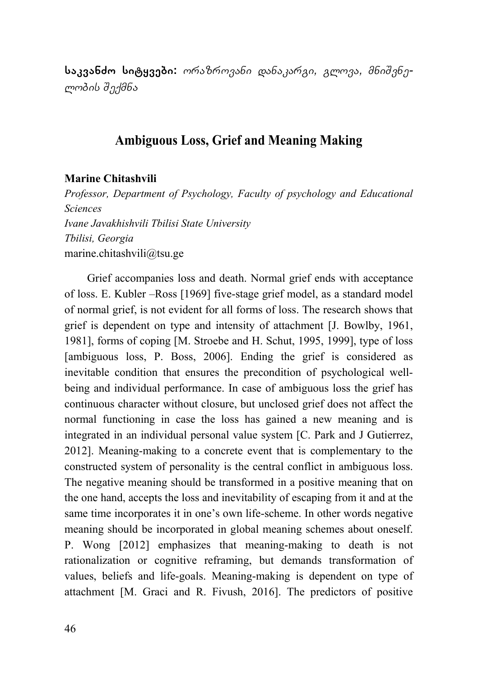**საკვანძო სიტყვები:** *ორაზროვანი დანაკარგი, გლოვა, მნიשვნელობის שექმნა*

### **Ambiguous Loss, Grief and Meaning Making**

#### **Marine Chitashvili**

*Professor, Department of Psychology, Faculty of psychology and Educational Sciences Ivane Javakhishvili Tbilisi State University Tbilisi, Georgia*  marine.chitashvili@tsu.ge

Grief accompanies loss and death. Normal grief ends with acceptance of loss. E. Kubler –Ross [1969] five-stage grief model, as a standard model of normal grief, is not evident for all forms of loss. The research shows that grief is dependent on type and intensity of attachment [J. Bowlby, 1961, 1981], forms of coping [M. Stroebe and H. Schut, 1995, 1999], type of loss [ambiguous loss, P. Boss, 2006]. Ending the grief is considered as inevitable condition that ensures the precondition of psychological wellbeing and individual performance. In case of ambiguous loss the grief has continuous character without closure, but unclosed grief does not affect the normal functioning in case the loss has gained a new meaning and is integrated in an individual personal value system [C. Park and J Gutierrez, 2012]. Meaning-making to a concrete event that is complementary to the constructed system of personality is the central conflict in ambiguous loss. The negative meaning should be transformed in a positive meaning that on the one hand, accepts the loss and inevitability of escaping from it and at the same time incorporates it in one's own life-scheme. In other words negative meaning should be incorporated in global meaning schemes about oneself. P. Wong [2012] emphasizes that meaning-making to death is not rationalization or cognitive reframing, but demands transformation of values, beliefs and life-goals. Meaning-making is dependent on type of attachment [M. Graci and R. Fivush, 2016]. The predictors of positive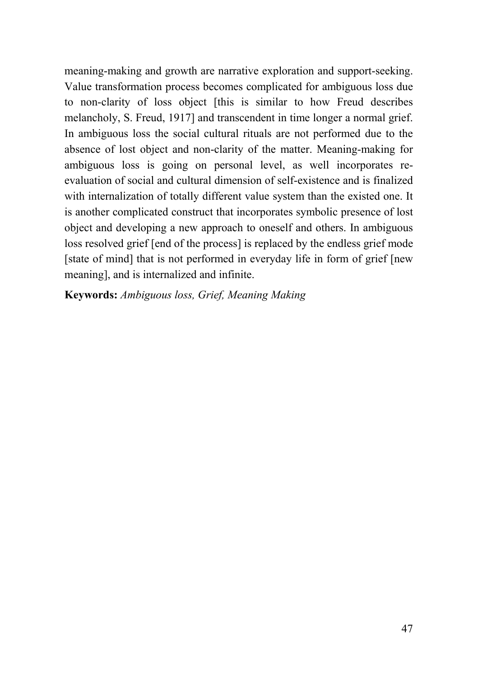meaning-making and growth are narrative exploration and support-seeking. Value transformation process becomes complicated for ambiguous loss due to non-clarity of loss object [this is similar to how Freud describes melancholy, S. Freud, 1917] and transcendent in time longer a normal grief. In ambiguous loss the social cultural rituals are not performed due to the absence of lost object and non-clarity of the matter. Meaning-making for ambiguous loss is going on personal level, as well incorporates reevaluation of social and cultural dimension of self-existence and is finalized with internalization of totally different value system than the existed one. It is another complicated construct that incorporates symbolic presence of lost object and developing a new approach to oneself and others. In ambiguous loss resolved grief [end of the process] is replaced by the endless grief mode [state of mind] that is not performed in everyday life in form of grief [new meaning], and is internalized and infinite.

**Keywords:** *Ambiguous loss, Grief, Meaning Making*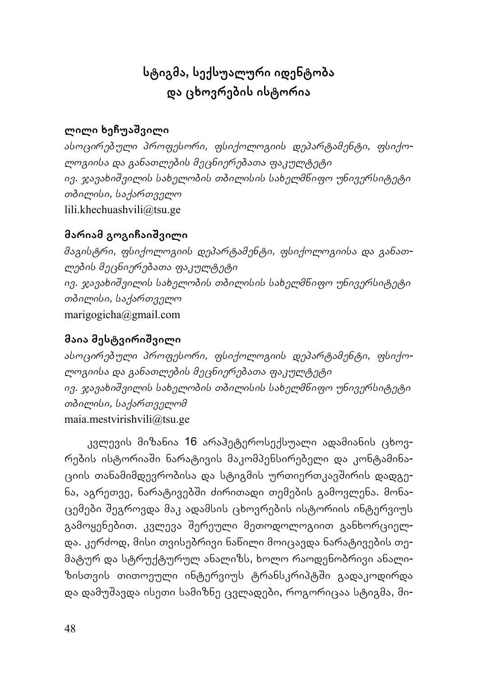# **სტიგმა, სექსუალური იდენტობა და ცხოვრების ისტორია**

### **ლილი ხეჩუაשვილი**

*ასოცირებული პროფესორი, ფსიქოლოგიის დეპარტამენტი, ფსიქოლოგიისა და განათლების მეცნიერებათა ფაკულტეტი ივ. ჯავახიשვილის სახელობის თბილისის სახელმწიფო უნივერსიტეტი თბილისი, საქართველო* lili.khechuashvili@tsu.ge

### **მარიამ გოგიჩაიשვილი**

*მაგისტრი, ფსიქოლოგიის დეპარტამენტი, ფსიქოლოგიისა და განათლების მეცნიერებათა ფაკულტეტი ივ. ჯავახიשვილის სახელობის თბილისის სახელმწიფო უნივერსიტეტი თბილისი, საქართველო* marigogicha@gmail.com

## **მაია მესტვირიשვილი**

*ასოცირებული პროფესორი, ფსიქოლოგიის დეპარტამენტი, ფსიქოლოგიისა და განათლების მეცნიერებათა ფაკულტეტი ივ. ჯავახიשვილის სახელობის თბილისის სახელმწიფო უნივერსიტეტი თბილისი, საქართველომ* maia.mestvirishvili@tsu.ge

კვლევის მიზანია 16 არაჰეტეროსექსუალი ადამიანის ცხოვრების ისტორიაשი ნარატივის მაკომპენსირებელი და კონტამინაციის თანამიმდევრობისა და სტიგმის ურთიერთკავשირის დადგენა, აგრეთვე, ნარატივებשი ძირითადი თემების გამოვლენა. მონაცემები שეგროვდა მაკ ადამსის ცხოვრების ისტორიის ინტერვიუს გამოყენებით. კვლევა შერეული მეთოდოლოგიით განხორციელ<mark>-</mark> და. კერძოდ, მისი თვისებრივი ნაწილი მოიცავდა ნარატივების თემატურ და სტრუქტურულ ანალიზს, ხოლო რაოდენობრივი ანალიზისთვის თითოეული ინტერვიუს ტრანსკრიპტში გადაკოდირდა და დამუשავდა ისეთი სამიზნე ცვლადები, როგორიცაა სტიგმა, მი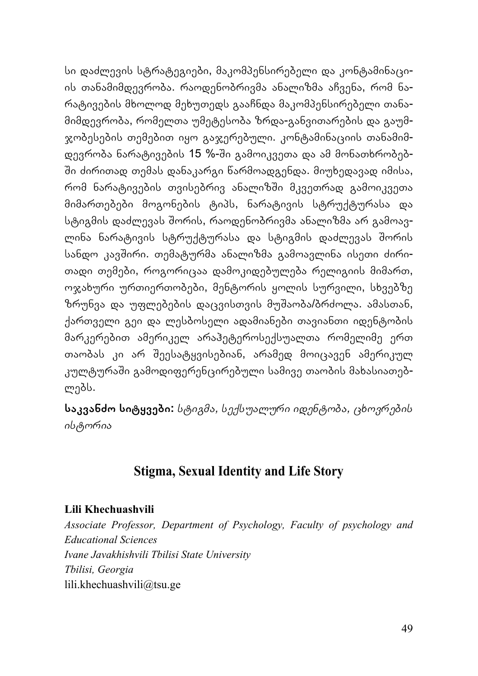სი დაძლევის სტრატეგიები, მაკომპენსირებელი და კონტამინაციის თანამიმდევრობა. რაოდენობრივმა ანალიზმა აჩვენა, რომ ნარატივების მხოლოდ მეხუთედს გააჩნდა მაკომპენსირებელი თანამიმდევრობა, რომელთა უმეტესობა ზრდა-განვითარების და გაუმჯობესების თემებით იყო გაჯერებული. კონტამინაციის თანამიმდევრობა ნარატივების 15 %-שი გამოიკვეთა და ამ მონათხრობებ-שი ძირითად თემას დანაკარგი წარმოადგენდა. მიუხედავად იმისა, რომ ნარატივების თვისებრივ ანალიზში მკვეთრად გამოიკვეთა მიმართებები მოგონების ტიპს, ნარატივის სტრუქტურასა და სტიგმის დაძლევას שორის, რაოდენობრივმა ანალიზმა არ გამოავლინა ნარატივის სტრუქტურასა და სტიგმის დაძლევას შორის სანდო კავשირი. თემატურმა ანალიზმა გამოავლინა ისეთი ძირითადი თემები, როგორიცაა დამოკიდებულება რელიგიის მიმართ, ოჯახური ურთიერთობები, მენტორის ყოლის სურვილი, სხვებზე ზრუნვა და უფლებების დაცვისთვის მუשაობა/ბრძოლა. ამასთან, ქართველი გეი და ლესბოსელი ადამიანები თავიანთი იდენტობის მარკერებით ამერიკელ არაჰეტეროსექსუალთა რომელიმე ერთ თაობას კი არ שეესატყვისებიან, არამედ მოიცავენ ამერიკულ კულტურაში გამოდიფერენცირებული სამივე თაობის მახასიათებლებს.

**საკვანძო სიტყვები:** *სტიგმა, სექსუალური იდენტობა, ცხოვრების ისტორია*

## **Stigma, Sexual Identity and Life Story**

### **Lili Khechuashvili**

*Associate Professor, Department of Psychology, Faculty of psychology and Educational Sciences Ivane Javakhishvili Tbilisi State University Tbilisi, Georgia*  lili.khechuashvili@tsu.ge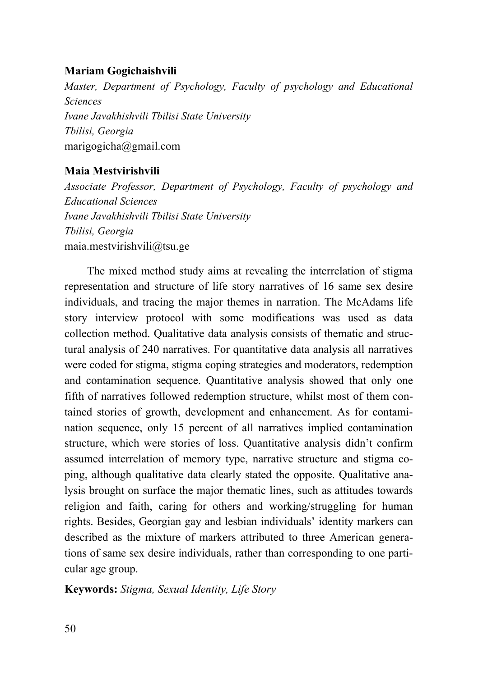### **Mariam Gogichaishvili**

*Master, Department of Psychology, Faculty of psychology and Educational Sciences Ivane Javakhishvili Tbilisi State University Tbilisi, Georgia*  marigogicha@gmail.com

### **Maia Mestvirishvili**

*Associate Professor, Department of Psychology, Faculty of psychology and Educational Sciences Ivane Javakhishvili Tbilisi State University Tbilisi, Georgia*  maia.mestvirishvili@tsu.ge

The mixed method study aims at revealing the interrelation of stigma representation and structure of life story narratives of 16 same sex desire individuals, and tracing the major themes in narration. The McAdams life story interview protocol with some modifications was used as data collection method. Qualitative data analysis consists of thematic and structural analysis of 240 narratives. For quantitative data analysis all narratives were coded for stigma, stigma coping strategies and moderators, redemption and contamination sequence. Quantitative analysis showed that only one fifth of narratives followed redemption structure, whilst most of them contained stories of growth, development and enhancement. As for contamination sequence, only 15 percent of all narratives implied contamination structure, which were stories of loss. Quantitative analysis didn't confirm assumed interrelation of memory type, narrative structure and stigma coping, although qualitative data clearly stated the opposite. Qualitative analysis brought on surface the major thematic lines, such as attitudes towards religion and faith, caring for others and working/struggling for human rights. Besides, Georgian gay and lesbian individuals' identity markers can described as the mixture of markers attributed to three American generations of same sex desire individuals, rather than corresponding to one particular age group.

**Keywords:** *Stigma, Sexual Identity, Life Story*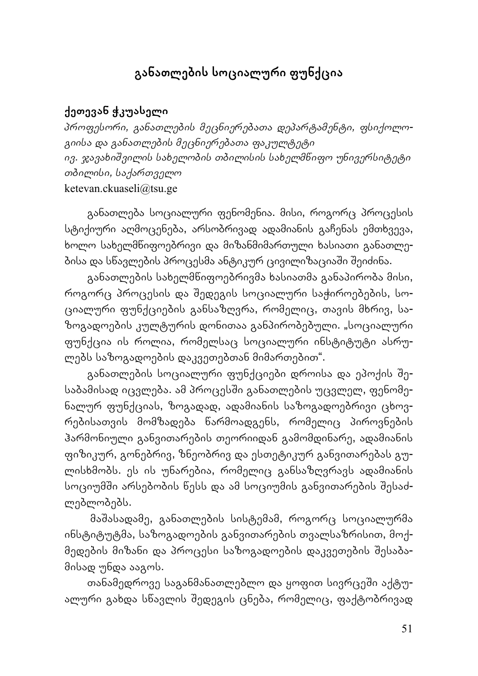# **განათლების სოციალური ფუნქცია**

### **ქეთევან ჭკუასელი**

*პროფესორი, განათლების მეცნიერებათა დეპარტამენტი, ფსიქოლოგიისა და განათლების მეცნიერებათა ფაკულტეტი ივ. ჯავახიשვილის სახელობის თბილისის სახელმწიფო უნივერსიტეტი თბილისი, საქართველო* ketevan.ckuaseli@tsu.ge

განათლება სოციალური ფენომენია. მისი, როგორც პროცესის სტიქიური აღმოცენება, არსობრივად ადამიანის გაჩენას ემთხვევა, ხოლო სახელმწიფოებრივი და მიზანმიმართული ხასიათი განათლებისა და სწავლების პროცესმა ანტიკურ ცივილიზაციაשი שეიძინა.

განათლების სახელმწიფოებრივმა ხასიათმა განაპირობა მისი, როგორც პროცესის და שედეგის სოციალური საჭიროებების, სოციალური ფუნქციების განსაზღვრა, რომელიც, თავის მხრივ, საზოგადოების კულტურის დონითაა განპირობებული. "სოციალური ფუნქცია ის როლია, რომელსაც სოციალური ინსტიტუტი ასრულებს საზოგადოების დაკვეთებთან მიმართებით".

განათლების სოციალური ფუნქციები დროისა და ეპოქის שესაბამისად იცვლება. ამ პროცესში განათლების უცვლელ, ფენომენალურ ფუნქციას, ზოგადად, ადამიანის საზოგადოებრივი ცხოვრებისათვის მომზადება წარმოადგენს, რომელიც პიროვნების ჰარმონიული განვითარების თეორიიდან გამომდინარე, ადამიანის ფიზიკურ, გონებრივ, ზნეობრივ და ესთეტიკურ განვითარებას გულისხმობს. ეს ის უნარებია, რომელიც განსაზღვრავს ადამიანის სოციუმში არსებობის წესს და ამ სოციუმის განვითარების შესაძლებლობებს.

მაשასადამე, განათლების სისტემამ, როგორც სოციალურმა ინსტიტუტმა, საზოგადოების განვითარების თვალსაზრისით, მოქმედების მიზანი და პროცესი საზოგადოების დაკვეთების შესაბამისად უნდა ააგოს.

თანამედროვე საგანმანათლებლო და ყოფით სივრცეში აქტუალური გახდა სწავლის שედეგის ცნება, რომელიც, ფაქტობრივად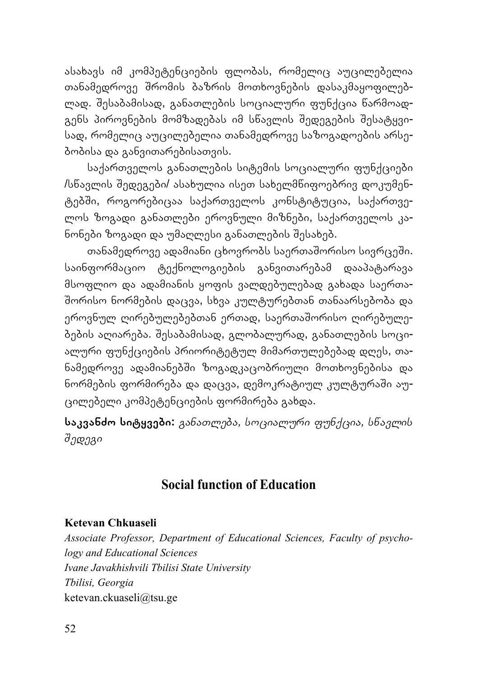ასახავს იმ კომპეტენციების ფლობას, რომელიც აუცილებელია თანამედროვე שრომის ბაზრის მოთხოვნების დასაკმაყოფილებლად. שესაბამისად, განათლების სოციალური ფუნქცია წარმოადგენს პიროვნების მომზადებას იმ სწავლის შედეგების შესატყვისად, რომელიც აუცილებელია თანამედროვე საზოგადოების არსებობისა და განვითარებისათვის.

საქართველოს განათლების სიტემის სოციალური ფუნქციები /სწავლის שედეგები/ ასახულია ისეთ სახელმწიფოებრივ დოკუმენტებשი, როგორებიცაა საქართველოს კონსტიტუცია, საქართველოს ზოგადი განათლები ეროვნული მიზნები, საქართველოს კანონები ზოგადი და უმაღლესი განათლების שესახებ.

თანამედროვე ადამიანი ცხოვრობს საერთაშორისო სივრცეში. საინფორმაციო ტექნოლოგიების განვითარებამ დააპატარავა მსოფლიო და ადამიანის ყოფის ვალდებულებად გახადა საერთა-שორისო ნორმების დაცვა, სხვა კულტურებთან თანაარსებობა და ეროვნულ ღირებულებებთან ერთად, საერთაშორისო ღირებულებების აღიარება. שესაბამისად, გლობალურად, განათლების სოციალური ფუნქციების პრიორიტეტულ მიმართულებებად დღეს, თანამედროვე ადამიანებשი ზოგადკაცობრიული მოთხოვნებისა და ნორმების ფორმირება და დაცვა, დემოკრატიულ კულტურაשი აუცილებელი კომპეტენციების ფორმირება გახდა.

**საკვანძო სიტყვები:** *განათლება, სოციალური ფუნქცია, სწავლის ედეგიש*

## **Social function of Education**

#### **Ketevan Chkuaseli**

*Associate Professor, Department of Educational Sciences, Faculty of psychology and Educational Sciences Ivane Javakhishvili Tbilisi State University Tbilisi, Georgia*  ketevan.ckuaseli@tsu.ge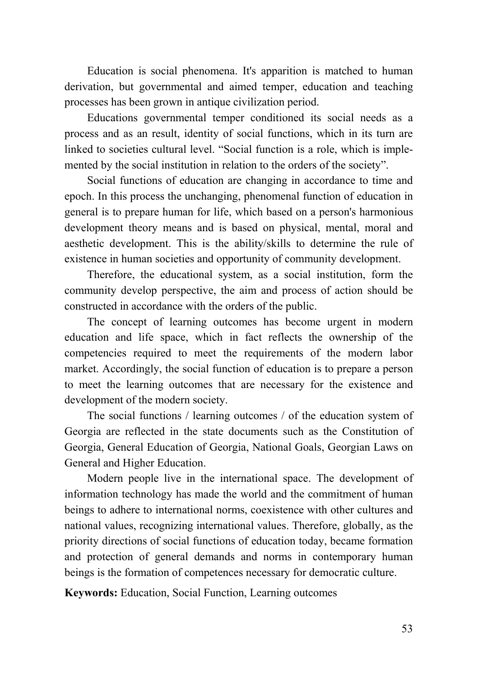Education is social phenomena. It's apparition is matched to human derivation, but governmental and aimed temper, education and teaching processes has been grown in antique civilization period.

Educations governmental temper conditioned its social needs as a process and as an result, identity of social functions, which in its turn are linked to societies cultural level. "Social function is a role, which is implemented by the social institution in relation to the orders of the society".

Social functions of education are changing in accordance to time and epoch. In this process the unchanging, phenomenal function of education in general is to prepare human for life, which based on a person's harmonious development theory means and is based on physical, mental, moral and aesthetic development. This is the ability/skills to determine the rule of existence in human societies and opportunity of community development.

Therefore, the educational system, as a social institution, form the community develop perspective, the aim and process of action should be constructed in accordance with the orders of the public.

The concept of learning outcomes has become urgent in modern education and life space, which in fact reflects the ownership of the competencies required to meet the requirements of the modern labor market. Accordingly, the social function of education is to prepare a person to meet the learning outcomes that are necessary for the existence and development of the modern society.

The social functions / learning outcomes / of the education system of Georgia are reflected in the state documents such as the Constitution of Georgia, General Education of Georgia, National Goals, Georgian Laws on General and Higher Education.

Modern people live in the international space. The development of information technology has made the world and the commitment of human beings to adhere to international norms, coexistence with other cultures and national values, recognizing international values. Therefore, globally, as the priority directions of social functions of education today, became formation and protection of general demands and norms in contemporary human beings is the formation of competences necessary for democratic culture.

**Keywords:** Education, Social Function, Learning outcomes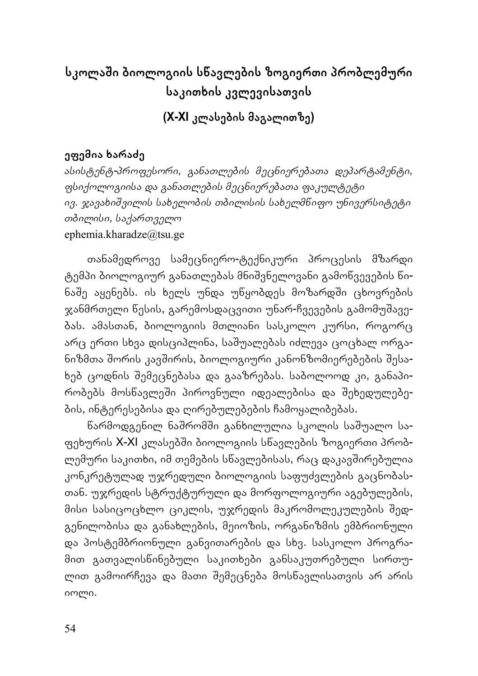# **სკოლაשი ბიოლოგიის სწავლების ზოგიერთი პრობლემური საკითხის კვლევისათვის**

**(X-XI კლასების მაგალითზე)** 

## **ეფემია ხარაძე**

*ასისტენტ-პროფესორი, განათლების მეცნიერებათა დეპარტამენტი, ფსიქოლოგიისა და განათლების მეცნიერებათა ფაკულტეტი ივ. ჯავახიשვილის სახელობის თბილისის სახელმწიფო უნივერსიტეტი თბილისი, საქართველო* ephemia.kharadze@tsu.ge

თანამედროვე სამეცნიერო-ტექნიკური პროცესის მზარდი ტემპი ბიოლოგიურ განათლებას მნიשვნელოვანი გამოწვევების წინაშე აყენებს. ის ხელს უნდა უწყობდეს მოზარდში ცხოვრე<mark>ბ</mark>ის ჯანმრთელი წესის, გარემოსდაცვითი უნარ-ჩვევების გამომუშავებას. ამასთან, ბიოლოგიის მთლიანი სასკოლო კურსი, როგორც არც ერთი სხვა დისციპლინა, საשუალებას იძლევა ცოცხალ ორგანიზმთა შორის კავშირის, ბიოლოგიური კანონზომიერებების შესახებ ცოდნის שემეცნებასა და გააზრებას. საბოლოოდ კი, განაპირობებს მოსწავლეשი პიროვნული იდეალებისა და שეხედულებების, ინტერესებისა და ღირებულებების ჩამოყალიბებას.

წარმოდგენილ ნაשრომשი განხილულია სკოლის საשუალო საფეხურის X-XI კლასებში ბიოლოგიის სნავლების ზოგიერთი პრობლემური საკითხი, იმ თემების სწავლებისას, რაც დაკავשირებულია კონკრეტულად უჯრედული ბიოლოგიის საფუძვლების გაცნობასთან. უჯრედის სტრუქტურული და მორფოლოგიური აგებულების, მისი სასიცოცხლო ციკლის, უჯრედის მაკრომოლეკულების שედგენილობისა და განახლების, მეიოზის, ორგანიზმის ემბრიონული და პოსტემბრიონული განვითარების და სხვ. სასკოლო პროგრამით გათვალისწინებული საკითხები განსაკუთრებული სირთულით გამოირჩევა და მათი שემეცნება მოსწავლისათვის არ არის იოლი.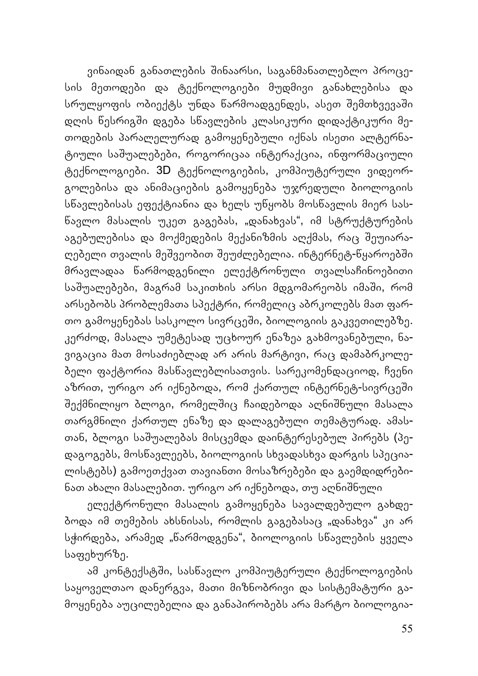ვინაიდან განათლების შინაარსი, საგანმანათლებლო პროცესის მეთოდები და ტექნოლოგიები მუდმივი განახლებისა და სრულყოფის ობიექტს უნდა წარმოადგენდეს, ასეთ შემთხვევაში დღის წესრიგשი დგება სწავლების კლასიკური დიდაქტიკური მეთოდების პარალელურად გამოყენებული იქნას ისეთი ალტერნატიული საשუალებები, როგორიცაა ინტერაქცია, ინფორმაციული ტექნოლოგიები. 3D ტექნოლოგიების, კომპიუტერული ვიდეორგოლებისა და ანიმაციების გამოყენება უჯრედული ბიოლოგიის სწავლებისას ეფექტიანია და ხელს უწყობს მოსწავლის მიერ სასწავლო მასალის უკეთ გაგებას, "დანახვას", იმ სტრუქტურების აგებულებისა და მოქმედების მექანიზმის აღქმას, რაც შეუიარაღებელი თვალის მეშვეობით შეუძლებელია. ინტერნეტ-წყაროებში მრავლადაა წარმოდგენილი ელექტრონული თვალსაჩინოებითი საშუალებები, მაგრამ საკითხის არსი მდგომარეობს იმაში, რომ არსებობს პრობლემათა სპექტრი, რომელიც აბრკოლებს მათ ფართო გამოყენებას სასკოლო სივრცეשი, ბიოლოგიის გაკვეთილებზე. კერძოდ, მასალა უმეტესად უცხოურ ენაზეა გახმოვანებული, ნავიგაცია მათ მოსაძიებლად არ არის მარტივი, რაც დამაბრკოლებელი ფაქტორია მასწავლებლისათვის. სარეკომენდაციოდ, ჩვენი აზრით, ურიგო არ იქნებოდა, რომ ქართულ ინტერნეტ-სივრცეში შექმნილიყო ბლოგი, რომელშიც ჩაიდებოდა აღნიშნული მასალა თარგმნილი ქართულ ენაზე და დალაგებული თემატურად. ამასთან, ბლოგი საשუალებას მისცემდა დაინტერესებულ პირებს (პედაგოგებს, მოსწავლეებს, ბიოლოგიის სხვადასხვა დარგის სპეციალისტებს) გამოეთქვათ თავიანთი მოსაზრებები და გაემდიდრებინათ ახალი მასალებით. ურიგო არ იქნებოდა, თუ აღნიשნული

ელექტრონული მასალის გამოყენება სავალდებულო გახდებოდა იმ თემების ახსნისას, რომლის გაგებასაც "დანახვა" კი არ სჭირდება, არამედ "წარმოდგენა", ბიოლოგიის სწავლების ყველა საფეხურზე.

ამ კონტექსტში, სასწავლო კომპიუტერული ტექნოლოგიების საყოველთაო დანერგვა, მათი მიზნობრივი და სისტემატური გამოყენება აუცილებელია და განაპირობებს არა მარტო ბიოლოგია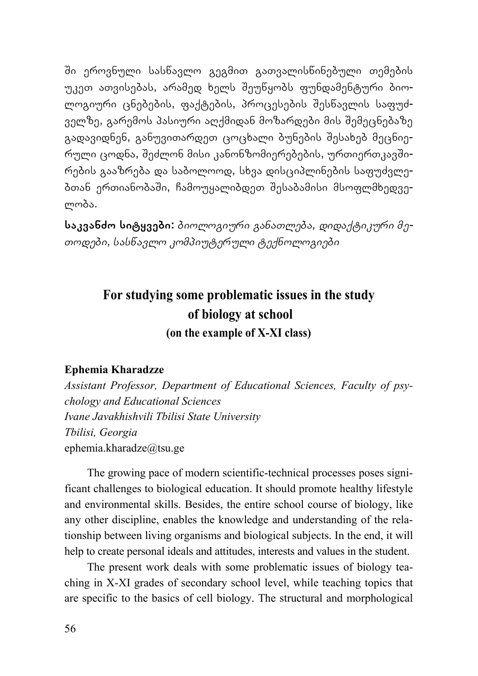שი ეროვნული სასწავლო გეგმით გათვალისწინებული თემების უკეთ ათვისებას, არამედ ხელს שეუწყობს ფუნდამენტური ბიოლოგიური ცნებების, ფაქტების, პროცესების שესწავლის საფუძველზე, გარემოს პასიური აღქმიდან მოზარდები მის שემეცნებაზე გადავიდნენ, განუვითარდეთ ცოცხალი ბუნების שესახებ მეცნიერული ცოდნა, שეძლონ მისი კანონზომიერებების, ურთიერთკავשირების გააზრება და საბოლოოდ, სხვა დისციპლინების საფუძვლებთან ერთიანობაשი, ჩამოუყალიბდეთ שესაბამისი მსოფლმხედველობა.

**საკვანძო სიტყვები:** *ბიოლოგიური განათლება, დიდაქტიკური მეთოდები, სასწავლო კომპიუტერული ტექნოლოგიები*

# **For studying some problematic issues in the study of biology at school (on the example of X-XI class)**

#### **Ephemia Kharadzze**

*Assistant Professor, Department of Educational Sciences, Faculty of psychology and Educational Sciences Ivane Javakhishvili Tbilisi State University Tbilisi, Georgia*  ephemia.kharadze@tsu.ge

The growing pace of modern scientific-technical processes poses significant challenges to biological education. It should promote healthy lifestyle and environmental skills. Besides, the entire school course of biology, like any other discipline, enables the knowledge and understanding of the relationship between living organisms and biological subjects. In the end, it will help to create personal ideals and attitudes, interests and values in the student.

The present work deals with some problematic issues of biology teaching in X-XI grades of secondary school level, while teaching topics that are specific to the basics of cell biology. The structural and morphological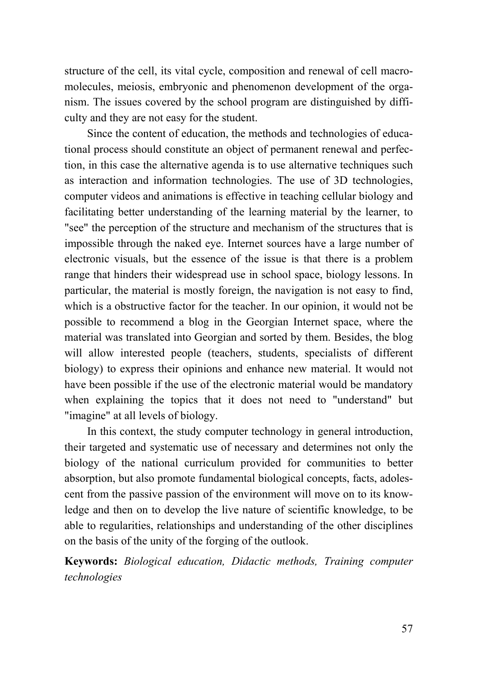structure of the cell, its vital cycle, composition and renewal of cell macromolecules, meiosis, embryonic and phenomenon development of the organism. The issues covered by the school program are distinguished by difficulty and they are not easy for the student.

Since the content of education, the methods and technologies of educational process should constitute an object of permanent renewal and perfection, in this case the alternative agenda is to use alternative techniques such as interaction and information technologies. The use of 3D technologies, computer videos and animations is effective in teaching cellular biology and facilitating better understanding of the learning material by the learner, to "see" the perception of the structure and mechanism of the structures that is impossible through the naked eye. Internet sources have a large number of electronic visuals, but the essence of the issue is that there is a problem range that hinders their widespread use in school space, biology lessons. In particular, the material is mostly foreign, the navigation is not easy to find, which is a obstructive factor for the teacher. In our opinion, it would not be possible to recommend a blog in the Georgian Internet space, where the material was translated into Georgian and sorted by them. Besides, the blog will allow interested people (teachers, students, specialists of different biology) to express their opinions and enhance new material. It would not have been possible if the use of the electronic material would be mandatory when explaining the topics that it does not need to "understand" but "imagine" at all levels of biology.

In this context, the study computer technology in general introduction, their targeted and systematic use of necessary and determines not only the biology of the national curriculum provided for communities to better absorption, but also promote fundamental biological concepts, facts, adolescent from the passive passion of the environment will move on to its knowledge and then on to develop the live nature of scientific knowledge, to be able to regularities, relationships and understanding of the other disciplines on the basis of the unity of the forging of the outlook.

**Keywords:** *Biological education, Didactic methods, Training computer technologies*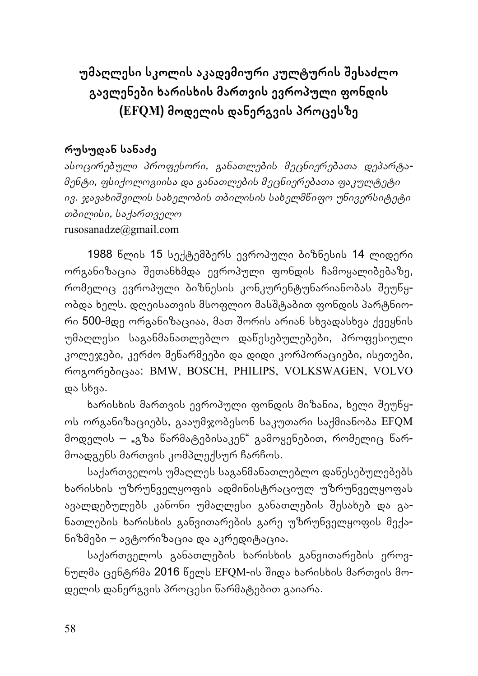**უმაღლესი სკოლის აკადემიური კულტურის שესაძლო გავლენები ხარისხის მართვის ევროპული ფონდის (EFQM) მოდელის დანერგვის პროცესზე**

## **რუსუდან სანაძე**

*ასოცირებული პროფესორი, განათლების მეცნიერებათა დეპარტამენტი, ფსიქოლოგიისა და განათლების მეცნიერებათა ფაკულტეტი ივ. ჯავახიשვილის სახელობის თბილისის სახელმწიფო უნივერსიტეტი თბილისი, საქართველო* rusosanadze@gmail.com

1988 წლის 15 სექტემბერს ევროპული ბიზნესის 14 ლიდერი ორგანიზაცია שეთანხმდა ევროპული ფონდის ჩამოყალიბებაზე, რომელიც ევროპული ბიზნესის კონკურენტუნარიანობას שეუწყობდა ხელს. დღეისათვის მსოფლიო მასშტაბით ფონდის პარტნიორი 500-მდე ორგანიზაციაა, მათ შორის არიან სხვადასხვა ქვეყნის უმაღლესი საგანმანათლებლო დაწესებულებები, პროფესიული კოლეჯები, კერძო მეწარმეები და დიდი კორპორაციები, ისეთები, როგორებიცაა: BMW, BOSCH, PHILIPS, VOLKSWAGEN, VOLVO და სხვა.

ხარისხის მართვის ევროპული ფონდის მიზანია, ხელი שეუწყოს ორგანიზაციებს, გააუმჯობესონ საკუთარი საქმიანობა EFQM მოდელის – "გზა წარმატებისაკენ" გამოყენებით, რომელიც წარმოადგენს მართვის კომპლექსურ ჩარჩოს.

საქართველოს უმაღლეს საგანმანათლებლო დაწესებულებებს ხარისხის უზრუნველყოფის ადმინისტრაციულ უზრუნველყოფას ავალდებულებს კანონი უმაღლესი განათლების שესახებ და განათლების ხარისხის განვითარების გარე უზრუნველყოფის მექანიზმები – ავტორიზაცია და აკრედიტაცია.

საქართველოს განათლების ხარისხის განვითარების ეროვნულმა ცენტრმა 2016 წელს EFQM-ის שიდა ხარისხის მართვის მოდელის დანერგვის პროცესი წარმატებით გაიარა.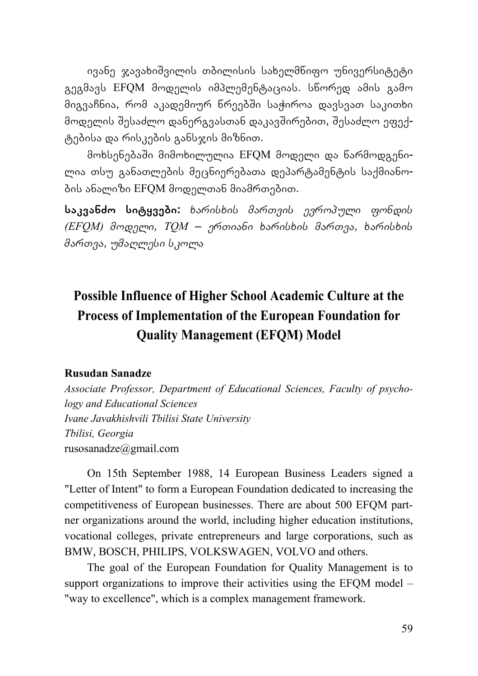ივანე ჯავახიשვილის თბილისის სახელმწიფო უნივერსიტეტი გეგმავს EFQM მოდელის იმპლემენტაციას. სწორედ ამის გამო მიგვაჩნია, რომ აკადემიურ წრეებשი საჭიროა დავსვათ საკითხი მოდელის შესაძლო დანერგვასთან დაკავშირებით, შესაძლო ეფექტებისა და რისკების განსჯის მიზნით.

მოხსენებაשი მიმოხილულია EFQM მოდელი და წარმოდგენილია თსუ განათლების მეცნიერებათა დეპარტამენტის საქმიანობის ანალიზი EFQM მოდელთან მიამრთებით.

**საკვანძო სიტყვები:** *ხარისხის მართვის ევროპული ფონდის (EFQM) მოდელი, TQM – ერთიანი ხარისხის მართვა, ხარისხის მართვა, უმაღლესი სკოლა*

# **Possible Influence of Higher School Academic Culture at the Process of Implementation of the European Foundation for Quality Management (EFQM) Model**

#### **Rusudan Sanadze**

*Associate Professor, Department of Educational Sciences, Faculty of psychology and Educational Sciences Ivane Javakhishvili Tbilisi State University Tbilisi, Georgia*  rusosanadze@gmail.com

On 15th September 1988, 14 European Business Leaders signed a "Letter of Intent" to form a European Foundation dedicated to increasing the competitiveness of European businesses. There are about 500 EFQM partner organizations around the world, including higher education institutions, vocational colleges, private entrepreneurs and large corporations, such as BMW, BOSCH, PHILIPS, VOLKSWAGEN, VOLVO and others.

The goal of the European Foundation for Quality Management is to support organizations to improve their activities using the EFOM model – "way to excellence", which is a complex management framework.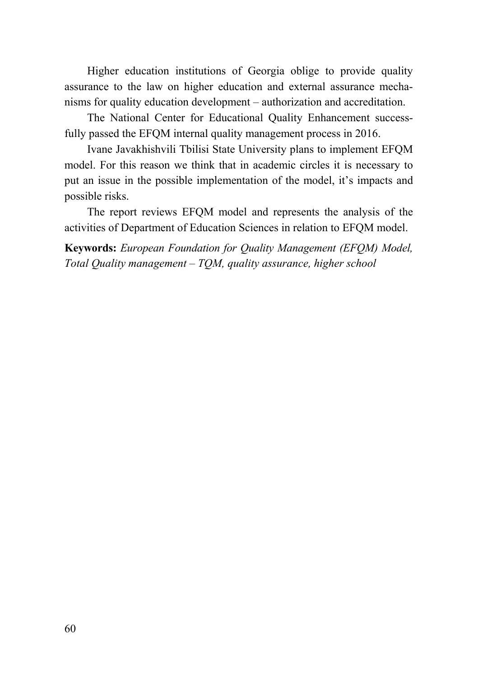Higher education institutions of Georgia oblige to provide quality assurance to the law on higher education and external assurance mechanisms for quality education development – authorization and accreditation.

The National Center for Educational Quality Enhancement successfully passed the EFQM internal quality management process in 2016.

Ivane Javakhishvili Tbilisi State University plans to implement EFQM model. For this reason we think that in academic circles it is necessary to put an issue in the possible implementation of the model, it's impacts and possible risks.

The report reviews EFQM model and represents the analysis of the activities of Department of Education Sciences in relation to EFQM model.

**Keywords:** *European Foundation for Quality Management (EFQM) Model, Total Quality management – TQM, quality assurance, higher school*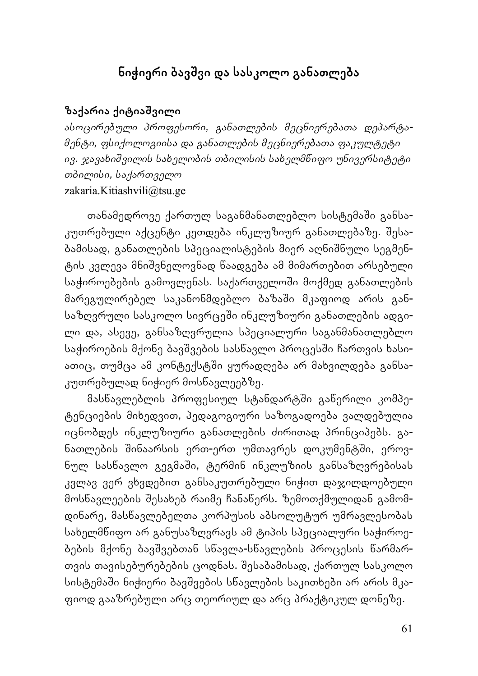## **ნიჭიერი ბავשვი და სასკოლო განათლება**

### **ზაქარია ქიტიაשვილი**

*ასოცირებული პროფესორი, განათლების მეცნიერებათა დეპარტამენტი, ფსიქოლოგიისა და განათლების მეცნიერებათა ფაკულტეტი ივ. ჯავახიשვილის სახელობის თბილისის სახელმწიფო უნივერსიტეტი თბილისი, საქართველო* zakaria.Kitiashvili@tsu.ge

თანამედროვე ქართულ საგანმანათლებლო სისტემაשი განსაკუთრებული აქცენტი კეთდება ინკლუზიურ განათლებაზე. שესაბამისად, განათლების სპეციალისტების მიერ აღნიשნული სეგმენტის კვლევა მნიשვნელოვნად წაადგება ამ მიმართებით არსებული საჭიროებების გამოვლენას. საქართველოში მოქმედ განათლების მარეგულირებელ საკანონმდებლო ბაზაשი მკაფიოდ არის განსაზღვრული სასკოლო სივრცეში ინკლუზიური განათლების ადგილი და, ასევე, განსაზღვრულია სპეციალური საგანმანათლებლო საჭიროების მქონე ბავშვების სასწავლო პროცესში ჩართვის ხასიათიც, თუმცა ამ კონტექსტში ყურადღება არ მახვილდება განსაკუთრებულად ნიჭიერ მოსწავლეებზე.

მასწავლებლის პროფესიულ სტანდარტשი გაწერილი კომპეტენციების მიხედვით, პედაგოგიური საზოგადოება ვალდებულია იცნობდეს ინკლუზიური განათლების ძირითად პრინციპებს. განათლების შინაარსის ერთ-ერთ უმთავრეს დოკუმენტში, ეროვნულ სასწავლო გეგმაשი, ტერმინ ინკლუზიის განსაზღვრებისას კვლავ ვერ ვხვდებით განსაკუთრებული ნიჭით დაჯილდოებული მოსწავლეების שესახებ რაიმე ჩანაწერს. ზემოთქმულიდან გამომდინარე, მასწავლებელთა კორპუსის აბსოლუტურ უმრავლესობას სახელმწიფო არ განუსაზღვრავს ამ ტიპის სპეციალური საჭიროებების მქონე ბავשვებთან სწავლა-სწავლების პროცესის წარმართვის თავისებურებების ცოდნას. שესაბამისად, ქართულ სასკოლო სისტემაשი ნიჭიერი ბავשვების სწავლების საკითხები არ არის მკაფიოდ გააზრებული არც თეორიულ და არც პრაქტიკულ დონეზე.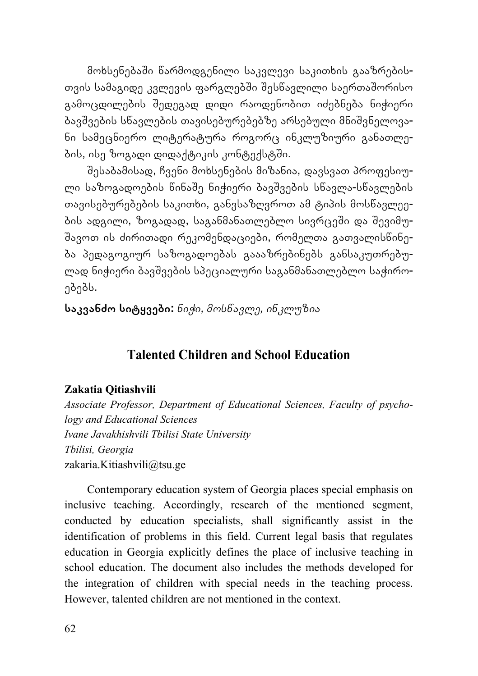მოხსენებაשი წარმოდგენილი საკვლევი საკითხის გააზრებისთვის სამაგიდე კვლევის ფარგლებში შესწავლილი საერთაშორისო გამოცდილების שედეგად დიდი რაოდენობით იძებნება ნიჭიერი ბავשვების სწავლების თავისებურებებზე არსებული მნიשვნელოვანი სამეცნიერო ლიტერატურა როგორც ინკლუზიური განათლების, ისე ზოგადი დიდაქტიკის კონტექსტში.

שესაბამისად, ჩვენი მოხსენების მიზანია, დავსვათ პროფესიული საზოგადოების წინაშე ნიჭიერი ბავშვების სწავლა-სწავლების თავისებურებების საკითხი, განვსაზღვროთ ამ ტიპის მოსწავლეების ადგილი, ზოგადად, საგანმანათლებლო სივრცეში და შევიმუ-שავოთ ის ძირითადი რეკომენდაციები, რომელთა გათვალისწინება პედაგოგიურ საზოგადოებას გაააზრებინებს განსაკუთრებულად ნიჭიერი ბავשვების სპეციალური საგანმანათლებლო საჭიროებებს.

**საკვანძო სიტყვები:** *ნიჭი, მოსწავლე, ინკლუზია*

## **Talented Children and School Education**

#### **Zakatia Qitiashvili**

*Associate Professor, Department of Educational Sciences, Faculty of psychology and Educational Sciences Ivane Javakhishvili Tbilisi State University Tbilisi, Georgia*  zakaria.Kitiashvili@tsu.ge

Contemporary education system of Georgia places special emphasis on inclusive teaching. Accordingly, research of the mentioned segment, conducted by education specialists, shall significantly assist in the identification of problems in this field. Current legal basis that regulates education in Georgia explicitly defines the place of inclusive teaching in school education. The document also includes the methods developed for the integration of children with special needs in the teaching process. However, talented children are not mentioned in the context.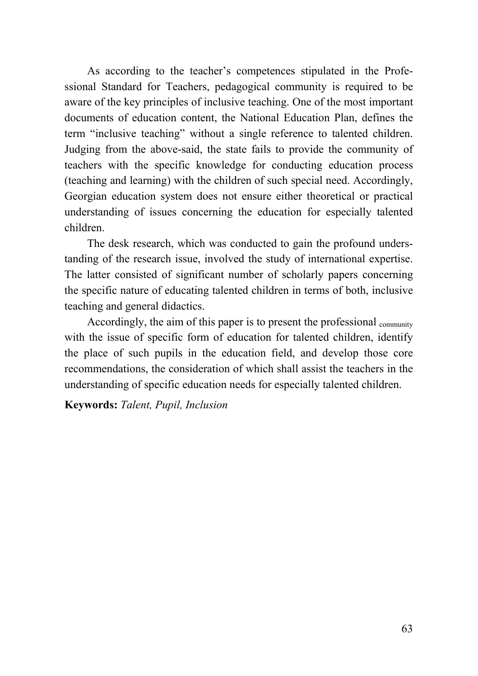As according to the teacher's competences stipulated in the Professional Standard for Teachers, pedagogical community is required to be aware of the key principles of inclusive teaching. One of the most important documents of education content, the National Education Plan, defines the term "inclusive teaching" without a single reference to talented children. Judging from the above-said, the state fails to provide the community of teachers with the specific knowledge for conducting education process (teaching and learning) with the children of such special need. Accordingly, Georgian education system does not ensure either theoretical or practical understanding of issues concerning the education for especially talented children.

The desk research, which was conducted to gain the profound understanding of the research issue, involved the study of international expertise. The latter consisted of significant number of scholarly papers concerning the specific nature of educating talented children in terms of both, inclusive teaching and general didactics.

Accordingly, the aim of this paper is to present the professional <sub>community</sub> with the issue of specific form of education for talented children, identify the place of such pupils in the education field, and develop those core recommendations, the consideration of which shall assist the teachers in the understanding of specific education needs for especially talented children.

#### **Keywords:** *Talent, Pupil, Inclusion*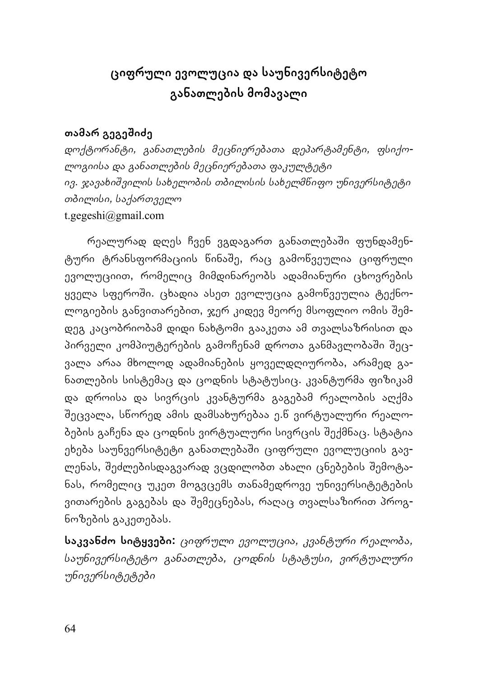# **ციფრული ევოლუცია და საუნივერსიტეტო განათლების მომავალი**

## **თამარ გეგეשიძე**

*დოქტორანტი, განათლების მეცნიერებათა დეპარტამენტი, ფსიქოლოგიისა და განათლების მეცნიერებათა ფაკულტეტი ივ. ჯავახიשვილის სახელობის თბილისის სახელმწიფო უნივერსიტეტი თბილისი, საქართველო* t.gegeshi@gmail.com

რეალურად დღეს ჩვენ ვგდაგართ განათლებაשი ფუნდამენტური ტრანსფორმაციის წინაשე, რაც გამოწვეულია ციფრული ევოლუციით, რომელიც მიმდინარეობს ადამიანური ცხოვრების ყველა სფეროשი. ცხადია ასეთ ევოლუცია გამოწვეულია ტექნოლოგიების განვითარებით, ჯერ კიდევ მეორე მსოფლიო ომის შემ<mark>-</mark> დეგ კაცობრიობამ დიდი ნახტომი გააკეთა ამ თვალსაზრისით და პირველი კომპიუტერების გამოჩენამ დროთა განმავლობაში შეცვალა არაა მხოლოდ ადამიანების ყოველდღიურობა, არამედ განათლების სისტემაც და ცოდნის სტატუსიც. კვანტურმა ფიზიკამ და დროისა და სივრცის კვანტურმა გაგებამ რეალობის აღქმა שეცვალა, სწორედ ამის დამსახურებაა ე.წ ვირტუალური რეალობების გაჩენა და ცოდნის ვირტუალური სივრცის שექმნაც. სტატია ეხება საუნვერსიტეტი განათლებაשი ციფრული ევოლუციის გავლენას, שეძლებისდაგვარად ვცდილობთ ახალი ცნებების שემოტანას, რომელიც უკეთ მოგვცემს თანამედროვე უნივერსიტეტების ვითარების გაგებას და שემეცნებას, რაღაც თვალსაზირით პროგნოზების გაკეთებას.

**საკვანძო სიტყვები:** *ციფრული ევოლუცია, კვანტური რეალობა, საუნივერსიტეტო განათლება, ცოდნის სტატუსი, ვირტუალური უნივერსიტეტები*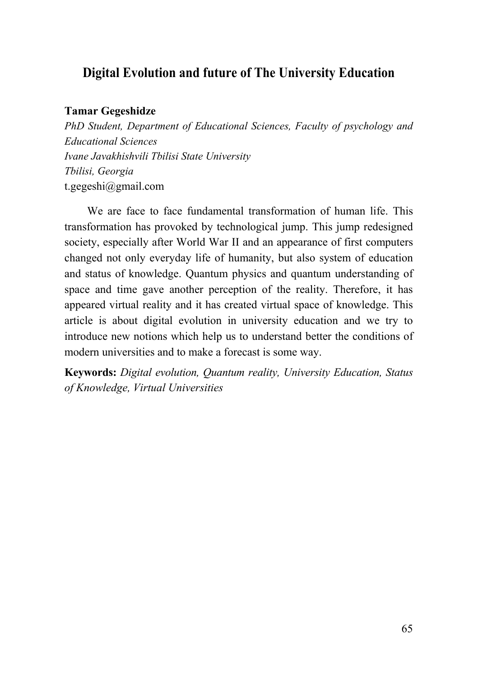## **Digital Evolution and future of The University Education**

#### **Tamar Gegeshidze**

*PhD Student, Department of Educational Sciences, Faculty of psychology and Educational Sciences Ivane Javakhishvili Tbilisi State University Tbilisi, Georgia*  t.gegeshi@gmail.com

We are face to face fundamental transformation of human life. This transformation has provoked by technological jump. This jump redesigned society, especially after World War II and an appearance of first computers changed not only everyday life of humanity, but also system of education and status of knowledge. Quantum physics and quantum understanding of space and time gave another perception of the reality. Therefore, it has appeared virtual reality and it has created virtual space of knowledge. This article is about digital evolution in university education and we try to introduce new notions which help us to understand better the conditions of modern universities and to make a forecast is some way.

**Keywords:** *Digital evolution, Quantum reality, University Education, Status of Knowledge, Virtual Universities*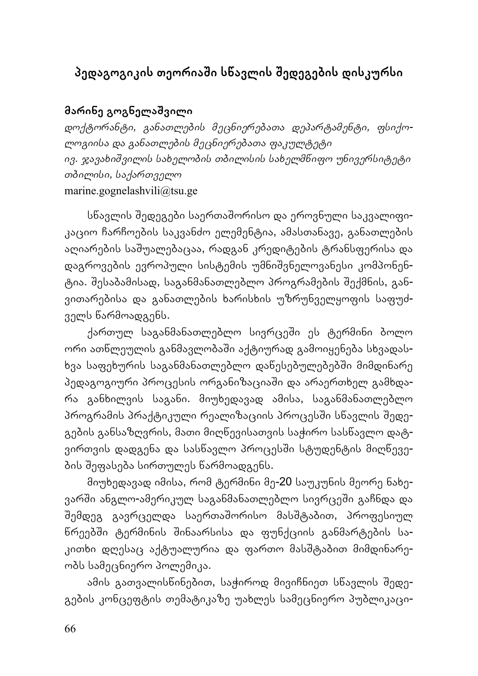# **პედაგოგიკის თეორიაשი სწავლის שედეგების დისკურსი**

## **მარინე გოგნელაשვილი**

*დოქტორანტი, განათლების მეცნიერებათა დეპარტამენტი, ფსიქოლოგიისა და განათლების მეცნიერებათა ფაკულტეტი ივ. ჯავახიשვილის სახელობის თბილისის სახელმწიფო უნივერსიტეტი თბილისი, საქართველო* marine.gognelashvili@tsu.ge

სწავლის შედეგები საერთაშორისო და ეროვნული საკვალიფიკაციო ჩარჩოების საკვანძო ელემენტია, ამასთანავე, განათლების აღიარების საשუალებაცაა, რადგან კრედიტების ტრანსფერისა და დაგროვების ევროპული სისტემის უმნიשვნელოვანესი კომპონენტია. שესაბამისად, საგანმანათლებლო პროგრამების שექმნის, განვითარებისა და განათლების ხარისხის უზრუნველყოფის საფუძველს წარმოადგენს.

ქართულ საგანმანათლებლო სივრცეში ეს ტერმინი ბოლო ორი ათწლეულის განმავლობაში აქტიურად გამოიყენება სხვადასხვა საფეხურის საგანმანათლებლო დაწესებულებებში მიმდინარე პედაგოგიური პროცესის ორგანიზაციაში და არაერთხელ გამხდარა განხილვის საგანი. მიუხედავად ამისა, საგანმანათლებლო პროგრამის პრაქტიკული რეალიზაციის პროცესში სწავლის შედეგების განსაზღვრის, მათი მიღწევისათვის საჭირო სასწავლო დატვირთვის დადგენა და სასწავლო პროცესში სტუდენტის მიღწევების שეფასება სირთულეს წარმოადგენს.

მიუხედავად იმისა, რომ ტერმინი მე-20 საუკუნის მეორე ნახევარში ანგლო-ამერიკულ საგანმანათლებლო სივრცეში გაჩნდა და שემდეგ გავრცელდა საერთაשორისო მასשტაბით, პროფესიულ წრეებשი ტერმინის שინაარსისა და ფუნქციის განმარტების საკითხი დღესაც აქტუალურია და ფართო მასשტაბით მიმდინარეობს სამეცნიერო პოლემიკა.

ამის გათვალისწინებით, საჭიროდ მივიჩნიეთ სწავლის שედეგების კონცეფტის თემატიკაზე უახლეს სამეცნიერო პუბლიკაცი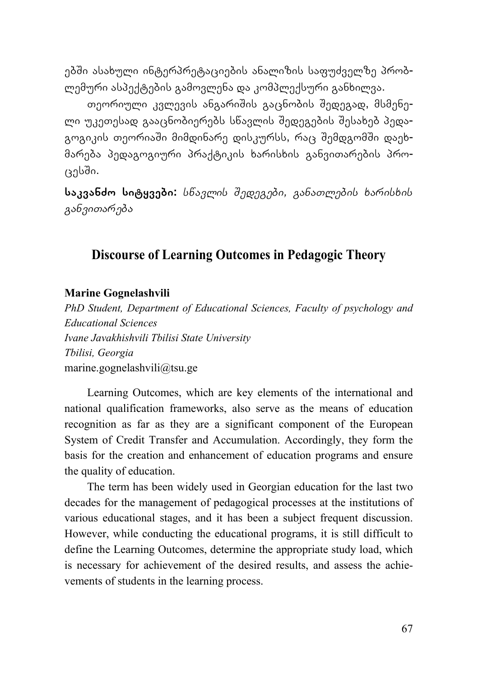ებשი ასახული ინტერპრეტაციების ანალიზის საფუძველზე პრობლემური ასპექტების გამოვლენა და კომპლექსური განხილვა.

თეორიული კვლევის ანგარიშის გაცნობის შედეგად, მსმენელი უკეთესად გააცნობიერებს სწავლის შედეგების შესახებ პედაგოგიკის თეორიაში მიმდინარე დისკურსს, რაც შემდგომში დაეხმარება პედაგოგიური პრაქტიკის ხარისხის განვითარების პროცესשი.

**საკვანძო სიტყვები:** *სწავლის שედეგები, განათლების ხარისხის განვითარება*

### **Discourse of Learning Outcomes in Pedagogic Theory**

#### **Marine Gognelashvili**

*PhD Student, Department of Educational Sciences, Faculty of psychology and Educational Sciences Ivane Javakhishvili Tbilisi State University Tbilisi, Georgia*  marine.gognelashvili@tsu.ge

Learning Outcomes, which are key elements of the international and national qualification frameworks, also serve as the means of education recognition as far as they are a significant component of the European System of Credit Transfer and Accumulation. Accordingly, they form the basis for the creation and enhancement of education programs and ensure the quality of education.

The term has been widely used in Georgian education for the last two decades for the management of pedagogical processes at the institutions of various educational stages, and it has been a subject frequent discussion. However, while conducting the educational programs, it is still difficult to define the Learning Outcomes, determine the appropriate study load, which is necessary for achievement of the desired results, and assess the achievements of students in the learning process.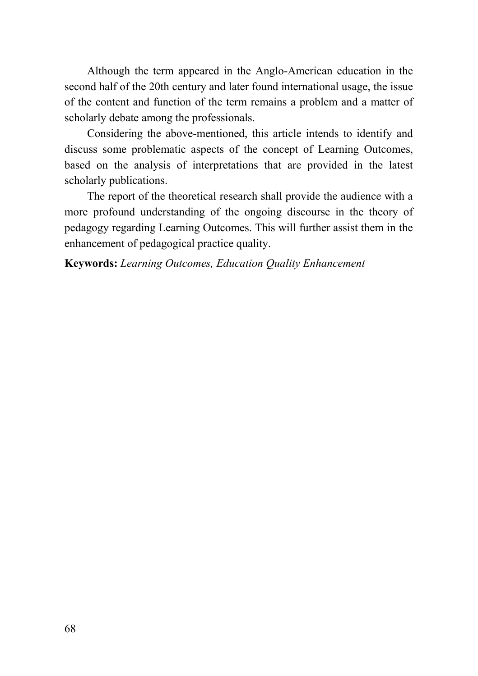Although the term appeared in the Anglo-American education in the second half of the 20th century and later found international usage, the issue of the content and function of the term remains a problem and a matter of scholarly debate among the professionals.

Considering the above-mentioned, this article intends to identify and discuss some problematic aspects of the concept of Learning Outcomes, based on the analysis of interpretations that are provided in the latest scholarly publications.

The report of the theoretical research shall provide the audience with a more profound understanding of the ongoing discourse in the theory of pedagogy regarding Learning Outcomes. This will further assist them in the enhancement of pedagogical practice quality.

#### **Keywords:** *Learning Outcomes, Education Quality Enhancement*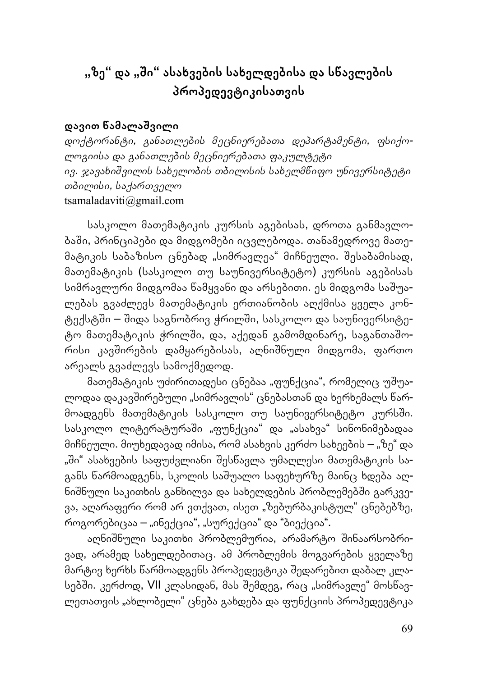# **"ზე" და "שი" ასახვების სახელდებისა და სწავლების პროპედევტიკისათვის**

### **დავით წამალაשვილი**

*დოქტორანტი, განათლების მეცნიერებათა დეპარტამენტი, ფსიქოლოგიისა და განათლების მეცნიერებათა ფაკულტეტი ივ. ჯავახიשვილის სახელობის თბილისის სახელმწიფო უნივერსიტეტი თბილისი, საქართველო* tsamaladaviti@gmail.com

სასკოლო მათემატიკის კურსის აგებისას, დროთა განმავლობაשი, პრინციპები და მიდგომები იცვლებოდა. თანამედროვე მათემატიკის საბაზისო ცნებად "სიმრავლეა" მიჩნეული. שესაბამისად, მათემატიკის (სასკოლო თუ საუნივერსიტეტო) კურსის აგებისას სიმრავლური მიდგომაა წამყვანი და არსებითი. ეს მიდგომა საשუალებას გვაძლევს მათემატიკის ერთიანობის აღქმისა ყველა კონტექსტשი – שიდა საგნობრივ ჭრილשი, სასკოლო და საუნივერსიტეტო მათემატიკის ჭრილשი, და, აქედან გამომდინარე, საგანთაשორისი კავშირების დამყარებისას, აღნიშნული მიდგომა, ფართო არეალს გვაძლევს სამოქმედოდ.

მათემატიკის უძირითადესი ცნებაა "ფუნქცია", რომელიც უშუალოდაა დაკავშირებული "სიმრავლის" ცნებასთან და ხერხემალს წარმოადგენს მათემატიკის სასკოლო თუ საუნივერსიტეტო კურსში. სასკოლო ლიტერატურაში "ფუნქცია" და "ასახვა" სინონიმებადაა მიჩნეული. მიუხედავად იმისა, რომ ასახვის კერძო სახეების – "ზე" და "ში" ასახვების საფუძვლიანი შესწავლა უმაღლესი მათემატიკის საგანს წარმოადგენს, სკოლის საשუალო საფეხურზე მაინც ხდება აღნიშნული საკითხის განხილვა და სახელდების პრობლემებში გარკვევა, აღარაფერი რომ არ ვთქვათ, ისეთ "ზებურბაკისტულ" ცნებებზე, როგორებიცაა – "ინექცია", "სურექცია" და "ბიექცია".

აღნიშნული საკითხი პრობლემურია, არამარტო შინაარსობრივად, არამედ სახელდებითაც. ამ პრობლემის მოგვარების ყველაზე მარტივ ხერხს წარმოადგენს პროპედევტიკა שედარებით დაბალ კლასებში. კერძოდ, VII კლასიდან, მას შემდეგ, რაც "სიმრავლე" მოსწავლეთათვის "ახლობელი" ცნება გახდება და ფუნქციის პროპედევტიკა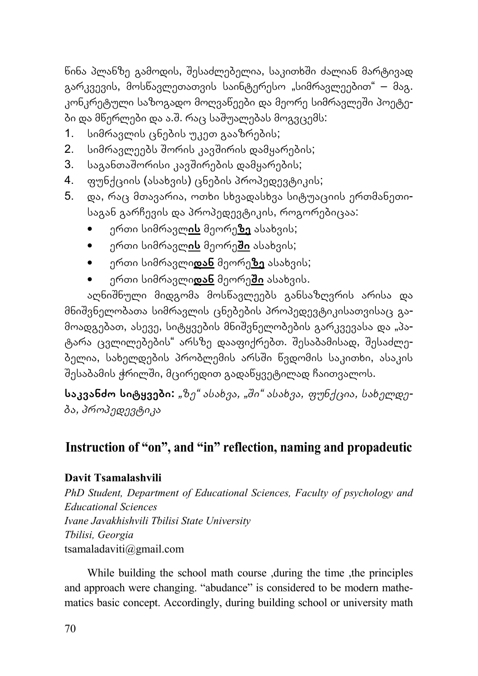ნინა პლანზე გამოდის, შესაძლებელია, საკითხში ძალიან მარტივად გარკვევის, მოსწავლეთათვის საინტერესო "სიმრავლეებით" – მაგ. კონკრეტული საზოგადო მოღვაწეები და მეორე სიმრავლეში პოეტები და მწერლები და ა.ש. რაც საשუალებას მოგვცემს:

- 1. სიმრავლის ცნების უკეთ გააზრების;
- 2. სიმრავლეებს שორის კავשირის დამყარების;
- 3. საგანთაშორისი კავშირების დამყარების;
- 4. ფუნქციის (ასახვის) ცნების პროპედევტიკის;
- 5. და, რაც მთავარია, ოთხი სხვადასხვა სიტუაციის ერთმანეთისაგან გარჩევის და პროპედევტიკის, როგორებიცაა:
	- ერთი სიმრავლ**ის** მეორე**ზე** ასახვის;
	- ერთი სიმრავლ**ის** მეორე**שი** ასახვის;
	- ერთი სიმრავლი**დან** მეორე**ზე** ასახვის;
	- ერთი სიმრავლი**დან** მეორე**שი** ასახვის.

აღნიשნული მიდგომა მოსწავლეებს განსაზღვრის არისა და მნიשვნელობათა სიმრავლის ცნებების პროპედევტიკისათვისაც გამოადგებათ, ასევე, სიტყვების მნიშვნელობების გარკვევასა და "პატარა ცვლილებების" არსზე დააფიქრებთ. שესაბამისად, שესაძლებელია, სახელდების პრობლემის არსשი წვდომის საკითხი, ასაკის שესაბამის ჭრილשი, მცირედით გადაწყვეტილად ჩაითვალოს.

**საკვანძო სიტყვები:** *"ზე" ასახვა, "שი" ასახვა, ფუნქცია, სახელდება, პროპედევტიკა*

## **Instruction of "on", and "in" reflection, naming and propadeutic**

### **Davit Tsamalashvili**

*PhD Student, Department of Educational Sciences, Faculty of psychology and Educational Sciences Ivane Javakhishvili Tbilisi State University Tbilisi, Georgia*  tsamaladaviti@gmail.com

While building the school math course ,during the time ,the principles and approach were changing. "abudance" is considered to be modern mathematics basic concept. Accordingly, during building school or university math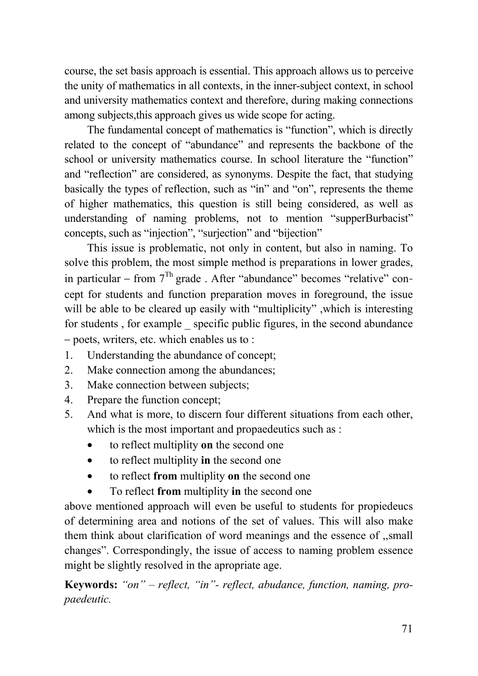course, the set basis approach is essential. This approach allows us to perceive the unity of mathematics in all contexts, in the inner-subject context, in school and university mathematics context and therefore, during making connections among subjects,this approach gives us wide scope for acting.

The fundamental concept of mathematics is "function", which is directly related to the concept of "abundance" and represents the backbone of the school or university mathematics course. In school literature the "function" and "reflection" are considered, as synonyms. Despite the fact, that studying basically the types of reflection, such as "in" and "on", represents the theme of higher mathematics, this question is still being considered, as well as understanding of naming problems, not to mention "supperBurbacist" concepts, such as "injection", "surjection" and "bijection"

This issue is problematic, not only in content, but also in naming. To solve this problem, the most simple method is preparations in lower grades, in particular – from  $7<sup>Th</sup>$  grade . After "abundance" becomes "relative" concept for students and function preparation moves in foreground, the issue will be able to be cleared up easily with "multiplicity" ,which is interesting for students, for example specific public figures, in the second abundance – poets, writers, etc. which enables us to :

- 1. Understanding the abundance of concept;
- 2. Make connection among the abundances;
- 3. Make connection between subjects;
- 4. Prepare the function concept;
- 5. And what is more, to discern four different situations from each other, which is the most important and propaedeutics such as :
	- to reflect multiplity **on** the second one
	- to reflect multiplity **in** the second one
	- to reflect **from** multiplity **on** the second one
	- To reflect **from** multiplity **in** the second one

above mentioned approach will even be useful to students for propiedeucs of determining area and notions of the set of values. This will also make them think about clarification of word meanings and the essence of ,,small changes". Correspondingly, the issue of access to naming problem essence might be slightly resolved in the apropriate age.

**Keywords:** *"on" – reflect, "in"- reflect, abudance, function, naming, propaedeutic.*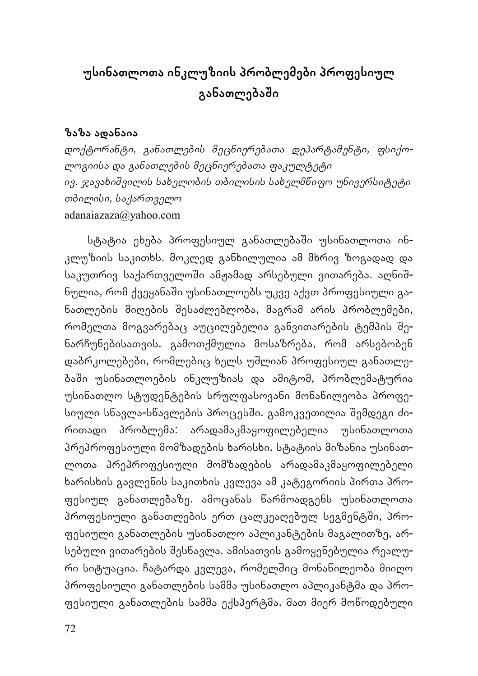# **უსინათლოთა ინკლუზიის პრობლემები პროფესიულ განათლებაשი**

### **ზაზა ადანაია**

*დოქტორანტი, განათლების მეცნიერებათა დეპარტამენტი, ფსიქოლოგიისა და განათლების მეცნიერებათა ფაკულტეტი ივ. ჯავახიשვილის სახელობის თბილისის სახელმწიფო უნივერსიტეტი თბილისი, საქართველო* adanaiazaza@yahoo.com

სტატია ეხება პროფესიულ განათლებაში უსინათლოთა ინკლუზიის საკითხს. მოკლედ განხილულია ამ მხრივ ზოგადად და საკუთრივ საქართველოში ამჟამად არსებული ვითარება. აღნიშნულია, რომ ქვეყანაשი უსინათლოებს უკვე აქვთ პროფესიული განათლების მიღების שესაძლებლობა, მაგრამ არის პრობლემები, რომელთა მოგვარებაც აუცილებელია განვითარების ტემპის שენარჩუნებისათვის. გამოთქმულია მოსაზრება, რომ არსებობენ დაბრკოლებები, რომლებიც ხელს უשლიან პროფესიულ განათლებაשი უსინათლოების ინკლუზიას და ამიტომ, პრობლემატურია უსინათლო სტუდენტების სრულფასოვანი მონაწილეობა პროფესიული სწავლა-სწავლების პროცესში. გამოკვეთილია შემდეგი ძირითადი პრობლემა: არადამაკმაყოფილებელია უსინათლოთა პრეპროფესიული მომზადების ხარისხი. სტატიის მიზანია უსინათლოთა პრეპროფესიული მომზადების არადამაკმაყოფილებელი ხარისხის გავლენის საკითხის კვლევა ამ კატეგორიის პირთა პროფესიულ განათლებაზე. ამოცანას წარმოადგენს უსინათლოთა პროფესიული განათლების ერთ ცალკეაღებულ სეგმენტში, პროფესიული განათლების უსინათლო აპლიკანტების მაგალითზე, არსებული ვითარების שესწავლა. ამისათვის გამოყენებულია რეალური სიტუაცია. ჩატარდა კვლევა, რომელშიც მონაწილეობა მიიღო პროფესიული განათლების სამმა უსინათლო აპლიკანტმა და პროფესიული განათლების სამმა ექსპერტმა. მათ მიერ მოწოდებული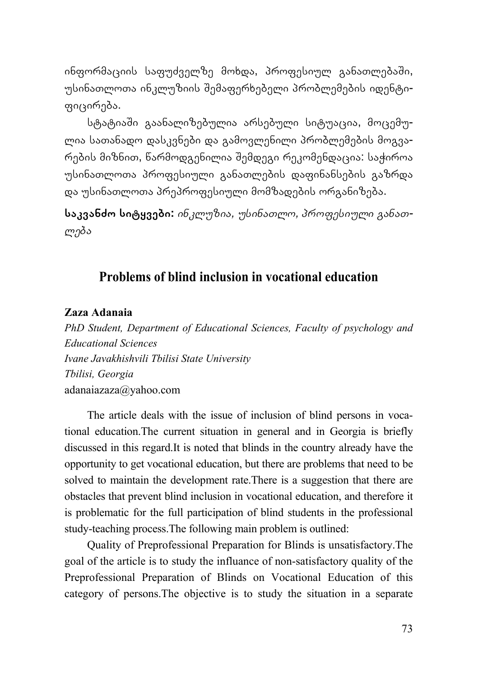ინფორმაციის საფუძველზე მოხდა, პროფესიულ განათლებაשი, უსინათლოთა ინკლუზიის שემაფერხებელი პრობლემების იდენტიფიცირება.

სტატიაשი გაანალიზებულია არსებული სიტუაცია, მოცემულია სათანადო დასკვნები და გამოვლენილი პრობლემების მოგვარების მიზნით, წარმოდგენილია שემდეგი რეკომენდაცია: საჭიროა უსინათლოთა პროფესიული განათლების დაფინანსების გაზრდა და უსინათლოთა პრეპროფესიული მომზადების ორგანიზება.

**საკვანძო სიტყვები:** *ინკლუზია, უსინათლო, პროფესიული განათლება*

## **Problems of blind inclusion in vocational education**

#### **Zaza Adanaia**

*PhD Student, Department of Educational Sciences, Faculty of psychology and Educational Sciences Ivane Javakhishvili Tbilisi State University Tbilisi, Georgia*  adanaiazaza@yahoo.com

The article deals with the issue of inclusion of blind persons in vocational education.The current situation in general and in Georgia is briefly discussed in this regard.It is noted that blinds in the country already have the opportunity to get vocational education, but there are problems that need to be solved to maintain the development rate.There is a suggestion that there are obstacles that prevent blind inclusion in vocational education, and therefore it is problematic for the full participation of blind students in the professional study-teaching process.The following main problem is outlined:

Quality of Preprofessional Preparation for Blinds is unsatisfactory.The goal of the article is to study the influance of non-satisfactory quality of the Preprofessional Preparation of Blinds on Vocational Education of this category of persons.The objective is to study the situation in a separate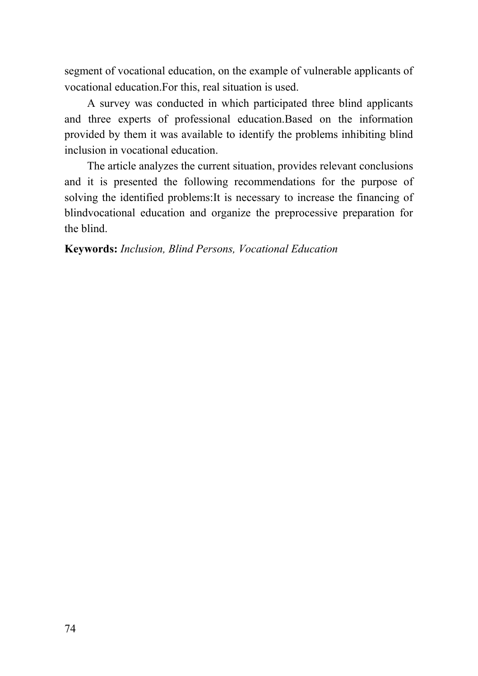segment of vocational education, on the example of vulnerable applicants of vocational education.For this, real situation is used.

A survey was conducted in which participated three blind applicants and three experts of professional education.Based on the information provided by them it was available to identify the problems inhibiting blind inclusion in vocational education.

The article analyzes the current situation, provides relevant conclusions and it is presented the following recommendations for the purpose of solving the identified problems:It is necessary to increase the financing of blindvocational education and organize the preprocessive preparation for the blind.

#### **Keywords:** *Inclusion, Blind Persons, Vocational Education*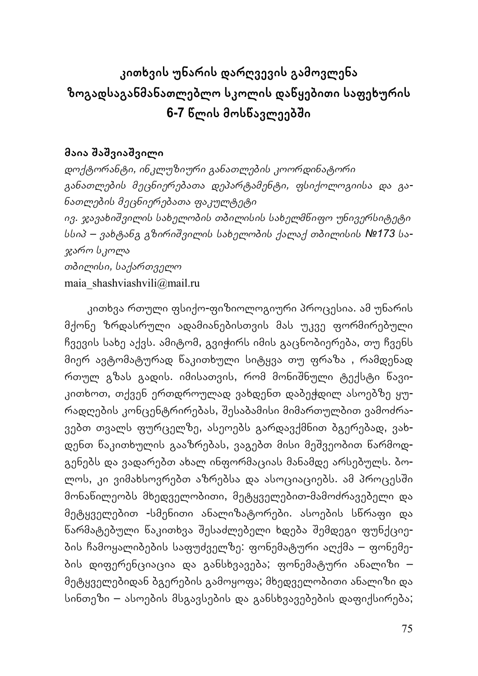# **კითხვის უნარის დარღვევის გამოვლენა ზოგადსაგანმანათლებლო სკოლის დაწყებითი საფეხურის 6-7 წლის მოსწავლეებשი**

### **მაია שაשვიაשვილი**

*დოქტორანტი, ინკლუზიური განათლების კოორდინატორი განათლების მეცნიერებათა დეპარტამენტი, ფსიქოლოგიისა და განათლების მეცნიერებათა ფაკულტეტი ივ. ჯავახიשვილის სახელობის თბილისის სახელმწიფო უნივერსიტეტი სსიპ – ვახტანგ გზირიשვილის სახელობის ქალაქ თბილისის №173 საჯარო სკოლა თბილისი, საქართველო* maia\_shashviashvili@mail.ru

კითხვა რთული ფსიქო-ფიზიოლოგიური პროცესია. ამ უნარის მქონე ზრდასრული ადამიანებისთვის მას უკვე ფორმირებული ჩვევის სახე აქვს. ამიტომ, გვიჭირს იმის გაცნობიერება, თუ ჩვენს მიერ ავტომატურად წაკითხული სიტყვა თუ ფრაზა , რამდენად რთულ გზას გადის. იმისათვის, რომ მონიשნული ტექსტი წავიკითხოთ, თქვენ ერთდროულად ვახდენთ დაბეჭდილ ასოებზე ყურადღების კონცენტრირებას, שესაბამისი მიმართულბით ვამოძრავებთ თვალს ფურცელზე, ასეოებს გარდავქმნით ბგერებად, ვახდენთ წაკითხულის გააზრებას, ვაგებთ მისი მეשვეობით წარმოდგენებს და ვადარებთ ახალ ინფორმაციას მანამდე არსებულს. ბოლოს, კი ვიმახსოვრებთ აზრებსა და ასოციაციებს. ამ პროცესში მონაწილეობს მხედველობითი, მეტყველებით-მამოძრავებელი და მეტყველებით -სმენითი ანალიზატორები. ასოების სწრაფი და წარმატებული წაკითხვა שესაძლებელი ხდება שემდეგი ფუნქციების ჩამოყალიბების საფუძველზე: ფონემატური აღქმა – ფონემების დიფერენციაცია და განსხვავება; ფონემატური ანალიზი – მეტყველებიდან ბგერების გამოყოფა; მხედველობითი ანალიზი და სინთეზი – ასოების მსგავსების და განსხვავებების დაფიქსირება;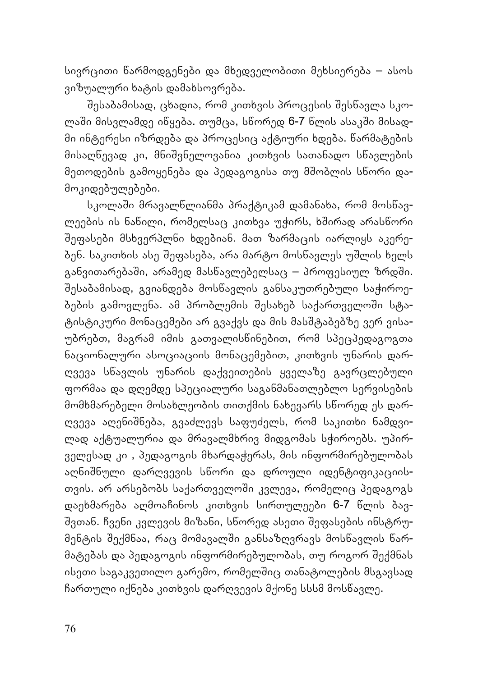სივრცითი წარმოდგენები და მხედველობითი მეხსიერება – ასოს ვიზუალური ხატის დამახსოვრება.

שესაბამისად, ცხადია, რომ კითხვის პროცესის שესწავლა სკოლაში მისვლამდე იწყება. თუმცა, სწორედ 6-7 წლის ასაკში მისადმი ინტერესი იზრდება და პროცესიც აქტიური ხდება. წარმატების მისაღწევად კი, მნიשვნელოვანია კითხვის სათანადო სწავლების მეთოდების გამოყენება და პედაგოგისა თუ მשობლის სწორი დამოკიდებულებები.

სკოლაשი მრავალწლიანმა პრაქტიკამ დამანახა, რომ მოსწავლეების ის ნაწილი, რომელსაც კითხვა უჭირს, ხშირად არასწორი שეფასები მსხვერპლნი ხდებიან. მათ ზარმაცის იარლიყს აკერებენ. საკითხის ასე שეფასება, არა მარტო მოსწავლეს უשლის ხელს განვითარებაში, არამედ მასწავლებელსაც – პროფესიულ ზრდში. שესაბამისად, გვიანდება მოსწავლის განსაკუთრებული საჭიროებების გამოვლენა. ამ პრობლემის შესახებ საქართველოში სტატისტიკური მონაცემები არ გვაქვს და მის მასשტაბებზე ვერ ვისაუბრებთ, მაგრამ იმის გათვალისწინებით, რომ სპეცპედაგოგთა ნაციონალური ასოციაციის მონაცემებით, კითხვის უნარის დარღვევა სწავლის უნარის დაქვეითების ყველაზე გავრცლებული ფორმაა და დღემდე სპეციალური საგანმანათლებლო სერვისების მომხმარებელი მოსახლეობის თითქმის ნახევარს სწორედ ეს დარღვევა აღენიשნება, გვაძლევს საფუძელს, რომ საკითხი ნამდვილად აქტუალურია და მრავალმხრივ მიდგომას სჭიროებს. უპირველესად კი , პედაგოგის მხარდაჭერას, მის ინფორმირებულობას აღნიשნული დარღვევის სწორი და დროული იდენტიფიკაციისთვის. არ არსებობს საქართველოשი კვლევა, რომელიც პედაგოგს დაეხმარება აღმოაჩინოს კითხვის სირთულეები 6-7 წლის ბავ-שვთან. ჩვენი კვლევის მიზანი, სწორედ ასეთი שეფასების ინსტრუმენტის שექმნაა, რაც მომავალשი განსაზღვრავს მოსწავლის წარმატებას და პედაგოგის ინფორმირებულობას, თუ როგორ שექმნას ისეთი საგაკვეთილო გარემო, რომელშიც თანატოლების მსგავსად ჩართული იქნება კითხვის დარღვევის მქონე სსსმ მოსწავლე.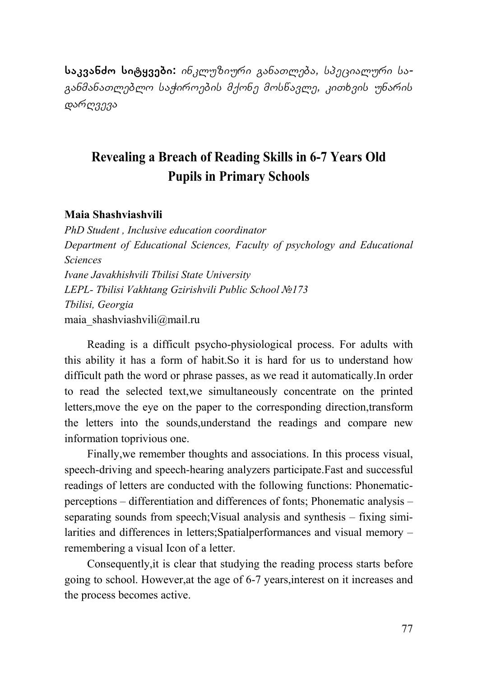**საკვანძო სიტყვები:** *ინკლუზიური განათლება, სპეციალური საგანმანათლებლო საჭიროების მქონე მოსწავლე, კითხვის უნარის დარღვევა*

## **Revealing a Breach of Reading Skills in 6-7 Years Old Pupils in Primary Schools**

#### **Maia Shashviashvili**

*PhD Student , Inclusive education coordinator Department of Educational Sciences, Faculty of psychology and Educational Sciences Ivane Javakhishvili Tbilisi State University LEPL- Tbilisi Vakhtang Gzirishvili Public School №173 Tbilisi, Georgia*  maia\_shashviashvili@mail.ru

Reading is a difficult psycho-physiological process. For adults with this ability it has a form of habit.So it is hard for us to understand how difficult path the word or phrase passes, as we read it automatically.In order to read the selected text,we simultaneously concentrate on the printed letters,move the eye on the paper to the corresponding direction,transform the letters into the sounds,understand the readings and compare new information toprivious one.

Finally,we remember thoughts and associations. In this process visual, speech-driving and speech-hearing analyzers participate.Fast and successful readings of letters are conducted with the following functions: Phonematicperceptions – differentiation and differences of fonts; Phonematic analysis – separating sounds from speech;Visual analysis and synthesis – fixing similarities and differences in letters;Spatialperformances and visual memory – remembering a visual Icon of a letter.

Consequently,it is clear that studying the reading process starts before going to school. However,at the age of 6-7 years,interest on it increases and the process becomes active.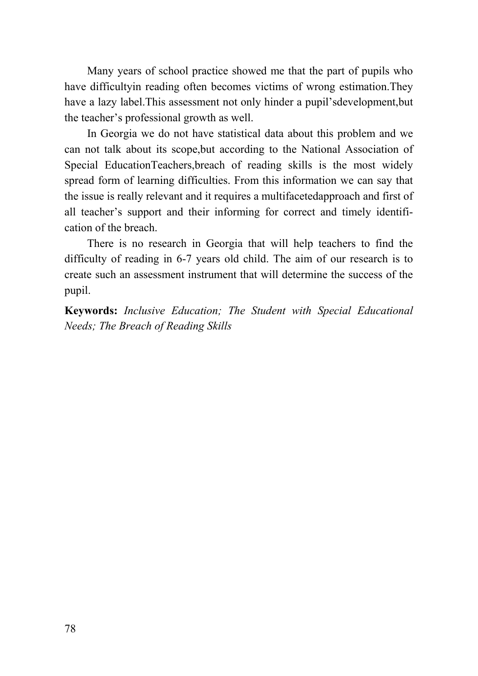Many years of school practice showed me that the part of pupils who have difficultyin reading often becomes victims of wrong estimation.They have a lazy label.This assessment not only hinder a pupil'sdevelopment,but the teacher's professional growth as well.

In Georgia we do not have statistical data about this problem and we can not talk about its scope,but according to the National Association of Special EducationTeachers,breach of reading skills is the most widely spread form of learning difficulties. From this information we can say that the issue is really relevant and it requires a multifacetedapproach and first of all teacher's support and their informing for correct and timely identification of the breach.

There is no research in Georgia that will help teachers to find the difficulty of reading in 6-7 years old child. The aim of our research is to create such an assessment instrument that will determine the success of the pupil.

**Keywords:** *Inclusive Education; The Student with Special Educational Needs; The Breach of Reading Skills*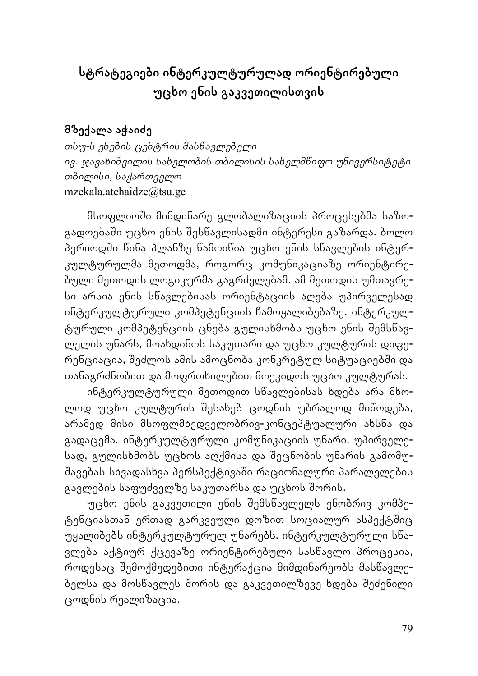## **სტრატეგიები ინტერკულტურულად ორიენტირებული უცხო ენის გაკვეთილისთვის**

### **მზექალა აჭაიძე**

*თსუ-ს ენების ცენტრის მასწავლებელი ივ. ჯავახიשვილის სახელობის თბილისის სახელმწიფო უნივერსიტეტი თბილისი, საქართველო* mzekala.atchaidze@tsu.ge

მსოფლიოשი მიმდინარე გლობალიზაციის პროცესებმა საზოგადოებაში უცხო ენის შესწავლისადმი ინტერესი გაზარდა. ბოლო პერიოდში წინა პლანზე წამოიწია უცხო ენის სწავლების ინტერკულტურულმა მეთოდმა, როგორც კომუნიკაციაზე ორიენტირებული მეთოდის ლოგიკურმა გაგრძელებამ. ამ მეთოდის უმთავრესი არსია ენის სწავლებისას ორიენტაციის აღება უპირველესად ინტერკულტურული კომპეტენციის ჩამოყალიბებაზე. ინტერკულტურული კომპეტენციის ცნება გულისხმობს უცხო ენის שემსწავლელის უნარს, მოახდინოს საკუთარი და უცხო კულტურის დიფერენციაცია, შეძლოს ამის ამოცნობა კონკრეტულ სიტუაციებში და თანაგრძნობით და მოფრთხილებით მოეკიდოს უცხო კულტურას.

ინტერკულტურული მეთოდით სწავლებისას ხდება არა მხოლოდ უცხო კულტურის שესახებ ცოდნის უბრალოდ მიწოდება, არამედ მისი მსოფლმხედველობრივ-კონცეპტუალური ახსნა და გადაცემა. ინტერკულტურული კომუნიკაციის უნარი, უპირველესად, გულისხმობს უცხოს აღქმისა და שეცნობის უნარის გამომუშავებას სხვადასხვა პერსპექტივაში რაციონალური პარალელების გავლების საფუძველზე საკუთარსა და უცხოს შორის.

უცხო ენის გაკვეთილი ენის שემსწავლელს ენობრივ კომპეტენციასთან ერთად გარკვეული დოზით სოციალურ ასპექტშიც უყალიბებს ინტერკულტურულ უნარებს. ინტერკულტურული სწავლება აქტიურ ქცევაზე ორიენტირებული სასწავლო პროცესია, როდესაც שემოქმედებითი ინტერაქცია მიმდინარეობს მასწავლებელსა და მოსწავლეს שორის და გაკვეთილზევე ხდება שეძენილი ცოდნის რეალიზაცია.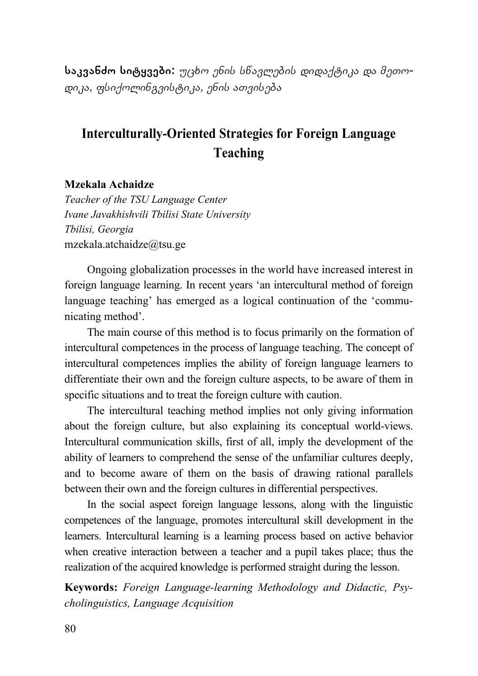**საკვანძო სიტყვები:** *უცხო ენის სწავლების დიდაქტიკა და მეთოდიკა, ფსიქოლინგვისტიკა, ენის ათვისება*

## **Interculturally-Oriented Strategies for Foreign Language Teaching**

#### **Mzekala Achaidze**

*Teacher of the TSU Language Center Ivane Javakhishvili Tbilisi State University Tbilisi, Georgia*  mzekala.atchaidze@tsu.ge

Ongoing globalization processes in the world have increased interest in foreign language learning. In recent years 'an intercultural method of foreign language teaching' has emerged as a logical continuation of the 'communicating method'.

The main course of this method is to focus primarily on the formation of intercultural competences in the process of language teaching. The concept of intercultural competences implies the ability of foreign language learners to differentiate their own and the foreign culture aspects, to be aware of them in specific situations and to treat the foreign culture with caution.

The intercultural teaching method implies not only giving information about the foreign culture, but also explaining its conceptual world-views. Intercultural communication skills, first of all, imply the development of the ability of learners to comprehend the sense of the unfamiliar cultures deeply, and to become aware of them on the basis of drawing rational parallels between their own and the foreign cultures in differential perspectives.

In the social aspect foreign language lessons, along with the linguistic competences of the language, promotes intercultural skill development in the learners. Intercultural learning is a learning process based on active behavior when creative interaction between a teacher and a pupil takes place; thus the realization of the acquired knowledge is performed straight during the lesson.

**Keywords:** *Foreign Language-learning Methodology and Didactic, Psycholinguistics, Language Acquisition*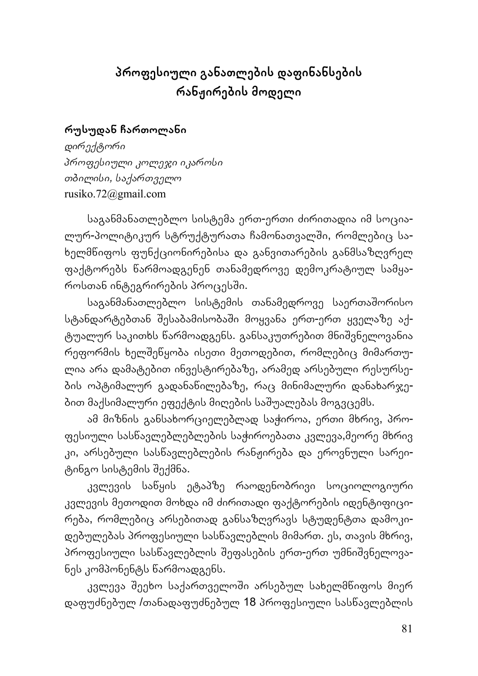## **პროფესიული განათლების დაფინანსების რანჟირების მოდელი**

### **რუსუდან ჩართოლანი**

*დირექტორი პროფესიული კოლეჯი იკაროსი თბილისი, საქართველო* rusiko.72@gmail.com

საგანმანათლებლო სისტემა ერთ-ერთი ძირითადია იმ სოციალურ-პოლიტიკურ სტრუქტურათა ჩამონათვალשი, რომლებიც სახელმწიფოს ფუნქციონირებისა და განვითარების განმსაზღვრელ ფაქტორებს წარმოადგენენ თანამედროვე დემოკრატიულ სამყაროსთან ინტეგრირების პროცესში.

საგანმანათლებლო სისტემის თანამედროვე საერთაშორისო სტანდარტებთან שესაბამისობაשი მოყვანა ერთ-ერთ ყველაზე აქტუალურ საკითხს წარმოადგენს. განსაკუთრებით მნიשვნელოვანია რეფორმის ხელשეწყობა ისეთი მეთოდებით, რომლებიც მიმართულია არა დამატებით ინვესტირებაზე, არამედ არსებული რესურსების ოპტიმალურ გადანაწილებაზე, რაც მინიმალური დანახარჯებით მაქსიმალური ეფექტის მიღების საשუალებას მოგვცემს.

ამ მიზნის განსახორციელებლად საჭიროა, ერთი მხრივ, პროფესიული სასწავლებლებლების საჭიროებათა კვლევა,მეორე მხრივ კი, არსებული სასწავლებლების რანჟირება და ეროვნული სარეიტინგო სისტემის שექმნა.

კვლევის საწყის ეტაპზე რაოდენობრივი სოციოლოგიური კვლევის მეთოდით მოხდა იმ ძირითადი ფაქტორების იდენტიფიცირება, რომლებიც არსებითად განსაზღვრავს სტუდენტთა დამოკიდებულებას პროფესიული სასწავლებლის მიმართ. ეს, თავის მხრივ, პროფესიული სასნავლებლის შეფასების ერთ-ერთ უმნიშვნელოვანეს კომპონენტს წარმოადგენს.

კვლევა შეეხო საქართველოში არსებულ სახელმწიფოს მიერ დაფუძნებულ /თანადაფუძნებულ 18 პროფესიული სასწავლებლის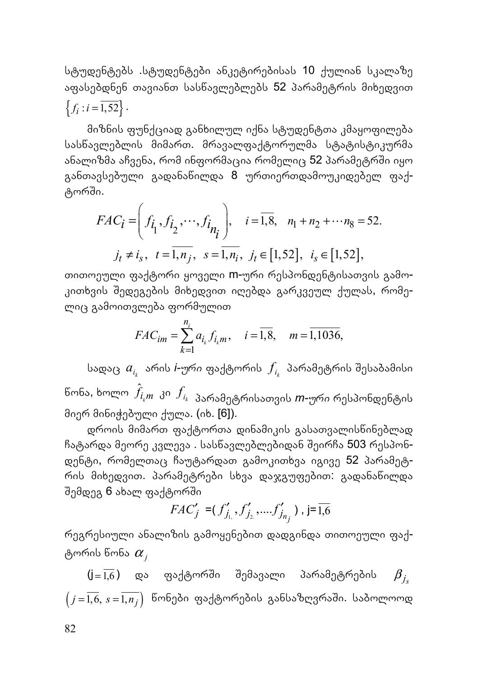სტუდენტებს .სტუდენტები ანკეტირებისას 10 ქულიან სკალაზე აფასებდნენ თავიანთ სასწავლებლებს 52 პარამეტრის მიხედვით  ${f_i : i = \overline{1,52}}$ .

მიზნის ფუნქციად განხილულ იქნა სტუდენტთა კმაყოფილება სასწავლებლის მიმართ. მრავალფაქტორულმა სტატისტიკურმა ანალიზმა აჩვენა, რომ ინფორმაცია რომელიც 52 პარამეტრში იყო განთავსებული გადანაწილდა 8 ურთიერთდამოუკიდებელ ფაქტორשი.

$$
FAC_{i} = \left(f_{i_1}, f_{i_2}, \cdots, f_{i_{n_i}}\right), \quad i = \overline{1, 8}, \quad n_1 + n_2 + \cdots + n_8 = 52.
$$
  

$$
j_t \neq i_s, \quad t = \overline{1, n_j}, \quad s = \overline{1, n_i}, \quad j_t \in [1, 52], \quad i_s \in [1, 52],
$$

თითოეული ფაქტორი ყოველი m-ური რესპონდენტისათვის გამოკითხვის שედეგების მიხედვით იღებდა გარკვეულ ქულას, რომელიც გამოითვლება ფორმულით

$$
FAC_{im} = \sum_{k=1}^{n_i} a_{i_k} f_{i_k m}, \quad i = \overline{1,8}, \quad m = \overline{1,1036},
$$

სადაც *<sup>k</sup> ai* არის *i-ური* ფაქტორის *ki f* პარამეტრის שესაბამისი წონა, ხოლო ˆ *k fi m* კი *ki <sup>f</sup>* პარამეტრისათვის *m-ური* რესპონდენტის მიერ მინიჭებული ქულა. (იხ. [6]).

დროის მიმართ ფაქტორთა დინამიკის გასათვალისწინებლად ჩატარდა მეორე კვლევა . სას<mark>ნავლებლებიდან შეირჩა 503 რესპონ-</mark> დენტი, რომელთაც ჩაუტარდათ გამოკითხვა იგივე 52 პარამეტრის მიხედვით. პარამეტრები სხვა დაჯგუფებით: გადანაწილდა შემდეგ 6 ახალ ფაქტორში

$$
FAC'_{j} = (f'_{j_{1,}}', f'_{j_{2}}, \dots, f'_{j_{n_{j}}}) , j = \overline{1,6}
$$

რეგრესიული ანალიზის გამოყენებით დადგინდა თითოეული ფაქტორის წონა <sup>α</sup> *<sup>j</sup>*

 $(j=\overline{1,6})$  და ფაქტორში შემავალი პარამეტრების  $\beta_{j}$  $(j = \overline{1, 6}, s = \overline{1, n_j})$  წონები ფაქტორების განსაზღვრაში. საბოლოოდ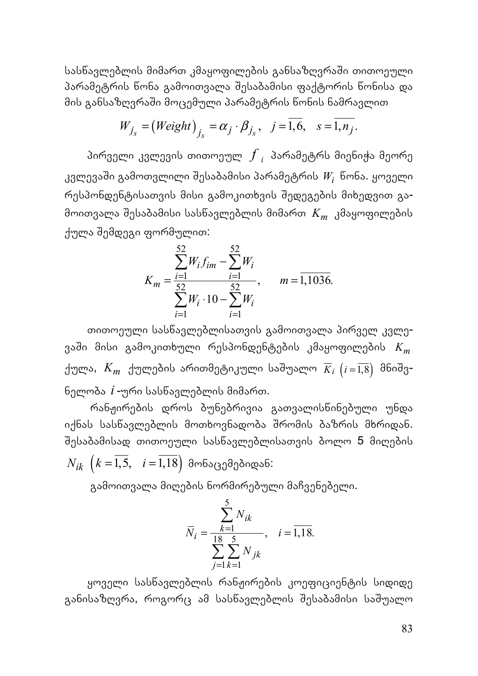სასწავლებლის მიმართ კმაყოფილების განსაზღვრაში თითოეული პარამეტრის წონა გამოითვალა שესაბამისი ფაქტორის წონისა და მის განსაზღვრაში მოცემული პარამეტრის წონის ნამრავლით

$$
W_{j_s} = (Weight)_{j_s} = \alpha_j \cdot \beta_{j_s}, \quad j = \overline{1,6}, \quad s = \overline{1, n_j}.
$$

პირველი კვლევის თითოეულ *<sup>i</sup> f* პარამეტრს მიენიჭა მეორე კვლევაשი გამოთვლილი שესაბამისი პარამეტრის *Wi* წონა. ყოველი რესპონდენტისათვის მისი გამოკითხვის שედეგების მიხედვით გამოითვალა שესაბამისი სასწავლებლის მიმართ *Km* კმაყოფილების ქულა שემდეგი ფორმულით:

$$
K_m = \frac{\sum_{i=1}^{52} W_i f_{im} - \sum_{i=1}^{52} W_i}{\sum_{i=1}^{52} W_i \cdot 10 - \sum_{i=1}^{52} W_i}, \qquad m = 1,1036.
$$

თითოეული სასწავლებლისათვის გამოითვალა პირველ კვლევაשი მისი გამოკითხული რესპონდენტების კმაყოფილების *Km* ქულა, *Km* ქულების არითმეტიკული საשუალო *K i <sup>i</sup>* ( ) <sup>=</sup>1,8 მნიשვნელობა *i* -ური სასწავლებლის მიმართ.

რანჟირების დროს ბუნებრივია გათვალისწინებული უნდა იქნას სასწავლებლის მოთხოვნადობა שრომის ბაზრის მხრიდან. שესაბამისად თითოეული სასწავლებლისათვის ბოლო 5 მიღების  $N_{ik}$   $\left(k=\overline{1,5}, \quad i=\overline{1,18}\right)$  მონაცემებიდან:

გამოითვალა მიღების ნორმირებული მაჩვენებელი.

$$
\overline{N}_{i} = \frac{\sum_{k=1}^{5} N_{ik}}{\sum_{j=1}^{18} \sum_{k=1}^{5} N_{jk}}, \quad i = \overline{1,18}.
$$

ყოველი სასწავლებლის რანჟირების კოეფიციენტის სიდიდე განისაზღვრა, როგორც ამ სასწავლებლის შესაბამისი საშუალო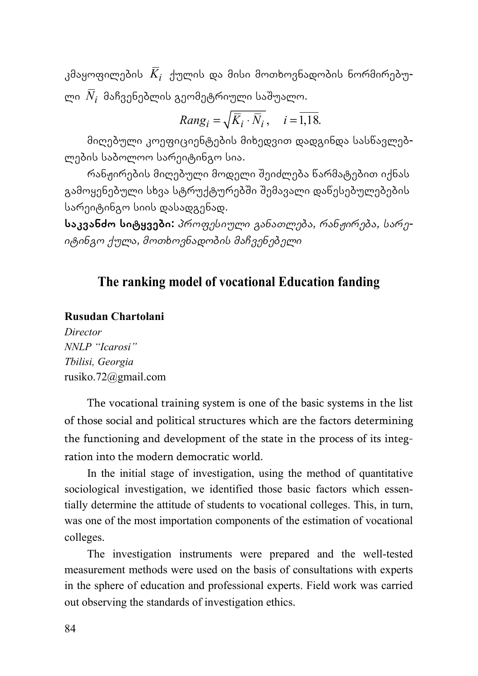კმაყოფილების *Ki* ქულის და მისი მოთხოვნადობის ნორმირებული *Ni* მაჩვენებლის გეომეტრიული საשუალო.

$$
Rang_i = \sqrt{\overline{K}_i \cdot \overline{N}_i}, \quad i = \overline{1,18}.
$$

მიღებული კოეფიციენტების მიხედვით დადგინდა სასწავლებლების საბოლოო სარეიტინგო სია.

რანჟირების მიღებული მოდელი שეიძლება წარმატებით იქნას გამოყენებული სხვა სტრუქტურებში შემავალი დაწესებულებების სარეიტინგო სიის დასადგენად.

**საკვანძო სიტყვები:** *პროფესიული განათლება, რანჟირება, სარეიტინგო ქულა, მოთხოვნადობის მაჩვენებელი*

## **The ranking model of vocational Education fanding**

### **Rusudan Chartolani**

*Director NNLP "Icarosi" Tbilisi, Georgia*  rusiko.72@gmail.com

The vocational training system is one of the basic systems in the list of those social and political structures which are the factors determining the functioning and development of the state in the process of its integration into the modern democratic world.

In the initial stage of investigation, using the method of quantitative sociological investigation, we identified those basic factors which essentially determine the attitude of students to vocational colleges. This, in turn, was one of the most importation components of the estimation of vocational colleges.

The investigation instruments were prepared and the well-tested measurement methods were used on the basis of consultations with experts in the sphere of education and professional experts. Field work was carried out observing the standards of investigation ethics.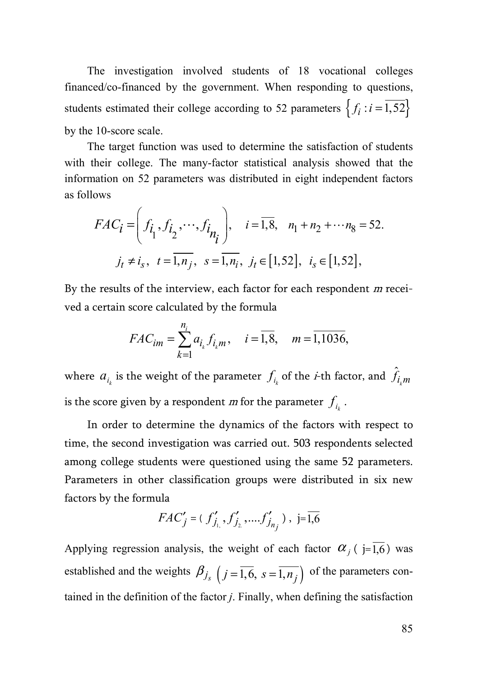The investigation involved students of 18 vocational colleges financed/co-financed by the government. When responding to questions, students estimated their college according to 52 parameters  $\{f_i : i = 1,52\}$ by the 10-score scale.

The target function was used to determine the satisfaction of students with their college. The many-factor statistical analysis showed that the information on 52 parameters was distributed in eight independent factors as follows

$$
FAC_i = \left(f_{\hat{l}_1}, f_{\hat{l}_2}, \cdots, f_{\hat{l}_{\hat{n}_{\hat{l}}}}\right), \quad i = \overline{1,8}, \quad n_1 + n_2 + \cdots + n_8 = 52.
$$
  

$$
j_t \neq i_s, \quad t = \overline{1, n_j}, \quad s = \overline{1, n_i}, \quad j_t \in [1, 52], \quad i_s \in [1, 52],
$$

By the results of the interview, each factor for each respondent m received a certain score calculated by the formula

$$
FAC_{im} = \sum_{k=1}^{n_i} a_{i_k} f_{i_k m}, \quad i = \overline{1,8}, \quad m = \overline{1,1036},
$$

where  $a_{_{l_k}}$  is the weight of the parameter  $f_{_{l_k}}$  of the *i*-th factor, and  $\hat{f}_{i_k m}$ is the score given by a respondent *m* for the parameter  $f_{i_k}$ .

In order to determine the dynamics of the factors with respect to time, the second investigation was carried out. 503 respondents selected among college students were questioned using the same 52 parameters. Parameters in other classification groups were distributed in six new factors by the formula

$$
FAC'_{j} = (f'_{j_{1}}, f'_{j_{2}}, \dots, f'_{j_{n_{j}}}) , \ \ j = \overline{1,6}
$$

Applying regression analysis, the weight of each factor  $\alpha_i$  ( j=1,6) was established and the weights  $\beta_{j_s}$   $(j = \overline{1, 6}, s = \overline{1, n_j})$  of the parameters contained in the definition of the factor *j*. Finally, when defining the satisfaction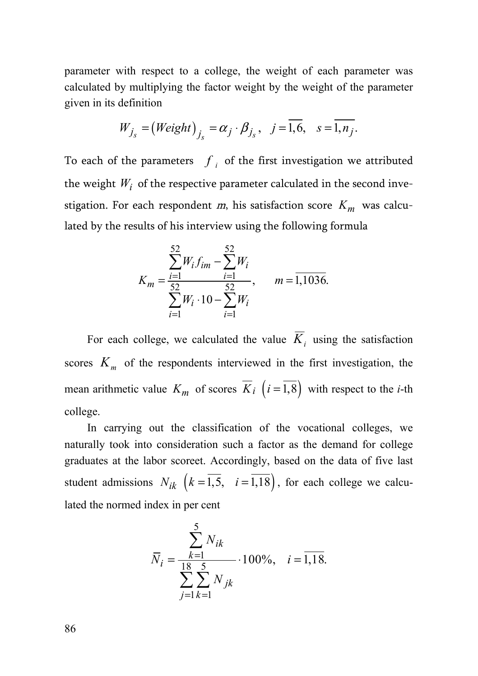parameter with respect to a college, the weight of each parameter was calculated by multiplying the factor weight by the weight of the parameter given in its definition

$$
W_{j_s} = (Weight)_{j_s} = \alpha_j \cdot \beta_{j_s}, \quad j = \overline{1,6}, \quad s = \overline{1, n_j}.
$$

To each of the parameters  $f_i$  of the first investigation we attributed the weight  $W_i$  of the respective parameter calculated in the second investigation. For each respondent  $m$ , his satisfaction score  $K_m$  was calculated by the results of his interview using the following formula

$$
K_m = \frac{\sum_{i=1}^{52} W_i f_{im} - \sum_{i=1}^{52} W_i}{\sum_{i=1}^{52} W_i \cdot 10 - \sum_{i=1}^{52} W_i}, \qquad m = 1,1036.
$$

For each college, we calculated the value  $\overline{K}_i$  using the satisfaction scores  $K<sub>m</sub>$  of the respondents interviewed in the first investigation, the mean arithmetic value  $K_m$  of scores  $\overline{K}_i$   $(i = \overline{1,8})$  with respect to the *i*-th college.

In carrying out the classification of the vocational colleges, we naturally took into consideration such a factor as the demand for college graduates at the labor scoreet. Accordingly, based on the data of five last student admissions  $N_{ik}$   $\left(k = \overline{1,5}, i = \overline{1,18}\right)$ , for each college we calculated the normed index in per cent

$$
\overline{N}_{i} = \frac{\sum_{k=1}^{5} N_{ik}}{\sum_{j=1}^{18} \sum_{k=1}^{5} N_{jk}} \cdot 100\%, \quad i = \overline{1,18}.
$$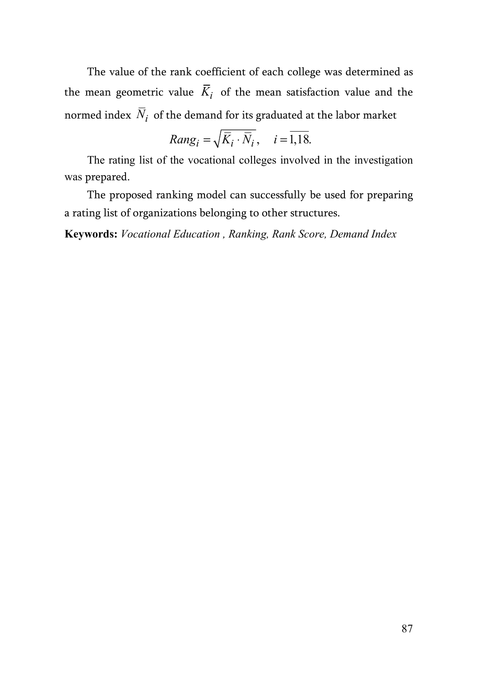The value of the rank coefficient of each college was determined as the mean geometric value  $\overline{K}_i$  of the mean satisfaction value and the normed index  $\overline{N}_i$  of the demand for its graduated at the labor market

$$
Rang_i = \sqrt{\overline{K}_i \cdot \overline{N}_i}, \quad i = \overline{1,18}.
$$

The rating list of the vocational colleges involved in the investigation was prepared.

The proposed ranking model can successfully be used for preparing a rating list of organizations belonging to other structures.

**Keywords:** *Vocational Education , Ranking, Rank Score, Demand Index*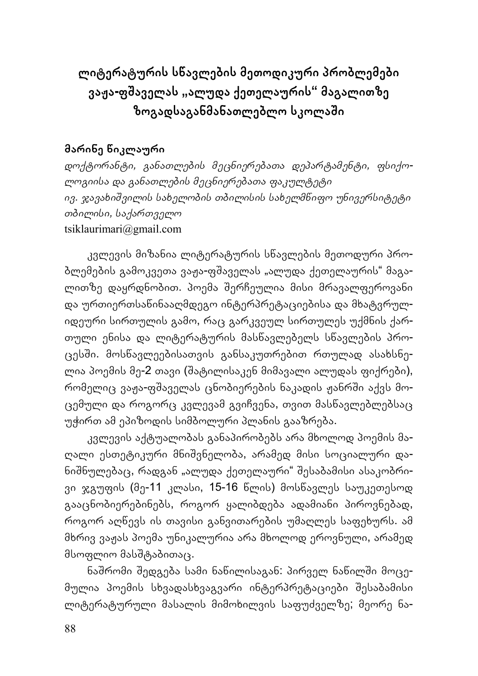**ლიტერატურის სწავლების მეთოდიკური პრობლემები ვაჟა-ფשაველას "ალუდა ქეთელაურის" მაგალითზე ზოგადსაგანმანათლებლო სკოლაשი**

### **მარინე წიკლაური**

*დოქტორანტი, განათლების მეცნიერებათა დეპარტამენტი, ფსიქოლოგიისა და განათლების მეცნიერებათა ფაკულტეტი ივ. ჯავახიשვილის სახელობის თბილისის სახელმწიფო უნივერსიტეტი თბილისი, საქართველო* tsiklaurimari@gmail.com

კვლევის მიზანია ლიტერატურის სწავლების მეთოდური პრობლემების გამოკვეთა ვაჟა-ფშაველას "ალუდა ქეთელაურის" მაგალითზე დაყრდნობით. პოემა שერჩეულია მისი მრავალფეროვანი და ურთიერთსაწინააღმდეგო ინტერპრეტაციებისა და მხატვრულიდეური სირთულის გამო, რაც გარკვეულ სირთულეს უქმნის ქართული ენისა და ლიტერატურის მასწავლებელს სწავლების პროცესשი. მოსწავლეებისათვის განსაკუთრებით რთულად ასახსნელია პოემის მე<mark>-2</mark> თავი (შატილისაკენ მიმავალი ალუდას ფიქრები), რომელიც ვაჟა-ფშაველას ცნობიერების ნაკადის ჟანრში აქვს მოცემული და როგორც კვლევამ გვიჩვენა, თვით მასწავლებლებსაც უჭირთ ამ ეპიზოდის სიმბოლური პლანის გააზრება.

კვლევის აქტუალობას განაპირობებს არა მხოლოდ პოემის მაღალი ესთეტიკური მნიשვნელობა, არამედ მისი სოციალური დანიშნულებაც, რადგან "ალუდა ქეთელაური" შესაბამისი ასაკობრივი ჯგუფის (მე-11 კლასი, 15-16 წლის) მოსწავლეს საუკეთესოდ გააცნობიერებინებს, როგორ ყალიბდება ადამიანი პიროვნებად, როგორ აღწევს ის თავისი განვითარების უმაღლეს საფეხურს. ამ მხრივ ვაჟას პოემა უნიკალურია არა მხოლოდ ეროვნული, არამედ მსოფლიო მასშტაბითაც.

ნაშრომი შედგება სამი ნაწილისაგან: პირველ ნაწილში მოცემულია პოემის სხვადასხვაგვარი ინტერპრეტაციები שესაბამისი ლიტერატურული მასალის მიმოხილვის საფუძველზე; მეორე ნა-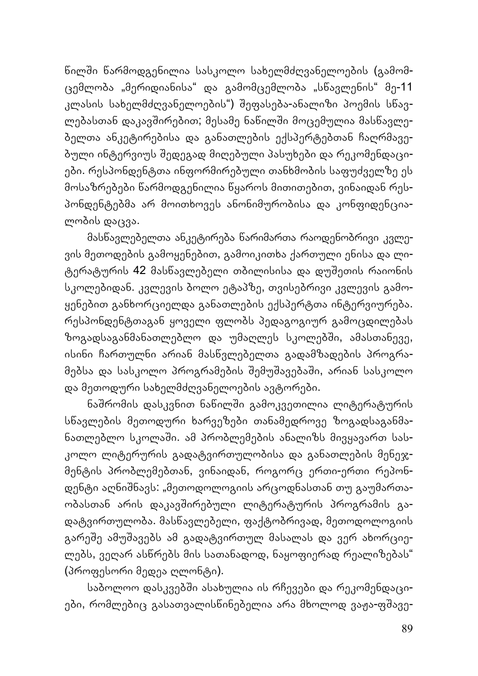წილשი წარმოდგენილია სასკოლო სახელმძღვანელოების (გამომცემლობა "მერიდიანისა" და გამომცემლობა "სწავლენის" მე-11 კლასის სახელმძღვანელოების") שეფასება-ანალიზი პოემის სწავლებასთან დაკავშირებით; მესამე ნაწილში მოცემულია მასწავლებელთა ანკეტირებისა და განათლების ექსპერტებთან ჩაღრმავებული ინტერვიუს שედეგად მიღებული პასუხები და რეკომენდაციები. რესპონდენტთა ინფორმირებული თანხმობის საფუძველზე ეს მოსაზრებები წარმოდგენილია წყაროს მითითებით, ვინაიდან რესპონდენტებმა არ მოითხოვეს ანონიმურობისა და კონფიდენციალობის დაცვა.

მასწავლებელთა ანკეტირება წარიმართა რაოდენობრივი კვლევის მეთოდების გამოყენებით, გამოიკითხა ქართული ენისა და ლიტერატურის 42 მასწავლებელი თბილისისა და დუשეთის რაიონის სკოლებიდან. კვლევის ბოლო ეტაპზე, თვისებრივი კვლევის გამოყენებით განხორციელდა განათლების ექსპერტთა ინტერვიურება. რესპონდენტთაგან ყოველი ფლობს პედაგოგიურ გამოცდილებას ზოგადსაგანმანათლებლო და უმაღლეს სკოლებში, ამასთანევე, ისინი ჩართულნი არიან მასწვლებელთა გადამზადების პროგრამებსა და სასკოლო პროგრამების שემუשავებაשი, არიან სასკოლო და მეთოდური სახელმძღვანელოების ავტორები.

ნაშრომის დასკვნით ნაწილში გამოკვეთილია ლიტერატურის სწავლების მეთოდური ხარვეზები თანამედროვე ზოგადსაგანმანათლებლო სკოლაשი. ამ პრობლემების ანალიზს მივყავართ სასკოლო ლიტერურის გადატვირთულობისა და განათლების მენეჯმენტის პრობლემებთან, ვინაიდან, როგორც ერთი-ერთი რეპონდენტი აღნიשნავს: "მეთოდოლოგიის არცოდნასთან თუ გაუმართაობასთან არის დაკავשირებული ლიტერატურის პროგრამის გადატვირთულობა. მასწავლებელი, ფაქტობრივად, მეთოდოლოგიის გარეშე ამუშავებს ამ გადატვირთულ მასალას და ვერ ახორციელებს, ვეღარ ასწრებს მის სათანადოდ, ნაყოფიერად რეალიზებას" (პროფესორი მედეა ღლონტი).

საბოლოო დასკვებשი ასახულია ის რჩევები და რეკომენდაციები, რომლებიც გასათვალისნინებელია არა მხოლოდ ვაჟა-ფშავე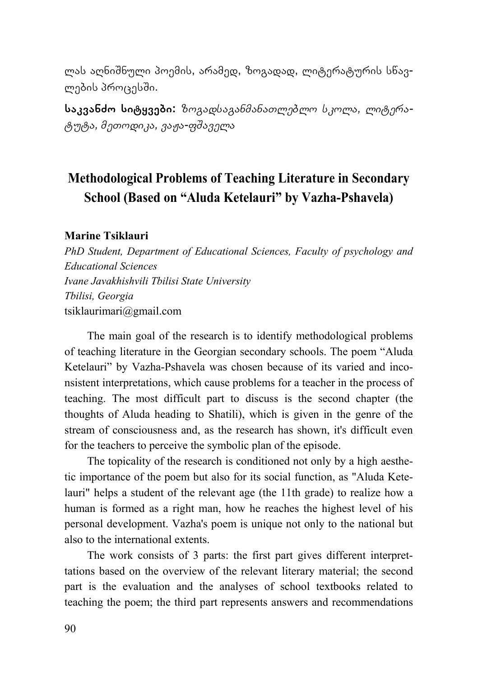ლას აღნიשნული პოემის, არამედ, ზოგადად, ლიტერატურის სწავლების პროცესשი.

**საკვანძო სიტყვები:** *ზოგადსაგანმანათლებლო სკოლა, ლიტერატუტა, მეთოდიკა, ვაჟა-ფשაველა*

## **Methodological Problems of Teaching Literature in Secondary School (Based on "Aluda Ketelauri" by Vazha-Pshavela)**

#### **Marine Tsiklauri**

*PhD Student, Department of Educational Sciences, Faculty of psychology and Educational Sciences Ivane Javakhishvili Tbilisi State University Tbilisi, Georgia*  tsiklaurimari@gmail.com

The main goal of the research is to identify methodological problems of teaching literature in the Georgian secondary schools. The poem "Aluda Ketelauri" by Vazha-Pshavela was chosen because of its varied and inconsistent interpretations, which cause problems for a teacher in the process of teaching. The most difficult part to discuss is the second chapter (the thoughts of Aluda heading to Shatili), which is given in the genre of the stream of consciousness and, as the research has shown, it's difficult even for the teachers to perceive the symbolic plan of the episode.

The topicality of the research is conditioned not only by a high aesthetic importance of the poem but also for its social function, as "Aluda Ketelauri" helps a student of the relevant age (the 11th grade) to realize how a human is formed as a right man, how he reaches the highest level of his personal development. Vazha's poem is unique not only to the national but also to the international extents.

The work consists of 3 parts: the first part gives different interprettations based on the overview of the relevant literary material; the second part is the evaluation and the analyses of school textbooks related to teaching the poem; the third part represents answers and recommendations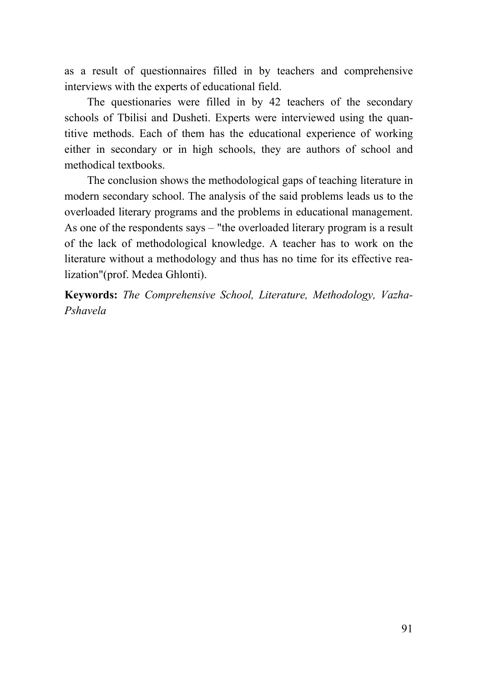as a result of questionnaires filled in by teachers and comprehensive interviews with the experts of educational field.

The questionaries were filled in by 42 teachers of the secondary schools of Tbilisi and Dusheti. Experts were interviewed using the quantitive methods. Each of them has the educational experience of working either in secondary or in high schools, they are authors of school and methodical textbooks.

The conclusion shows the methodological gaps of teaching literature in modern secondary school. The analysis of the said problems leads us to the overloaded literary programs and the problems in educational management. As one of the respondents says – "the overloaded literary program is a result of the lack of methodological knowledge. A teacher has to work on the literature without a methodology and thus has no time for its effective realization"(prof. Medea Ghlonti).

**Keywords:** *The Comprehensive School, Literature, Methodology, Vazha-Pshavela*